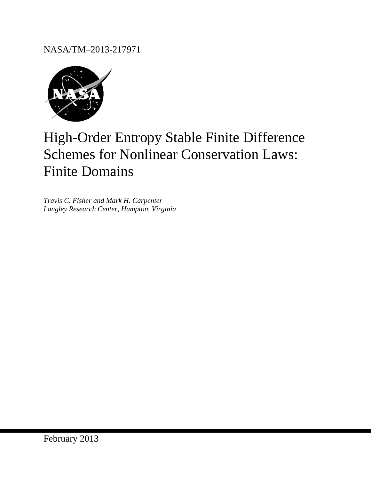NASA/TM–2013-217971



# High-Order Entropy Stable Finite Difference Schemes for Nonlinear Conservation Laws: Finite Domains

*Travis C. Fisher and Mark H. Carpenter Langley Research Center, Hampton, Virginia*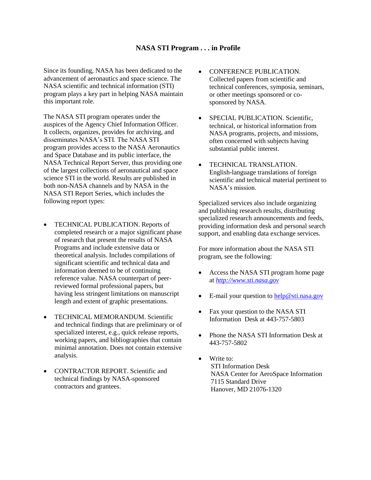# **NASA STI Program . . . in Profile**

Since its founding, NASA has been dedicated to the advancement of aeronautics and space science. The NASA scientific and technical information (STI) program plays a key part in helping NASA maintain this important role.

The NASA STI program operates under the auspices of the Agency Chief Information Officer. It collects, organizes, provides for archiving, and disseminates NASA's STI. The NASA STI program provides access to the NASA Aeronautics and Space Database and its public interface, the NASA Technical Report Server, thus providing one of the largest collections of aeronautical and space science STI in the world. Results are published in both non-NASA channels and by NASA in the NASA STI Report Series, which includes the following report types:

- TECHNICAL PUBLICATION. Reports of completed research or a major significant phase of research that present the results of NASA Programs and include extensive data or theoretical analysis. Includes compilations of significant scientific and technical data and information deemed to be of continuing reference value. NASA counterpart of peerreviewed formal professional papers, but having less stringent limitations on manuscript length and extent of graphic presentations.
- TECHNICAL MEMORANDUM. Scientific and technical findings that are preliminary or of specialized interest, e.g., quick release reports, working papers, and bibliographies that contain minimal annotation. Does not contain extensive analysis.
- CONTRACTOR REPORT. Scientific and technical findings by NASA-sponsored contractors and grantees.
- CONFERENCE PUBLICATION. Collected papers from scientific and technical conferences, symposia, seminars, or other meetings sponsored or cosponsored by NASA.
- SPECIAL PUBLICATION. Scientific, technical, or historical information from NASA programs, projects, and missions, often concerned with subjects having substantial public interest.
- TECHNICAL TRANSLATION. English-language translations of foreign scientific and technical material pertinent to NASA's mission.

Specialized services also include organizing and publishing research results, distributing specialized research announcements and feeds, providing information desk and personal search support, and enabling data exchange services.

For more information about the NASA STI program, see the following:

- Access the NASA STI program home page at *http://www.sti.nasa.gov*
- E-mail your question to  $help@sti.nasa.gov$
- Fax your question to the NASA STI Information Desk at 443-757-5803
- Phone the NASA STI Information Desk at 443-757-5802
- Write to: STI Information Desk NASA Center for AeroSpace Information 7115 Standard Drive Hanover, MD 21076-1320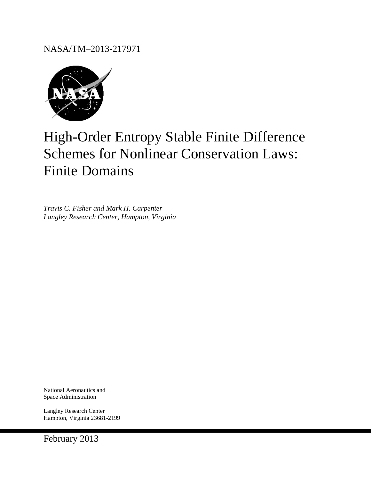NASA/TM–2013-217971



# High-Order Entropy Stable Finite Difference Schemes for Nonlinear Conservation Laws: Finite Domains

*Travis C. Fisher and Mark H. Carpenter Langley Research Center, Hampton, Virginia* 

National Aeronautics and Space Administration

Langley Research Center Hampton, Virginia 23681-2199

February 2013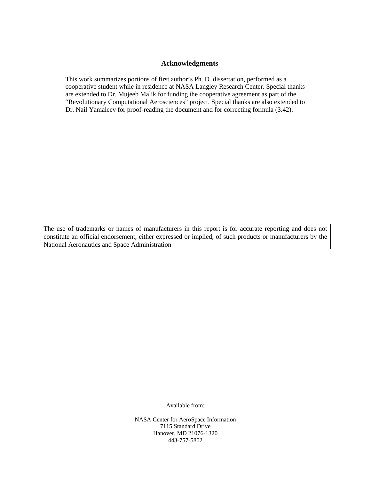# **Acknowledgments**

This work summarizes portions of first author's Ph. D. dissertation, performed as a cooperative student while in residence at NASA Langley Research Center. Special thanks are extended to Dr. Mujeeb Malik for funding the cooperative agreement as part of the "Revolutionary Computational Aerosciences" project. Special thanks are also extended to Dr. Nail Yamaleev for proof-reading the document and for correcting formula (3.42).

The use of trademarks or names of manufacturers in this report is for accurate reporting and does not constitute an official endorsement, either expressed or implied, of such products or manufacturers by the National Aeronautics and Space Administration

Available from:

NASA Center for AeroSpace Information 7115 Standard Drive Hanover, MD 21076-1320 443-757-5802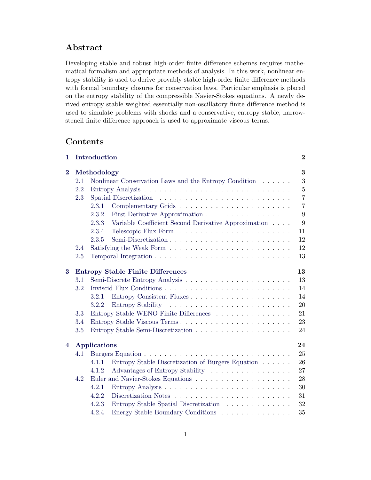# Abstract

Developing stable and robust high-order finite difference schemes requires mathematical formalism and appropriate methods of analysis. In this work, nonlinear entropy stability is used to derive provably stable high-order finite difference methods with formal boundary closures for conservation laws. Particular emphasis is placed on the entropy stability of the compressible Navier-Stokes equations. A newly derived entropy stable weighted essentially non-oscillatory finite difference method is used to simulate problems with shocks and a conservative, entropy stable, narrowstencil finite difference approach is used to approximate viscous terms.

# Contents

| 1        | Introduction |                                                               |                  |  |  |  |  |  |  |  |
|----------|--------------|---------------------------------------------------------------|------------------|--|--|--|--|--|--|--|
| $\bf{2}$ | Methodology  |                                                               |                  |  |  |  |  |  |  |  |
|          | 2.1          | Nonlinear Conservation Laws and the Entropy Condition         | 3                |  |  |  |  |  |  |  |
|          | 2.2          |                                                               | $\bf 5$          |  |  |  |  |  |  |  |
|          | 2.3          |                                                               | $\overline{7}$   |  |  |  |  |  |  |  |
|          |              | 2.3.1                                                         | $\overline{7}$   |  |  |  |  |  |  |  |
|          |              | 2.3.2<br>First Derivative Approximation                       | 9                |  |  |  |  |  |  |  |
|          |              | Variable Coefficient Second Derivative Approximation<br>2.3.3 | $\boldsymbol{9}$ |  |  |  |  |  |  |  |
|          |              | 2.3.4                                                         | 11               |  |  |  |  |  |  |  |
|          |              | 2.3.5                                                         | 12               |  |  |  |  |  |  |  |
|          | 2.4          |                                                               | 12               |  |  |  |  |  |  |  |
|          | 2.5          |                                                               | 13               |  |  |  |  |  |  |  |
| 3        |              | <b>Entropy Stable Finite Differences</b>                      | 13               |  |  |  |  |  |  |  |
|          | 3.1          |                                                               | 13               |  |  |  |  |  |  |  |
|          | 3.2          |                                                               | 14               |  |  |  |  |  |  |  |
|          |              | Entropy Consistent Fluxes<br>3.2.1                            | 14               |  |  |  |  |  |  |  |
|          |              | 3.2.2                                                         | 20               |  |  |  |  |  |  |  |
|          | 3.3          | Entropy Stable WENO Finite Differences                        | 21               |  |  |  |  |  |  |  |
|          | 3.4          | Entropy Stable Viscous Terms                                  | 23               |  |  |  |  |  |  |  |
|          | 3.5          |                                                               | 24               |  |  |  |  |  |  |  |
| 4        |              | <b>Applications</b>                                           | 24               |  |  |  |  |  |  |  |
|          | 4.1          |                                                               | 25               |  |  |  |  |  |  |  |
|          |              | Entropy Stable Discretization of Burgers Equation<br>4.1.1    | 26               |  |  |  |  |  |  |  |
|          |              | Advantages of Entropy Stability<br>4.1.2                      | 27               |  |  |  |  |  |  |  |
|          | 4.2          |                                                               | 28               |  |  |  |  |  |  |  |
|          |              | 4.2.1                                                         | 30               |  |  |  |  |  |  |  |
|          |              | 4.2.2                                                         | 31               |  |  |  |  |  |  |  |
|          |              | Entropy Stable Spatial Discretization<br>4.2.3                | 32               |  |  |  |  |  |  |  |
|          |              | Energy Stable Boundary Conditions<br>4.2.4                    | 35               |  |  |  |  |  |  |  |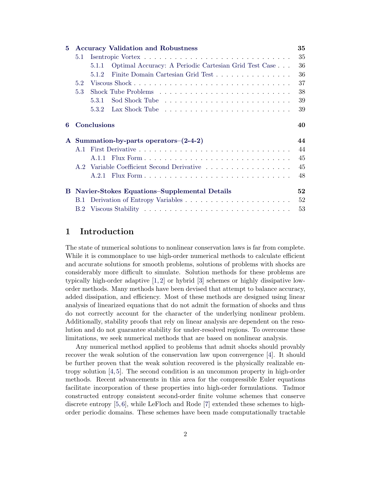| <b>Accuracy Validation and Robustness</b><br>5 |                   |                                                                |    |  |  |  |  |  |  |  |
|------------------------------------------------|-------------------|----------------------------------------------------------------|----|--|--|--|--|--|--|--|
|                                                |                   | 35                                                             |    |  |  |  |  |  |  |  |
|                                                |                   | Optimal Accuracy: A Periodic Cartesian Grid Test Case<br>5.1.1 | 36 |  |  |  |  |  |  |  |
|                                                |                   | Finite Domain Cartesian Grid Test<br>512                       | 36 |  |  |  |  |  |  |  |
|                                                | 5.2               |                                                                |    |  |  |  |  |  |  |  |
|                                                | 5.3               |                                                                |    |  |  |  |  |  |  |  |
|                                                |                   | 5.3.1                                                          | 39 |  |  |  |  |  |  |  |
|                                                |                   | 5.3.2                                                          | 39 |  |  |  |  |  |  |  |
| 6                                              | Conclusions<br>40 |                                                                |    |  |  |  |  |  |  |  |
| $\mathbf{A}$                                   |                   | Summation-by-parts operators $-(2-4-2)$                        | 44 |  |  |  |  |  |  |  |
|                                                |                   |                                                                | 44 |  |  |  |  |  |  |  |
|                                                |                   |                                                                | 45 |  |  |  |  |  |  |  |
|                                                |                   | A.2 Variable Coefficient Second Derivative                     | 45 |  |  |  |  |  |  |  |
|                                                |                   |                                                                | 48 |  |  |  |  |  |  |  |
| В                                              |                   | Navier-Stokes Equations-Supplemental Details                   | 52 |  |  |  |  |  |  |  |
|                                                |                   |                                                                |    |  |  |  |  |  |  |  |
|                                                |                   |                                                                | 52 |  |  |  |  |  |  |  |

# <span id="page-5-0"></span>1 Introduction

The state of numerical solutions to nonlinear conservation laws is far from complete. While it is commonplace to use high-order numerical methods to calculate efficient and accurate solutions for smooth problems, solutions of problems with shocks are considerably more difficult to simulate. Solution methods for these problems are typically high-order adaptive [\[1,](#page-43-1) [2\]](#page-43-2) or hybrid [\[3\]](#page-43-3) schemes or highly dissipative loworder methods. Many methods have been devised that attempt to balance accuracy, added dissipation, and efficiency. Most of these methods are designed using linear analysis of linearized equations that do not admit the formation of shocks and thus do not correctly account for the character of the underlying nonlinear problem. Additionally, stability proofs that rely on linear analysis are dependent on the resolution and do not guarantee stability for under-resolved regions. To overcome these limitations, we seek numerical methods that are based on nonlinear analysis.

Any numerical method applied to problems that admit shocks should provably recover the weak solution of the conservation law upon convergence [\[4\]](#page-43-4). It should be further proven that the weak solution recovered is the physically realizable entropy solution [\[4,](#page-43-4) [5\]](#page-43-5). The second condition is an uncommon property in high-order methods. Recent advancements in this area for the compressible Euler equations facilitate incorporation of these properties into high-order formulations. Tadmor constructed entropy consistent second-order finite volume schemes that conserve discrete entropy [\[5,](#page-43-5) [6\]](#page-44-0), while LeFloch and Rode [\[7\]](#page-44-1) extended these schemes to highorder periodic domains. These schemes have been made computationally tractable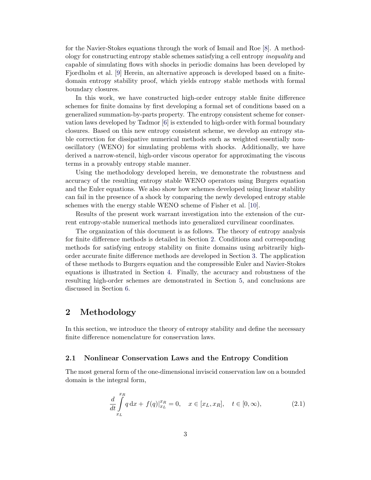for the Navier-Stokes equations through the work of Ismail and Roe [\[8\]](#page-44-2). A methodology for constructing entropy stable schemes satisfying a cell entropy inequality and capable of simulating flows with shocks in periodic domains has been developed by Fjordholm et al. [\[9\]](#page-44-3) Herein, an alternative approach is developed based on a finitedomain entropy stability proof, which yields entropy stable methods with formal boundary closures.

In this work, we have constructed high-order entropy stable finite difference schemes for finite domains by first developing a formal set of conditions based on a generalized summation-by-parts property. The entropy consistent scheme for conservation laws developed by Tadmor [\[6\]](#page-44-0) is extended to high-order with formal boundary closures. Based on this new entropy consistent scheme, we develop an entropy stable correction for dissipative numerical methods such as weighted essentially nonoscillatory (WENO) for simulating problems with shocks. Additionally, we have derived a narrow-stencil, high-order viscous operator for approximating the viscous terms in a provably entropy stable manner.

Using the methodology developed herein, we demonstrate the robustness and accuracy of the resulting entropy stable WENO operators using Burgers equation and the Euler equations. We also show how schemes developed using linear stability can fail in the presence of a shock by comparing the newly developed entropy stable schemes with the energy stable WENO scheme of Fisher et al. [\[10\]](#page-44-4).

Results of the present work warrant investigation into the extension of the current entropy-stable numerical methods into generalized curvilinear coordinates.

The organization of this document is as follows. The theory of entropy analysis for finite difference methods is detailed in Section [2.](#page-6-0) Conditions and corresponding methods for satisfying entropy stability on finite domains using arbitrarily highorder accurate finite difference methods are developed in Section [3.](#page-16-1) The application of these methods to Burgers equation and the compressible Euler and Navier-Stokes equations is illustrated in Section [4.](#page-27-1) Finally, the accuracy and robustness of the resulting high-order schemes are demonstrated in Section [5,](#page-38-1) and conclusions are discussed in Section [6.](#page-43-0)

# <span id="page-6-0"></span>2 Methodology

In this section, we introduce the theory of entropy stability and define the necessary finite difference nomenclature for conservation laws.

#### <span id="page-6-1"></span>2.1 Nonlinear Conservation Laws and the Entropy Condition

The most general form of the one-dimensional inviscid conservation law on a bounded domain is the integral form,

<span id="page-6-2"></span>
$$
\frac{d}{dt} \int_{x_L}^{x_R} q \, dx + f(q) \big|_{x_L}^{x_R} = 0, \quad x \in [x_L, x_R], \quad t \in [0, \infty), \tag{2.1}
$$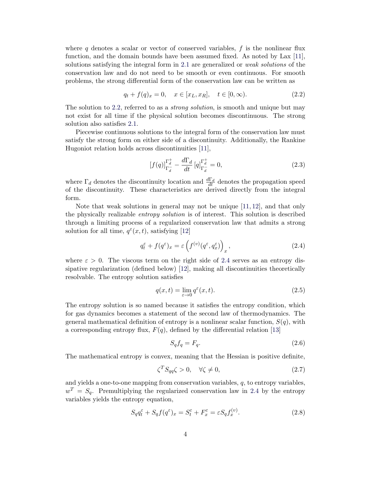where q denotes a scalar or vector of conserved variables,  $f$  is the nonlinear flux function, and the domain bounds have been assumed fixed. As noted by Lax [\[11\]](#page-44-5), solutions satisfying the integral form in [2.1](#page-6-2) are generalized or *weak solutions* of the conservation law and do not need to be smooth or even continuous. For smooth problems, the strong differential form of the conservation law can be written as

<span id="page-7-0"></span>
$$
q_t + f(q)_x = 0, \quad x \in [x_L, x_R], \quad t \in [0, \infty).
$$
 (2.2)

The solution to [2.2,](#page-7-0) referred to as a *strong solution*, is smooth and unique but may not exist for all time if the physical solution becomes discontinuous. The strong solution also satisfies [2.1.](#page-6-2)

Piecewise continuous solutions to the integral form of the conservation law must satisfy the strong form on either side of a discontinuity. Additionally, the Rankine Hugoniot relation holds across discontinuities [\[11\]](#page-44-5),

$$
[f(q)]_{\Gamma_d^-}^{\Gamma_d^+} - \frac{d\Gamma_d}{dt} [q]_{\Gamma_d^-}^{\Gamma_d^+} = 0,
$$
\n(2.3)

where  $\Gamma_d$  denotes the discontinuity location and  $\frac{d\Gamma_d}{dt}$  denotes the propagation speed of the discontinuity. These characteristics are derived directly from the integral form.

Note that weak solutions in general may not be unique  $[11, 12]$  $[11, 12]$ , and that only the physically realizable entropy solution is of interest. This solution is described through a limiting process of a regularized conservation law that admits a strong solution for all time,  $q^{\varepsilon}(x,t)$ , satisfying [\[12\]](#page-44-6)

<span id="page-7-1"></span>
$$
q_t^{\varepsilon} + f(q^{\varepsilon})_x = \varepsilon \left( f^{(v)}(q^{\varepsilon}, q_x^{\varepsilon}) \right)_x, \tag{2.4}
$$

where  $\varepsilon > 0$ . The viscous term on the right side of [2.4](#page-7-1) serves as an entropy dissipative regularization (defined below) [\[12\]](#page-44-6), making all discontinuities theoretically resolvable. The entropy solution satisfies

<span id="page-7-3"></span>
$$
q(x,t) = \lim_{\varepsilon \to 0} q^{\varepsilon}(x,t). \tag{2.5}
$$

The entropy solution is so named because it satisfies the entropy condition, which for gas dynamics becomes a statement of the second law of thermodynamics. The general mathematical definition of entropy is a nonlinear scalar function,  $S(q)$ , with a corresponding entropy flux,  $F(q)$ , defined by the differential relation [\[13\]](#page-44-7)

$$
S_q f_q = F_q. \tag{2.6}
$$

The mathematical entropy is convex, meaning that the Hessian is positive definite,

$$
\zeta^T S_{qq}\zeta > 0, \quad \forall \zeta \neq 0,\tag{2.7}
$$

and yields a one-to-one mapping from conservation variables,  $q$ , to entropy variables,  $w^T = S_q$ . Premultiplying the regularized conservation law in [2.4](#page-7-1) by the entropy variables yields the entropy equation,

<span id="page-7-2"></span>
$$
S_q q_t^{\varepsilon} + S_q f(q^{\varepsilon})_x = S_t^{\varepsilon} + F_x^{\varepsilon} = \varepsilon S_q f_x^{(v)}.
$$
\n(2.8)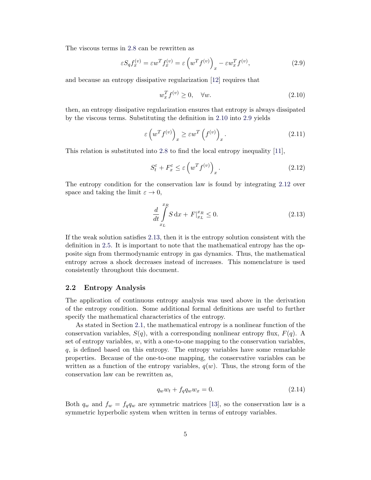The viscous terms in [2.8](#page-7-2) can be rewritten as

<span id="page-8-2"></span>
$$
\varepsilon S_q f_x^{(v)} = \varepsilon w^T f_x^{(v)} = \varepsilon \left( w^T f^{(v)} \right)_x - \varepsilon w_x^T f^{(v)}, \tag{2.9}
$$

and because an entropy dissipative regularization [\[12\]](#page-44-6) requires that

<span id="page-8-1"></span>
$$
w_x^T f^{(v)} \ge 0, \quad \forall w. \tag{2.10}
$$

then, an entropy dissipative regularization ensures that entropy is always dissipated by the viscous terms. Substituting the definition in [2.10](#page-8-1) into [2.9](#page-8-2) yields

$$
\varepsilon \left( w^T f^{(v)} \right)_x \ge \varepsilon w^T \left( f^{(v)} \right)_x. \tag{2.11}
$$

This relation is substituted into [2.8](#page-7-2) to find the local entropy inequality [\[11\]](#page-44-5),

<span id="page-8-3"></span>
$$
S_t^{\varepsilon} + F_x^{\varepsilon} \le \varepsilon \left( w^T f^{(v)} \right)_x. \tag{2.12}
$$

The entropy condition for the conservation law is found by integrating [2.12](#page-8-3) over space and taking the limit  $\varepsilon \to 0$ ,

<span id="page-8-4"></span>
$$
\frac{d}{dt} \int_{x_L}^{x_R} S \, dx + F|_{x_L}^{x_R} \le 0.
$$
\n(2.13)

If the weak solution satisfies [2.13,](#page-8-4) then it is the entropy solution consistent with the definition in [2.5.](#page-7-3) It is important to note that the mathematical entropy has the opposite sign from thermodynamic entropy in gas dynamics. Thus, the mathematical entropy across a shock decreases instead of increases. This nomenclature is used consistently throughout this document.

## <span id="page-8-0"></span>2.2 Entropy Analysis

The application of continuous entropy analysis was used above in the derivation of the entropy condition. Some additional formal definitions are useful to further specify the mathematical characteristics of the entropy.

As stated in Section [2.1,](#page-6-1) the mathematical entropy is a nonlinear function of the conservation variables,  $S(q)$ , with a corresponding nonlinear entropy flux,  $F(q)$ . A set of entropy variables, w, with a one-to-one mapping to the conservation variables, q, is defined based on this entropy. The entropy variables have some remarkable properties. Because of the one-to-one mapping, the conservative variables can be written as a function of the entropy variables,  $q(w)$ . Thus, the strong form of the conservation law can be rewritten as,

$$
q_w w_t + f_q q_w w_x = 0.
$$
\n(2.14)

Both  $q_w$  and  $f_w = f_q q_w$  are symmetric matrices [\[13\]](#page-44-7), so the conservation law is a symmetric hyperbolic system when written in terms of entropy variables.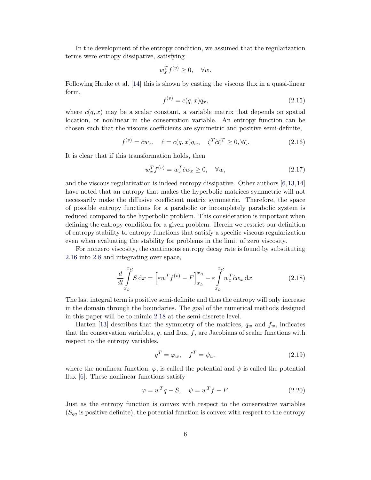In the development of the entropy condition, we assumed that the regularization terms were entropy dissipative, satisfying

$$
w_x^T f^{(v)} \ge 0, \quad \forall w.
$$

Following Hauke et al. [\[14\]](#page-44-8) this is shown by casting the viscous flux in a quasi-linear form,

$$
f^{(v)} = c(q, x)q_x,
$$
\n(2.15)

where  $c(q, x)$  may be a scalar constant, a variable matrix that depends on spatial location, or nonlinear in the conservation variable. An entropy function can be chosen such that the viscous coefficients are symmetric and positive semi-definite,

<span id="page-9-0"></span>
$$
f^{(v)} = \hat{c}w_x, \quad \hat{c} = c(q, x)q_w, \quad \zeta^T \hat{c}\zeta^T \ge 0, \forall \zeta.
$$
 (2.16)

It is clear that if this transformation holds, then

$$
w_x^T f^{(v)} = w_x^T \hat{c} w_x \ge 0, \quad \forall w,
$$
\n
$$
(2.17)
$$

and the viscous regularization is indeed entropy dissipative. Other authors [\[6,](#page-44-0)[13,](#page-44-7)[14\]](#page-44-8) have noted that an entropy that makes the hyperbolic matrices symmetric will not necessarily make the diffusive coefficient matrix symmetric. Therefore, the space of possible entropy functions for a parabolic or incompletely parabolic system is reduced compared to the hyperbolic problem. This consideration is important when defining the entropy condition for a given problem. Herein we restrict our definition of entropy stability to entropy functions that satisfy a specific viscous regularization even when evaluating the stability for problems in the limit of zero viscosity.

For nonzero viscosity, the continuous entropy decay rate is found by substituting [2.16](#page-9-0) into [2.8](#page-7-2) and integrating over space,

<span id="page-9-1"></span>
$$
\frac{d}{dt} \int_{x_L}^{x_R} S \, dx = \left[ \varepsilon w^T f^{(v)} - F \right]_{x_L}^{x_R} - \varepsilon \int_{x_L}^{x_R} w_x^T \hat{c} w_x \, dx. \tag{2.18}
$$

The last integral term is positive semi-definite and thus the entropy will only increase in the domain through the boundaries. The goal of the numerical methods designed in this paper will be to mimic [2.18](#page-9-1) at the semi-discrete level.

Harten [\[13\]](#page-44-7) describes that the symmetry of the matrices,  $q_w$  and  $f_w$ , indicates that the conservation variables,  $q$ , and flux,  $f$ , are Jacobians of scalar functions with respect to the entropy variables,

$$
q^T = \varphi_w, \quad f^T = \psi_w,\tag{2.19}
$$

where the nonlinear function,  $\varphi$ , is called the potential and  $\psi$  is called the potential flux [\[6\]](#page-44-0). These nonlinear functions satisfy

<span id="page-9-2"></span>
$$
\varphi = w^T q - S, \quad \psi = w^T f - F. \tag{2.20}
$$

Just as the entropy function is convex with respect to the conservative variables  $(S_{qq}$  is positive definite), the potential function is convex with respect to the entropy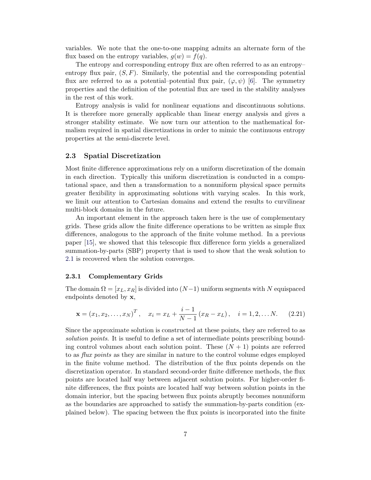variables. We note that the one-to-one mapping admits an alternate form of the flux based on the entropy variables,  $g(w) = f(q)$ .

The entropy and corresponding entropy flux are often referred to as an entropy– entropy flux pair,  $(S, F)$ . Similarly, the potential and the corresponding potential flux are referred to as a potential–potential flux pair,  $(\varphi, \psi)$  [\[6\]](#page-44-0). The symmetry properties and the definition of the potential flux are used in the stability analyses in the rest of this work.

Entropy analysis is valid for nonlinear equations and discontinuous solutions. It is therefore more generally applicable than linear energy analysis and gives a stronger stability estimate. We now turn our attention to the mathematical formalism required in spatial discretizations in order to mimic the continuous entropy properties at the semi-discrete level.

#### <span id="page-10-0"></span>2.3 Spatial Discretization

Most finite difference approximations rely on a uniform discretization of the domain in each direction. Typically this uniform discretization is conducted in a computational space, and then a transformation to a nonuniform physical space permits greater flexibility in approximating solutions with varying scales. In this work, we limit our attention to Cartesian domains and extend the results to curvilinear multi-block domains in the future.

An important element in the approach taken here is the use of complementary grids. These grids allow the finite difference operations to be written as simple flux differences, analogous to the approach of the finite volume method. In a previous paper [\[15\]](#page-44-9), we showed that this telescopic flux difference form yields a generalized summation-by-parts (SBP) property that is used to show that the weak solution to [2.1](#page-6-2) is recovered when the solution converges.

#### <span id="page-10-1"></span>2.3.1 Complementary Grids

The domain  $\Omega = [x_L, x_R]$  is divided into  $(N-1)$  uniform segments with N equispaced endpoints denoted by x,

$$
\mathbf{x} = (x_1, x_2, \dots, x_N)^T
$$
,  $x_i = x_L + \frac{i-1}{N-1} (x_R - x_L)$ ,  $i = 1, 2, \dots N$ . (2.21)

Since the approximate solution is constructed at these points, they are referred to as solution points. It is useful to define a set of intermediate points prescribing bounding control volumes about each solution point. These  $(N + 1)$  points are referred to as *flux points* as they are similar in nature to the control volume edges employed in the finite volume method. The distribution of the flux points depends on the discretization operator. In standard second-order finite difference methods, the flux points are located half way between adjacent solution points. For higher-order finite differences, the flux points are located half way between solution points in the domain interior, but the spacing between flux points abruptly becomes nonuniform as the boundaries are approached to satisfy the summation-by-parts condition (explained below). The spacing between the flux points is incorporated into the finite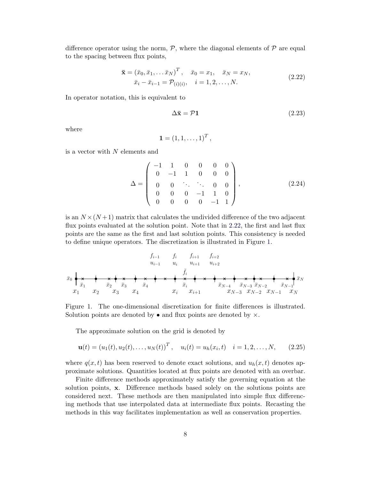difference operator using the norm,  $P$ , where the diagonal elements of  $P$  are equal to the spacing between flux points,

<span id="page-11-0"></span>
$$
\bar{\mathbf{x}} = (\bar{x}_0, \bar{x}_1, \dots, \bar{x}_N)^T, \quad \bar{x}_0 = x_1, \quad \bar{x}_N = x_N, \n\bar{x}_i - \bar{x}_{i-1} = \mathcal{P}_{(i)(i)}, \quad i = 1, 2, \dots, N.
$$
\n(2.22)

In operator notation, this is equivalent to

$$
\Delta \bar{\mathbf{x}} = \mathcal{P} \mathbf{1} \tag{2.23}
$$

where

$$
\mathbf{1}=(1,1,\ldots,1)^T,
$$

is a vector with N elements and

$$
\Delta = \left( \begin{array}{cccccc} -1 & 1 & 0 & 0 & 0 & 0 \\ 0 & -1 & 1 & 0 & 0 & 0 \\ 0 & 0 & \ddots & \ddots & 0 & 0 \\ 0 & 0 & 0 & -1 & 1 & 0 \\ 0 & 0 & 0 & 0 & -1 & 1 \end{array} \right),
$$
 (2.24)

is an  $N \times (N+1)$  matrix that calculates the undivided difference of the two adjacent flux points evaluated at the solution point. Note that in [2.22,](#page-11-0) the first and last flux points are the same as the first and last solution points. This consistency is needed to define unique operators. The discretization is illustrated in Figure [1.](#page-11-1)

x<sup>1</sup> x<sup>2</sup> x<sup>3</sup> x<sup>4</sup> x<sup>i</sup> x<sup>i</sup>+1 x<sup>N</sup>−<sup>3</sup> x<sup>N</sup>−<sup>2</sup> x<sup>N</sup>−<sup>1</sup> x<sup>N</sup> x¯0 x¯<sup>1</sup> x¯<sup>2</sup> x¯<sup>3</sup> x¯<sup>4</sup> x¯<sup>i</sup> x¯<sup>N</sup> x¯<sup>N</sup>−<sup>4</sup> x¯<sup>N</sup>−<sup>3</sup> x¯<sup>N</sup>−<sup>2</sup> x¯<sup>N</sup>−<sup>1</sup> ¯fi f<sup>i</sup>−<sup>1</sup> f<sup>i</sup> fi+1 fi+2 u<sup>i</sup>−<sup>1</sup> u<sup>i</sup> ui+1 ui+2

<span id="page-11-1"></span>Figure 1. The one-dimensional discretization for finite differences is illustrated. Solution points are denoted by  $\bullet$  and flux points are denoted by  $\times$ .

The approximate solution on the grid is denoted by

$$
\mathbf{u}(t) = (u_1(t), u_2(t), \dots, u_N(t))^T, \quad u_i(t) = u_h(x_i, t) \quad i = 1, 2, \dots, N,
$$
 (2.25)

where  $q(x, t)$  has been reserved to denote exact solutions, and  $u_h(x, t)$  denotes approximate solutions. Quantities located at flux points are denoted with an overbar.

Finite difference methods approximately satisfy the governing equation at the solution points, x. Difference methods based solely on the solutions points are considered next. These methods are then manipulated into simple flux differencing methods that use interpolated data at intermediate flux points. Recasting the methods in this way facilitates implementation as well as conservation properties.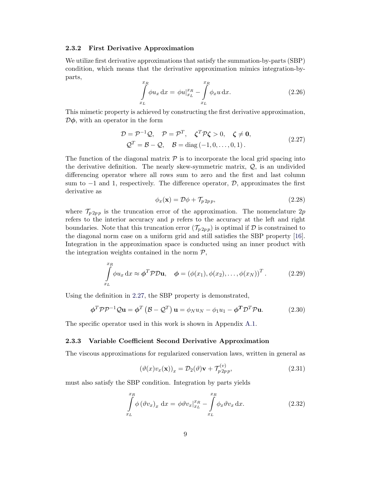#### <span id="page-12-0"></span>2.3.2 First Derivative Approximation

We utilize first derivative approximations that satisfy the summation-by-parts (SBP) condition, which means that the derivative approximation mimics integration-byparts,

$$
\int_{x_L}^{x_R} \phi u_x \, dx = \phi u|_{x_L}^{x_R} - \int_{x_L}^{x_R} \phi_x u \, dx.
$$
\n(2.26)

This mimetic property is achieved by constructing the first derivative approximation,  $\mathcal{D}\phi$ , with an operator in the form

<span id="page-12-2"></span>
$$
\mathcal{D} = \mathcal{P}^{-1}\mathcal{Q}, \quad \mathcal{P} = \mathcal{P}^{T}, \quad \zeta^{T}\mathcal{P}\zeta > 0, \quad \zeta \neq \mathbf{0},
$$
  

$$
\mathcal{Q}^{T} = \mathcal{B} - \mathcal{Q}, \quad \mathcal{B} = \text{diag}(-1, 0, \dots, 0, 1).
$$
 (2.27)

The function of the diagonal matrix  $P$  is to incorporate the local grid spacing into the derivative definition. The nearly skew-symmetric matrix, Q, is an undivided differencing operator where all rows sum to zero and the first and last column sum to  $-1$  and 1, respectively. The difference operator,  $\mathcal{D}$ , approximates the first derivative as

$$
\phi_x(\mathbf{x}) = \mathcal{D}\phi + \mathcal{T}_{p\,2p\,p},\tag{2.28}
$$

where  $\mathcal{T}_{p 2p p}$  is the truncation error of the approximation. The nomenclature  $2p$ refers to the interior accuracy and  $p$  refers to the accuracy at the left and right boundaries. Note that this truncation error  $(\mathcal{T}_{p 2p p})$  is optimal if  $\mathcal D$  is constrained to the diagonal norm case on a uniform grid and still satisfies the SBP property [\[16\]](#page-44-10). Integration in the approximation space is conducted using an inner product with the integration weights contained in the norm  $P$ ,

$$
\int_{x_L}^{x_R} \phi u_x \, dx \approx \phi^T \mathcal{P} \mathcal{D} \mathbf{u}, \quad \phi = (\phi(x_1), \phi(x_2), \dots, \phi(x_N))^T.
$$
 (2.29)

Using the definition in [2.27,](#page-12-2) the SBP property is demonstrated,

$$
\phi^T \mathcal{P} \mathcal{P}^{-1} \mathcal{Q} \mathbf{u} = \phi^T \left( \mathcal{B} - \mathcal{Q}^T \right) \mathbf{u} = \phi_N u_N - \phi_1 u_1 - \phi^T \mathcal{D}^T \mathcal{P} \mathbf{u}.
$$
 (2.30)

The specific operator used in this work is shown in Appendix [A.1.](#page-47-1)

#### <span id="page-12-1"></span>2.3.3 Variable Coefficient Second Derivative Approximation

The viscous approximations for regularized conservation laws, written in general as

$$
(\vartheta(x)v_x(\mathbf{x}))_x = \mathcal{D}_2(\vartheta)\mathbf{v} + \mathcal{T}_{p\,2pp}^{(v)},\tag{2.31}
$$

must also satisfy the SBP condition. Integration by parts yields

$$
\int_{x_L}^{x_R} \phi \left( \vartheta v_x \right)_x \, \mathrm{d}x = \phi \vartheta v_x \big|_{x_L}^{x_R} - \int_{x_L}^{x_R} \phi_x \vartheta v_x \, \mathrm{d}x. \tag{2.32}
$$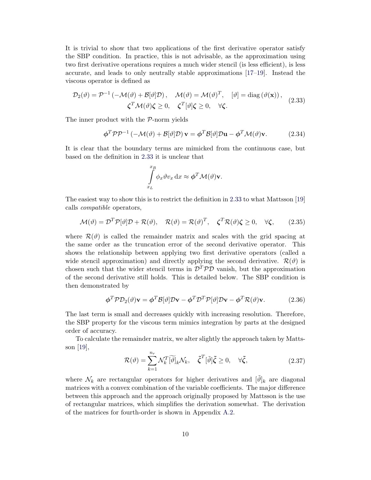It is trivial to show that two applications of the first derivative operator satisfy the SBP condition. In practice, this is not advisable, as the approximation using two first derivative operations requires a much wider stencil (is less efficient), is less accurate, and leads to only neutrally stable approximations [\[17–](#page-44-11)[19\]](#page-45-0). Instead the viscous operator is defined as

<span id="page-13-0"></span>
$$
\mathcal{D}_2(\vartheta) = \mathcal{P}^{-1}(-\mathcal{M}(\vartheta) + \mathcal{B}[\vartheta]\mathcal{D}), \quad \mathcal{M}(\vartheta) = \mathcal{M}(\vartheta)^T, \quad [\vartheta] = \text{diag}(\vartheta(\mathbf{x})),
$$
  

$$
\boldsymbol{\zeta}^T \mathcal{M}(\vartheta) \boldsymbol{\zeta} \ge 0, \quad \boldsymbol{\zeta}^T[\vartheta] \boldsymbol{\zeta} \ge 0, \quad \forall \boldsymbol{\zeta}.
$$
 (2.33)

The inner product with the P-norm yields

$$
\phi^T \mathcal{P} \mathcal{P}^{-1} \left( -\mathcal{M}(\vartheta) + \mathcal{B}[\vartheta] \mathcal{D} \right) \mathbf{v} = \phi^T \mathcal{B}[\vartheta] \mathcal{D} \mathbf{u} - \phi^T \mathcal{M}(\vartheta) \mathbf{v}.
$$
 (2.34)

It is clear that the boundary terms are mimicked from the continuous case, but based on the definition in [2.33](#page-13-0) it is unclear that

$$
\int_{x_L}^{x_R} \phi_x \vartheta v_x \, dx \approx \phi^T \mathcal{M}(\vartheta) \mathbf{v}.
$$

The easiest way to show this is to restrict the definition in [2.33](#page-13-0) to what Mattsson [\[19\]](#page-45-0) calls compatible operators,

$$
\mathcal{M}(\vartheta) = \mathcal{D}^T \mathcal{P}[\vartheta] \mathcal{D} + \mathcal{R}(\vartheta), \quad \mathcal{R}(\vartheta) = \mathcal{R}(\vartheta)^T, \quad \zeta^T \mathcal{R}(\vartheta) \zeta \ge 0, \quad \forall \zeta,
$$
 (2.35)

where  $\mathcal{R}(\vartheta)$  is called the remainder matrix and scales with the grid spacing at the same order as the truncation error of the second derivative operator. This shows the relationship between applying two first derivative operators (called a wide stencil approximation) and directly applying the second derivative.  $\mathcal{R}(\vartheta)$  is chosen such that the wider stencil terms in  $\mathcal{D}^T \mathcal{P} \mathcal{D}$  vanish, but the approximation of the second derivative still holds. This is detailed below. The SBP condition is then demonstrated by

$$
\phi^T \mathcal{P} \mathcal{D}_2(\vartheta) \mathbf{v} = \phi^T \mathcal{B}[\vartheta] \mathcal{D} \mathbf{v} - \phi^T \mathcal{D}^T \mathcal{P}[\vartheta] \mathcal{D} \mathbf{v} - \phi^T \mathcal{R}(\vartheta) \mathbf{v}.
$$
 (2.36)

The last term is small and decreases quickly with increasing resolution. Therefore, the SBP property for the viscous term mimics integration by parts at the designed order of accuracy.

To calculate the remainder matrix, we alter slightly the approach taken by Mattsson [\[19\]](#page-45-0),

<span id="page-13-1"></span>
$$
\mathcal{R}(\vartheta) = \sum_{k=1}^{n_r} \mathcal{N}_k^T [\widetilde{\vartheta}]_k \mathcal{N}_k, \quad \widetilde{\zeta}^T [\widetilde{\vartheta}] \widetilde{\zeta} \ge 0, \quad \forall \widetilde{\zeta}, \tag{2.37}
$$

where  $\mathcal{N}_k$  are rectangular operators for higher derivatives and  $[\tilde{\vartheta}]_k$  are diagonal matrices with a convex combination of the variable coefficients. The major difference between this approach and the approach originally proposed by Mattsson is the use of rectangular matrices, which simplifies the derivation somewhat. The derivation of the matrices for fourth-order is shown in Appendix [A.2.](#page-48-1)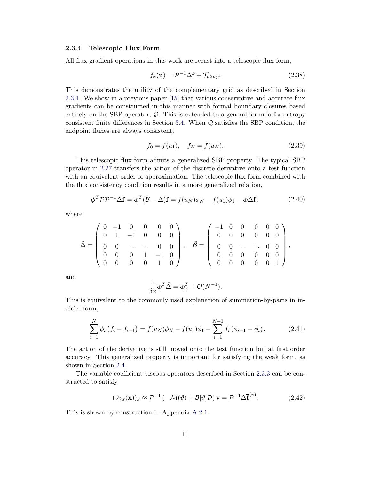#### <span id="page-14-0"></span>2.3.4 Telescopic Flux Form

All flux gradient operations in this work are recast into a telescopic flux form,

$$
f_x(\mathbf{u}) = \mathcal{P}^{-1} \Delta \overline{\mathbf{f}} + \mathcal{T}_{p \, 2p \, p}.
$$
 (2.38)

This demonstrates the utility of the complementary grid as described in Section [2.3.1.](#page-10-1) We show in a previous paper [\[15\]](#page-44-9) that various conservative and accurate flux gradients can be constructed in this manner with formal boundary closures based entirely on the SBP operator, Q. This is extended to a general formula for entropy consistent finite differences in Section [3.4.](#page-26-0) When  $\mathcal Q$  satisfies the SBP condition, the endpoint fluxes are always consistent,

<span id="page-14-1"></span>
$$
\bar{f}_0 = f(u_1), \quad \bar{f}_N = f(u_N). \tag{2.39}
$$

This telescopic flux form admits a generalized SBP property. The typical SBP operator in [2.27](#page-12-2) transfers the action of the discrete derivative onto a test function with an equivalent order of approximation. The telescopic flux form combined with the flux consistency condition results in a more generalized relation,

$$
\phi^T \mathcal{P} \mathcal{P}^{-1} \Delta \overline{\mathbf{f}} = \phi^T (\tilde{\mathcal{B}} - \tilde{\Delta}) \overline{\mathbf{f}} = f(u_N) \phi_N - f(u_1) \phi_1 - \phi \tilde{\Delta} \overline{\mathbf{f}}, \tag{2.40}
$$

where

$$
\tilde{\Delta} = \left( \begin{array}{cccccc} 0 & -1 & 0 & 0 & 0 & 0 \\ 0 & 1 & -1 & 0 & 0 & 0 \\ 0 & 0 & \ddots & \ddots & 0 & 0 \\ 0 & 0 & 0 & 1 & -1 & 0 \\ 0 & 0 & 0 & 0 & 1 & 0 \end{array} \right), \quad \tilde{\mathcal{B}} = \left( \begin{array}{cccccc} -1 & 0 & 0 & 0 & 0 & 0 \\ 0 & 0 & 0 & 0 & 0 & 0 \\ 0 & 0 & \ddots & \ddots & 0 & 0 \\ 0 & 0 & 0 & 0 & 0 & 0 \\ 0 & 0 & 0 & 0 & 0 & 1 \end{array} \right),
$$

and

$$
\frac{1}{\delta x} \boldsymbol{\phi}^T \tilde{\Delta} = \boldsymbol{\phi}_x^T + \mathcal{O}(N^{-1}).
$$

This is equivalent to the commonly used explanation of summation-by-parts in indicial form,

$$
\sum_{i=1}^{N} \phi_i \left( \bar{f}_i - \bar{f}_{i-1} \right) = f(u_N)\phi_N - f(u_1)\phi_1 - \sum_{i=1}^{N-1} \bar{f}_i \left( \phi_{i+1} - \phi_i \right). \tag{2.41}
$$

The action of the derivative is still moved onto the test function but at first order accuracy. This generalized property is important for satisfying the weak form, as shown in Section [2.4.](#page-15-1)

The variable coefficient viscous operators described in Section [2.3.3](#page-12-1) can be constructed to satisfy

$$
(\vartheta v_x(\mathbf{x}))_x \approx \mathcal{P}^{-1}(-\mathcal{M}(\vartheta) + \mathcal{B}[\vartheta]\mathcal{D})\mathbf{v} = \mathcal{P}^{-1}\Delta\overline{\mathbf{f}}^{(v)}.
$$
 (2.42)

This is shown by construction in Appendix [A.2.1.](#page-51-0)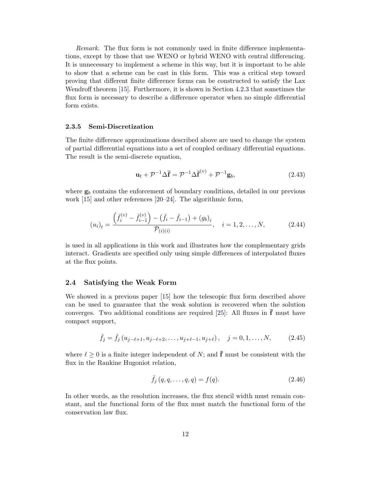Remark. The flux form is not commonly used in finite difference implementations, except by those that use WENO or hybrid WENO with central differencing. It is unnecessary to implement a scheme in this way, but it is important to be able to show that a scheme can be cast in this form. This was a critical step toward proving that different finite difference forms can be constructed to satisfy the Lax Wendroff theorem [\[15\]](#page-44-9). Furthermore, it is shown in Section [4.2.3](#page-35-0) that sometimes the flux form is necessary to describe a difference operator when no simple differential form exists.

#### <span id="page-15-0"></span>2.3.5 Semi-Discretization

The finite difference approximations described above are used to change the system of partial differential equations into a set of coupled ordinary differential equations. The result is the semi-discrete equation,

<span id="page-15-2"></span>
$$
\mathbf{u}_t + \mathcal{P}^{-1} \Delta \mathbf{F} = \mathcal{P}^{-1} \Delta \mathbf{F}^{(v)} + \mathcal{P}^{-1} \mathbf{g}_b,
$$
 (2.43)

where  $g_b$  contains the enforcement of boundary conditions, detailed in our previous work [\[15\]](#page-44-9) and other references [\[20–](#page-45-1)[24\]](#page-45-2). The algorithmic form,

$$
(u_i)_t = \frac{\left(\bar{f}_i^{(v)} - \bar{f}_{i-1}^{(v)}\right) - \left(\bar{f}_i - \bar{f}_{i-1}\right) + (g_b)_i}{\mathcal{P}_{(i)(i)}}, \quad i = 1, 2, \dots, N,
$$
\n(2.44)

is used in all applications in this work and illustrates how the complementary grids interact. Gradients are specified only using simple differences of interpolated fluxes at the flux points.

#### <span id="page-15-1"></span>2.4 Satisfying the Weak Form

We showed in a previous paper [\[15\]](#page-44-9) how the telescopic flux form described above can be used to guarantee that the weak solution is recovered when the solution converges. Two additional conditions are required [\[25\]](#page-45-3): All fluxes in  $\overline{f}$  must have compact support,

$$
\bar{f}_j = \bar{f}_j \left( u_{j-\ell+1}, u_{j-\ell+2}, \dots, u_{j+\ell-1}, u_{j+\ell} \right), \quad j = 0, 1, \dots, N, \quad (2.45)
$$

where  $\ell \geq 0$  is a finite integer independent of N; and  $\bar{f}$  must be consistent with the flux in the Rankine Hugoniot relation,

$$
\bar{f}_j(q, q, \dots, q, q) = f(q). \tag{2.46}
$$

In other words, as the resolution increases, the flux stencil width must remain constant, and the functional form of the flux must match the functional form of the conservation law flux.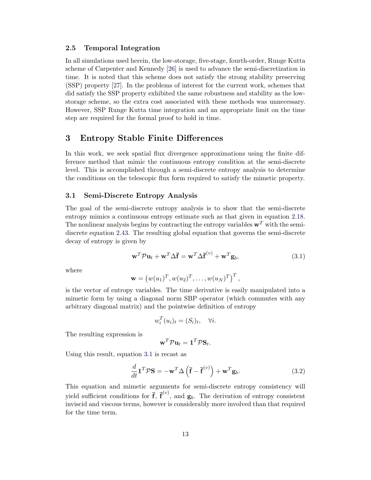## <span id="page-16-0"></span>2.5 Temporal Integration

In all simulations used herein, the low-storage, five-stage, fourth-order, Runge Kutta scheme of Carpenter and Kennedy [\[26\]](#page-45-4) is used to advance the semi-discretization in time. It is noted that this scheme does not satisfy the strong stability preserving (SSP) property [\[27\]](#page-45-5). In the problems of interest for the current work, schemes that did satisfy the SSP property exhibited the same robustness and stability as the lowstorage scheme, so the extra cost associated with these methods was unnecessary. However, SSP Runge Kutta time integration and an appropriate limit on the time step are required for the formal proof to hold in time.

# <span id="page-16-1"></span>3 Entropy Stable Finite Differences

In this work, we seek spatial flux divergence approximations using the finite difference method that mimic the continuous entropy condition at the semi-discrete level. This is accomplished through a semi-discrete entropy analysis to determine the conditions on the telescopic flux form required to satisfy the mimetic property.

#### <span id="page-16-2"></span>3.1 Semi-Discrete Entropy Analysis

The goal of the semi-discrete entropy analysis is to show that the semi-discrete entropy mimics a continuous entropy estimate such as that given in equation [2.18.](#page-9-1) The nonlinear analysis begins by contracting the entropy variables  $\mathbf{w}^T$  with the semidiscrete equation [2.43.](#page-15-2) The resulting global equation that governs the semi-discrete decay of entropy is given by

<span id="page-16-3"></span>
$$
\mathbf{w}^T \mathcal{P} \mathbf{u}_t + \mathbf{w}^T \Delta \mathbf{\bar{f}} = \mathbf{w}^T \Delta \mathbf{\bar{f}}^{(v)} + \mathbf{w}^T \mathbf{g}_b,
$$
(3.1)

where

$$
\mathbf{w} = (w(u_1)^T, w(u_2)^T, \dots, w(u_N)^T)^T,
$$

is the vector of entropy variables. The time derivative is easily manipulated into a mimetic form by using a diagonal norm SBP operator (which commutes with any arbitrary diagonal matrix) and the pointwise definition of entropy

$$
w_i^T(u_i)_t = (S_i)_t, \quad \forall i.
$$

The resulting expression is

$$
\mathbf{w}^T \mathcal{P} \mathbf{u}_t = \mathbf{1}^T \mathcal{P} \mathbf{S}_t.
$$

Using this result, equation [3.1](#page-16-3) is recast as

<span id="page-16-4"></span>
$$
\frac{d}{dt}\mathbf{1}^T\mathcal{P}\mathbf{S} = -\mathbf{w}^T\Delta\left(\overline{\mathbf{f}} - \overline{\mathbf{f}}^{(v)}\right) + \mathbf{w}^T\mathbf{g}_b.
$$
\n(3.2)

This equation and mimetic arguments for semi-discrete entropy consistency will yield sufficient conditions for  $\bar{f}$ ,  $\bar{f}^{(v)}$ , and  $g_b$ . The derivation of entropy consistent inviscid and viscous terms, however is considerably more involved than that required for the time term.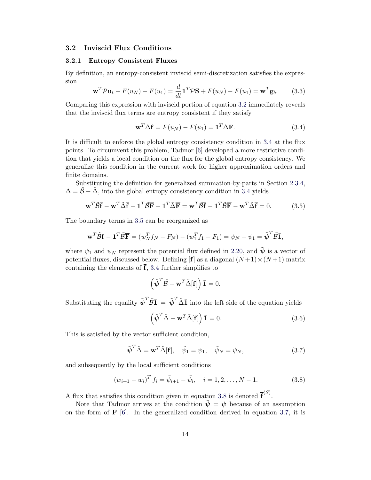#### <span id="page-17-0"></span>3.2 Inviscid Flux Conditions

#### <span id="page-17-1"></span>3.2.1 Entropy Consistent Fluxes

By definition, an entropy-consistent inviscid semi-discretization satisfies the expression

<span id="page-17-6"></span>
$$
\mathbf{w}^T \mathcal{P} \mathbf{u}_t + F(u_N) - F(u_1) = \frac{d}{dt} \mathbf{1}^T \mathcal{P} \mathbf{S} + F(u_N) - F(u_1) = \mathbf{w}^T \mathbf{g}_b.
$$
 (3.3)

Comparing this expression with inviscid portion of equation [3.2](#page-16-4) immediately reveals that the inviscid flux terms are entropy consistent if they satisfy

<span id="page-17-2"></span>
$$
\mathbf{w}^T \Delta \overline{\mathbf{f}} = F(u_N) - F(u_1) = \mathbf{1}^T \Delta \overline{\mathbf{F}}.
$$
 (3.4)

It is difficult to enforce the global entropy consistency condition in [3.4](#page-17-2) at the flux points. To circumvent this problem, Tadmor [\[6\]](#page-44-0) developed a more restrictive condition that yields a local condition on the flux for the global entropy consistency. We generalize this condition in the current work for higher approximation orders and finite domains.

Substituting the definition for generalized summation-by-parts in Section [2.3.4,](#page-14-0)  $\Delta = \mathcal{B} - \tilde{\Delta}$ , into the global entropy consistency condition in [3.4](#page-17-2) yields

<span id="page-17-3"></span>
$$
\mathbf{w}^T \tilde{\mathcal{B}} \overline{\mathbf{f}} - \mathbf{w}^T \tilde{\Delta} \overline{\mathbf{f}} - \mathbf{1}^T \tilde{\mathcal{B}} \overline{\mathbf{F}} + \mathbf{1}^T \tilde{\Delta} \overline{\mathbf{F}} = \mathbf{w}^T \tilde{\mathcal{B}} \overline{\mathbf{f}} - \mathbf{1}^T \tilde{\mathcal{B}} \overline{\mathbf{F}} - \mathbf{w}^T \tilde{\Delta} \overline{\mathbf{f}} = 0.
$$
 (3.5)

The boundary terms in [3.5](#page-17-3) can be reorganized as

$$
\mathbf{w}^T \tilde{\mathcal{B}} \overline{\mathbf{f}} - \mathbf{1}^T \tilde{\mathcal{B}} \overline{\mathbf{F}} = (w_N^T f_N - F_N) - (w_1^T f_1 - F_1) = \psi_N - \psi_1 = \tilde{\boldsymbol{\psi}}^T \tilde{\mathcal{B}} \overline{\mathbf{1}},
$$

where  $\psi_1$  and  $\psi_N$  represent the potential flux defined in [2.20,](#page-9-2) and  $\tilde{\psi}$  is a vector of potential fluxes, discussed below. Defining  $\vert \mathbf{\bar{f}} \vert$  as a diagonal  $(N+1) \times (N+1)$  matrix containing the elements of  $\overline{f}$ , [3.4](#page-17-2) further simplifies to

$$
\left(\tilde{\boldsymbol{\psi}}^T \tilde{\mathcal{B}} - \mathbf{w}^T \tilde{\Delta}[\mathbf{\bar{f}}]\right) \mathbf{\bar{1}} = 0.
$$

Substituting the equality  $\tilde{\psi}^T \tilde{\mathcal{B}} \bar{1} = \tilde{\psi}^T \tilde{\Delta} \bar{1}$  into the left side of the equation yields

$$
\left(\tilde{\boldsymbol{\psi}}^T \tilde{\boldsymbol{\Delta}} - \mathbf{w}^T \tilde{\boldsymbol{\Delta}}[\bar{\mathbf{f}}]\right) \bar{\mathbf{1}} = 0.
$$
\n(3.6)

This is satisfied by the vector sufficient condition,

<span id="page-17-5"></span>
$$
\tilde{\psi}^T \tilde{\Delta} = \mathbf{w}^T \tilde{\Delta}[\mathbf{\bar{f}}], \quad \tilde{\psi}_1 = \psi_1, \quad \tilde{\psi}_N = \psi_N,
$$
\n(3.7)

and subsequently by the local sufficient conditions

<span id="page-17-4"></span>
$$
(w_{i+1} - w_i)^T \bar{f}_i = \tilde{\psi}_{i+1} - \tilde{\psi}_i, \quad i = 1, 2, \dots, N - 1.
$$
 (3.8)

A flux that satisfies this condition given in equation [3.8](#page-17-4) is denoted  $\bar{\mathbf{f}}^{(S)}$ .

Note that Tadmor arrives at the condition  $\tilde{\psi} = \psi$  because of an assumption on the form of  $\overline{F}$  [\[6\]](#page-44-0). In the generalized condition derived in equation [3.7,](#page-17-5) it is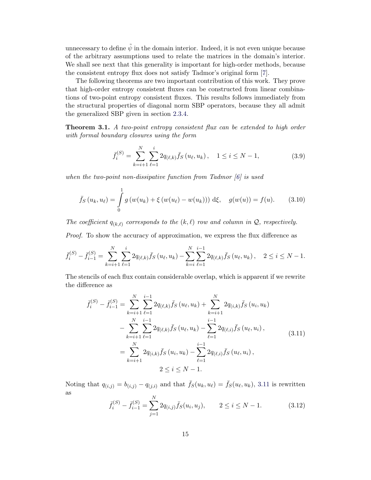unnecessary to define  $\tilde{\psi}$  in the domain interior. Indeed, it is not even unique because of the arbitrary assumptions used to relate the matrices in the domain's interior. We shall see next that this generality is important for high-order methods, because the consistent entropy flux does not satisfy Tadmor's original form [\[7\]](#page-44-1).

The following theorems are two important contribution of this work. They prove that high-order entropy consistent fluxes can be constructed from linear combinations of two-point entropy consistent fluxes. This results follows immediately from the structural properties of diagonal norm SBP operators, because they all admit the generalized SBP given in section [2.3.4.](#page-14-0)

<span id="page-18-4"></span>**Theorem 3.1.** A two-point entropy consistent flux can be extended to high order with formal boundary closures using the form

<span id="page-18-3"></span>
$$
\bar{f}_i^{(S)} = \sum_{k=i+1}^{N} \sum_{\ell=1}^{i} 2q_{(\ell,k)} \bar{f}_S(u_\ell, u_k), \quad 1 \le i \le N-1,
$$
\n(3.9)

when the two-point non-dissipative function from Tadmor [\[6\]](#page-44-0) is used

<span id="page-18-2"></span>
$$
\bar{f}_S(u_k, u_\ell) = \int_0^1 g(w(u_k) + \xi(w(u_\ell) - w(u_k))) \, d\xi, \quad g(w(u)) = f(u). \tag{3.10}
$$

The coefficient  $q_{(k,\ell)}$  corresponds to the  $(k,\ell)$  row and column in  $\mathcal{Q}$ , respectively. *Proof.* To show the accuracy of approximation, we express the flux difference as

$$
\bar{f}_i^{(S)} - \bar{f}_{i-1}^{(S)} = \sum_{k=i+1}^N \sum_{\ell=1}^i 2q_{(\ell,k)} \bar{f}_S(u_\ell, u_k) - \sum_{k=i}^N \sum_{\ell=1}^{i-1} 2q_{(\ell,k)} \bar{f}_S(u_\ell, u_k), \quad 2 \le i \le N-1.
$$

The stencils of each flux contain considerable overlap, which is apparent if we rewrite the difference as

<span id="page-18-0"></span>
$$
\bar{f}_{i}^{(S)} - \bar{f}_{i-1}^{(S)} = \sum_{k=i+1}^{N} \sum_{\ell=1}^{i-1} 2q_{(\ell,k)} \bar{f}_{S}(u_{\ell}, u_{k}) + \sum_{k=i+1}^{N} 2q_{(i,k)} \bar{f}_{S}(u_{i}, u_{k}) \n- \sum_{k=i+1}^{N} \sum_{\ell=1}^{i-1} 2q_{(\ell,k)} \bar{f}_{S}(u_{\ell}, u_{k}) - \sum_{\ell=1}^{i-1} 2q_{(\ell,i)} \bar{f}_{S}(u_{\ell}, u_{i}), \n= \sum_{k=i+1}^{N} 2q_{(i,k)} \bar{f}_{S}(u_{i}, u_{k}) - \sum_{\ell=1}^{i-1} 2q_{(\ell,i)} \bar{f}_{S}(u_{\ell}, u_{i}), \n2 \le i \le N - 1.
$$
\n(3.11)

Noting that  $q_{(i,j)} = b_{(i,j)} - q_{(j,i)}$  and that  $\bar{f}_S(u_k, u_\ell) = \bar{f}_S(u_\ell, u_k)$ , [3.11](#page-18-0) is rewritten as

<span id="page-18-1"></span>
$$
\bar{f}_i^{(S)} - \bar{f}_{i-1}^{(S)} = \sum_{j=1}^{N} 2q_{(i,j)} \bar{f}_S(u_i, u_j), \qquad 2 \le i \le N - 1.
$$
 (3.12)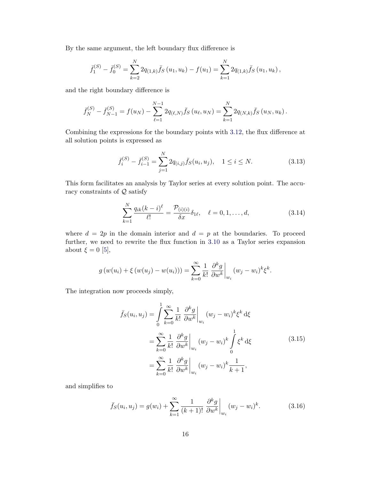By the same argument, the left boundary flux difference is

$$
\bar{f}_1^{(S)} - \bar{f}_0^{(S)} = \sum_{k=2}^N 2q_{(1,k)}\bar{f}_S(u_1, u_k) - f(u_1) = \sum_{k=1}^N 2q_{(1,k)}\bar{f}_S(u_1, u_k),
$$

and the right boundary difference is

$$
\bar{f}_{N}^{(S)} - \bar{f}_{N-1}^{(S)} = f(u_N) - \sum_{\ell=1}^{N-1} 2q_{(\ell,N)}\bar{f}_{S}(u_{\ell}, u_N) = \sum_{k=1}^{N} 2q_{(N,k)}\bar{f}_{S}(u_N, u_k).
$$

Combining the expressions for the boundary points with [3.12,](#page-18-1) the flux difference at all solution points is expressed as

<span id="page-19-0"></span>
$$
\bar{f}_i^{(S)} - \bar{f}_{i-1}^{(S)} = \sum_{j=1}^{N} 2q_{(i,j)} \bar{f}_S(u_i, u_j), \quad 1 \le i \le N.
$$
\n(3.13)

This form facilitates an analysis by Taylor series at every solution point. The accuracy constraints of  $Q$  satisfy

<span id="page-19-1"></span>
$$
\sum_{k=1}^{N} \frac{q_{ik}(k-i)^{\ell}}{\ell!} = \frac{\mathcal{P}_{(i)(i)}}{\delta x} \delta_{1\ell}, \quad \ell = 0, 1, ..., d,
$$
\n(3.14)

where  $d = 2p$  in the domain interior and  $d = p$  at the boundaries. To proceed further, we need to rewrite the flux function in [3.10](#page-18-2) as a Taylor series expansion about  $\xi = 0$  [\[5\]](#page-43-5),

$$
g(w(u_i) + \xi (w(u_j) - w(u_i))) = \sum_{k=0}^{\infty} \frac{1}{k!} \frac{\partial^k g}{\partial w^k} \Big|_{w_i} (w_j - w_i)^k \xi^k.
$$

The integration now proceeds simply,

$$
\bar{f}_S(u_i, u_j) = \int_0^1 \sum_{k=0}^\infty \frac{1}{k!} \frac{\partial^k g}{\partial w^k} \Big|_{w_i} (w_j - w_i)^k \xi^k d\xi
$$
  
\n
$$
= \sum_{k=0}^\infty \frac{1}{k!} \frac{\partial^k g}{\partial w^k} \Big|_{w_i} (w_j - w_i)^k \int_0^1 \xi^k d\xi
$$
  
\n
$$
= \sum_{k=0}^\infty \frac{1}{k!} \frac{\partial^k g}{\partial w^k} \Big|_{w_i} (w_j - w_i)^k \frac{1}{k+1},
$$
\n(3.15)

and simplifies to

$$
\bar{f}_S(u_i, u_j) = g(w_i) + \sum_{k=1}^{\infty} \frac{1}{(k+1)!} \left. \frac{\partial^k g}{\partial w^k} \right|_{w_i} (w_j - w_i)^k.
$$
 (3.16)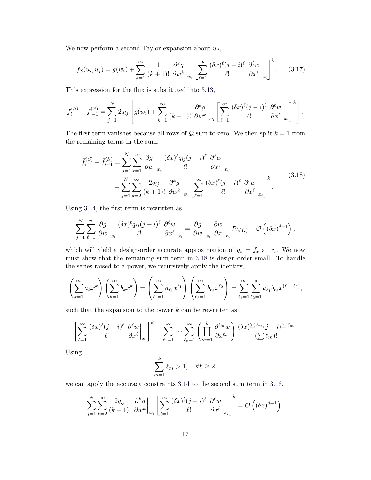We now perform a second Taylor expansion about  $w_i$ ,

$$
\bar{f}_S(u_i, u_j) = g(w_i) + \sum_{k=1}^{\infty} \frac{1}{(k+1)!} \left. \frac{\partial^k g}{\partial w^k} \right|_{w_i} \left[ \sum_{\ell=1}^{\infty} \frac{(\delta x)^{\ell} (j-i)^{\ell}}{\ell!} \left. \frac{\partial^{\ell} w}{\partial x^{\ell}} \right|_{x_i} \right]^k.
$$
 (3.17)

This expression for the flux is substituted into [3.13,](#page-19-0)

$$
\bar{f}_i^{(S)} - \bar{f}_{i-1}^{(S)} = \sum_{j=1}^N 2q_{ij} \left[ g(w_i) + \sum_{k=1}^\infty \frac{1}{(k+1)!} \left. \frac{\partial^k g}{\partial w^k} \right|_{w_i} \left[ \sum_{\ell=1}^\infty \frac{(\delta x)^{\ell} (j-i)^{\ell}}{\ell!} \left. \frac{\partial^{\ell} w}{\partial x^{\ell}} \right|_{x_i} \right]^k \right].
$$

The first term vanishes because all rows of  $Q$  sum to zero. We then split  $k = 1$  from the remaining terms in the sum,

<span id="page-20-0"></span>
$$
\bar{f}_{i}^{(S)} - \bar{f}_{i-1}^{(S)} = \sum_{j=1}^{N} \sum_{\ell=1}^{\infty} \frac{\partial g}{\partial w} \bigg|_{w_{i}} \frac{(\delta x)^{\ell} q_{ij} (j-i)^{\ell}}{\ell!} \frac{\partial^{\ell} w}{\partial x^{\ell}} \bigg|_{x_{i}} \n+ \sum_{j=1}^{N} \sum_{k=2}^{\infty} \frac{2q_{ij}}{(k+1)!} \frac{\partial^{k} g}{\partial w^{k}} \bigg|_{w_{i}} \left[ \sum_{\ell=1}^{\infty} \frac{(\delta x)^{\ell} (j-i)^{\ell}}{\ell!} \frac{\partial^{\ell} w}{\partial x^{\ell}} \bigg|_{x_{i}} \right]^{k}.
$$
\n(3.18)

Using [3.14,](#page-19-1) the first term is rewritten as

$$
\sum_{j=1}^N\sum_{\ell=1}^\infty\frac{\partial g}{\partial w}\bigg|_{w_i}\frac{(\delta x)^\ell q_{ij}(j-i)^\ell}{\ell!}\frac{\partial^\ell w}{\partial x^\ell}\bigg|_{x_i}=\frac{\partial g}{\partial w}\bigg|_{w_i}\frac{\partial w}{\partial x}\bigg|_{x_i}\mathcal{P}_{(i)(i)}+\mathcal{O}\left((\delta x)^{d+1}\right),
$$

which will yield a design-order accurate approximation of  $g_x = f_x$  at  $x_i$ . We now must show that the remaining sum term in [3.18](#page-20-0) is design-order small. To handle the series raised to a power, we recursively apply the identity,

$$
\left(\sum_{k=1}^{\infty} a_k x^k\right) \left(\sum_{k=1}^{\infty} b_k x^k\right) = \left(\sum_{\ell_1=1}^{\infty} a_{\ell_1} x^{\ell_1}\right) \left(\sum_{\ell_2=1}^{\infty} b_{\ell_2} x^{\ell_2}\right) = \sum_{\ell_1=1}^{\infty} \sum_{\ell_2=1}^{\infty} a_{\ell_1} b_{\ell_2} x^{(\ell_1+\ell_2)},
$$

such that the expansion to the power  $k$  can be rewritten as

$$
\left[\sum_{\ell=1}^{\infty}\frac{(\delta x)^{\ell}(j-i)^{\ell}}{\ell!}\frac{\partial^{\ell} w}{\partial x^{\ell}}\bigg|_{x_i}\right]^{k}=\sum_{\ell_1=1}^{\infty}\cdots\sum_{\ell_k=1}^{\infty}\left(\prod_{m=1}^{k}\frac{\partial^{\ell_m} w}{\partial x^{\ell_m}}\right)\frac{(\delta x)^{\sum \ell_m}(j-i)^{\sum \ell_m}}{(\sum \ell_m)!}.
$$

Using

$$
\sum_{m=1}^{k} \ell_m > 1, \quad \forall k \ge 2,
$$

we can apply the accuracy constraints [3.14](#page-19-1) to the second sum term in [3.18,](#page-20-0)

$$
\sum_{j=1}^N \sum_{k=2}^\infty \frac{2q_{ij}}{(k+1)!} \left. \frac{\partial^k g}{\partial w^k} \right|_{w_i} \left[ \sum_{\ell=1}^\infty \frac{(\delta x)^{\ell} (j-i)^{\ell}}{\ell!} \left. \frac{\partial^{\ell} w}{\partial x^{\ell}} \right|_{x_i} \right]^k = \mathcal{O}\left( (\delta x)^{d+1} \right).
$$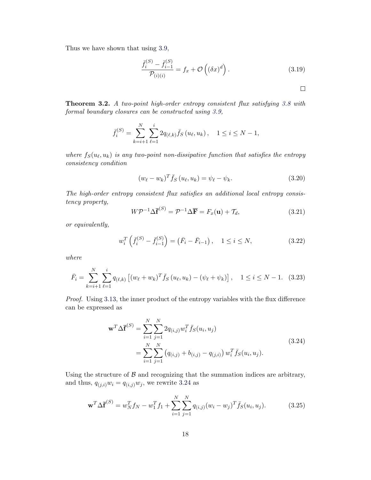Thus we have shown that using [3.9,](#page-18-3)

<span id="page-21-4"></span>
$$
\frac{\bar{f}_i^{(S)} - \bar{f}_{i-1}^{(S)}}{\mathcal{P}_{(i)(i)}} = f_x + \mathcal{O}\left((\delta x)^d\right). \tag{3.19}
$$

<span id="page-21-6"></span>Theorem 3.2. A two-point high-order entropy consistent flux satisfying [3.8](#page-17-4) with formal boundary closures can be constructed using [3.9,](#page-18-3)

$$
\bar{f}_i^{(S)} = \sum_{k=i+1}^N \sum_{\ell=1}^i 2q_{(\ell,k)} \bar{f}_S(u_\ell, u_k), \quad 1 \le i \le N-1,
$$

where  $f_S(u_\ell, u_k)$  is any two-point non-dissipative function that satisfies the entropy consistency condition

<span id="page-21-1"></span>
$$
(w_{\ell} - w_k)^T \bar{f}_S (u_{\ell}, u_k) = \psi_{\ell} - \psi_k. \tag{3.20}
$$

The high-order entropy consistent flux satisfies an additional local entropy consistency property,  $\frac{1}{2}$ 

<span id="page-21-3"></span>
$$
W\mathcal{P}^{-1}\Delta\overline{\mathbf{f}}^{(S)} = \mathcal{P}^{-1}\Delta\overline{\mathbf{F}} = F_x(\mathbf{u}) + \mathcal{T}_d,\tag{3.21}
$$

or equivalently,

<span id="page-21-5"></span>
$$
w_i^T \left( \bar{f}_i^{(S)} - \bar{f}_{i-1}^{(S)} \right) = \left( \bar{F}_i - \bar{F}_{i-1} \right), \quad 1 \le i \le N,
$$
\n(3.22)

where

$$
\bar{F}_i = \sum_{k=i+1}^{N} \sum_{\ell=1}^{i} q_{(\ell,k)} \left[ (w_{\ell} + w_k)^T \bar{f}_S(u_{\ell}, u_k) - (\psi_{\ell} + \psi_k) \right], \quad 1 \le i \le N-1. \tag{3.23}
$$

Proof. Using [3.13,](#page-19-0) the inner product of the entropy variables with the flux difference can be expressed as

<span id="page-21-0"></span>
$$
\mathbf{w}^T \Delta \overline{\mathbf{f}}^{(S)} = \sum_{i=1}^N \sum_{j=1}^N 2q_{(i,j)} w_i^T \overline{f}_S(u_i, u_j)
$$
  
= 
$$
\sum_{i=1}^N \sum_{j=1}^N (q_{(i,j)} + b_{(i,j)} - q_{(j,i)}) w_i^T \overline{f}_S(u_i, u_j).
$$
 (3.24)

Using the structure of  $\beta$  and recognizing that the summation indices are arbitrary, and thus,  $q_{(j,i)}w_i = q_{(i,j)}w_j$ , we rewrite [3.24](#page-21-0) as

<span id="page-21-2"></span>
$$
\mathbf{w}^T \Delta \overline{\mathbf{f}}^{(S)} = w_N^T f_N - w_1^T f_1 + \sum_{i=1}^N \sum_{j=1}^N q_{(i,j)} (w_i - w_j)^T \overline{f}_S(u_i, u_j).
$$
(3.25)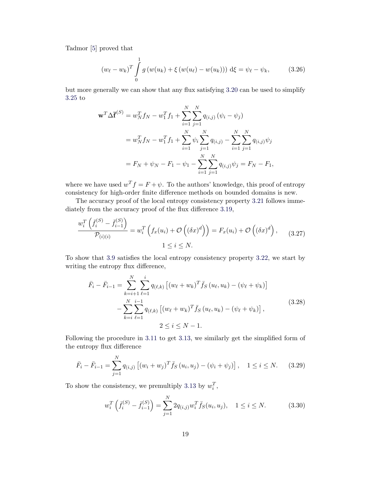Tadmor [\[5\]](#page-43-5) proved that

$$
(w_{\ell} - w_k)^T \int_{0}^{1} g(w(u_k) + \xi (w(u_{\ell}) - w(u_k))) d\xi = \psi_{\ell} - \psi_k, \qquad (3.26)
$$

but more generally we can show that any flux satisfying [3.20](#page-21-1) can be used to simplify [3.25](#page-21-2) to

$$
\mathbf{w}^T \Delta \overline{\mathbf{f}}^{(S)} = w_N^T f_N - w_1^T f_1 + \sum_{i=1}^N \sum_{j=1}^N q_{(i,j)} (\psi_i - \psi_j)
$$
  
= 
$$
w_N^T f_N - w_1^T f_1 + \sum_{i=1}^N \psi_i \sum_{j=1}^N q_{(i,j)} - \sum_{i=1}^N \sum_{j=1}^N q_{(i,j)} \psi_j
$$
  
= 
$$
F_N + \psi_N - F_1 - \psi_1 - \sum_{i=1}^N \sum_{j=1}^N q_{(i,j)} \psi_j = F_N - F_1,
$$

where we have used  $w^T f = F + \psi$ . To the authors' knowledge, this proof of entropy consistency for high-order finite difference methods on bounded domains is new.

The accuracy proof of the local entropy consistency property [3.21](#page-21-3) follows immediately from the accuracy proof of the flux difference [3.19,](#page-21-4)

$$
\frac{w_i^T \left(\bar{f}_i^{(S)} - \bar{f}_{i-1}^{(S)}\right)}{\mathcal{P}_{(i)(i)}} = w_i^T \left(f_x(u_i) + \mathcal{O}\left((\delta x)^d\right)\right) = F_x(u_i) + \mathcal{O}\left((\delta x)^d\right),\qquad(3.27)
$$
\n
$$
1 \le i \le N.
$$

To show that [3.9](#page-18-3) satisfies the local entropy consistency property [3.22,](#page-21-5) we start by writing the entropy flux difference,

$$
\bar{F}_i - \bar{F}_{i-1} = \sum_{k=i+1}^N \sum_{\ell=1}^i q_{(\ell,k)} \left[ (w_\ell + w_k)^T \bar{f}_S (u_\ell, u_k) - (\psi_\ell + \psi_k) \right] \n- \sum_{k=i}^N \sum_{\ell=1}^{i-1} q_{(\ell,k)} \left[ (w_\ell + w_k)^T \bar{f}_S (u_\ell, u_k) - (\psi_\ell + \psi_k) \right],
$$
\n(3.28)  
\n
$$
2 \le i \le N - 1.
$$

Following the procedure in [3.11](#page-18-0) to get [3.13,](#page-19-0) we similarly get the simplified form of the entropy flux difference

<span id="page-22-0"></span>
$$
\bar{F}_i - \bar{F}_{i-1} = \sum_{j=1}^N q_{(i,j)} \left[ (w_i + w_j)^T \bar{f}_S(u_i, u_j) - (\psi_i + \psi_j) \right], \quad 1 \le i \le N. \tag{3.29}
$$

To show the consistency, we premultiply [3.13](#page-19-0) by  $w_i^T$ ,

$$
w_i^T \left( \bar{f}_i^{(S)} - \bar{f}_{i-1}^{(S)} \right) = \sum_{j=1}^N 2q_{(i,j)} w_i^T \bar{f}_S(u_i, u_j), \quad 1 \le i \le N. \tag{3.30}
$$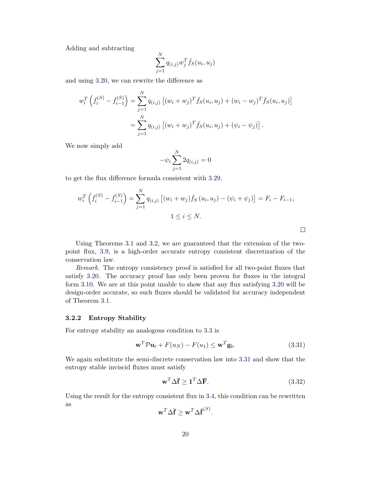Adding and subtracting

$$
\sum_{j=1}^N q_{(i,j)} w_j^T \bar{f}_S(u_i, u_j)
$$

and using [3.20,](#page-21-1) we can rewrite the difference as

$$
w_i^T \left( \bar{f}_i^{(S)} - \bar{f}_{i-1}^{(S)} \right) = \sum_{j=1}^N q_{(i,j)} \left[ (w_i + w_j)^T \bar{f}_S(u_i, u_j) + (w_i - w_j)^T \bar{f}_S(u_i, u_j) \right]
$$
  
= 
$$
\sum_{j=1}^N q_{(i,j)} \left[ (w_i + w_j)^T \bar{f}_S(u_i, u_j) + (\psi_i - \psi_j) \right].
$$

We now simply add

$$
-\psi_i\sum_{j=1}^N2q_{(i,j)}=0
$$

to get the flux difference formula consistent with [3.29,](#page-22-0)

$$
w_i^T \left( \bar{f}_i^{(S)} - \bar{f}_{i-1}^{(S)} \right) = \sum_{j=1}^N q_{(i,j)} \left[ (w_i + w_j) \bar{f}_S \left( u_i, u_j \right) - (\psi_i + \psi_j) \right] = F_i - F_{i-1},
$$
  

$$
1 \le i \le N.
$$

Using Theorems [3.1](#page-18-4) and [3.2,](#page-21-6) we are guaranteed that the extension of the twopoint flux, [3.9,](#page-18-3) is a high-order accurate entropy consistent discretization of the conservation law.

Remark. The entropy consistency proof is satisfied for all two-point fluxes that satisfy [3.20.](#page-21-1) The accuracy proof has only been proven for fluxes in the integral form [3.10.](#page-18-2) We are at this point unable to show that any flux satisfying [3.20](#page-21-1) will be design-order accurate, so such fluxes should be validated for accuracy independent of Theorem [3.1.](#page-18-4)

#### <span id="page-23-0"></span>3.2.2 Entropy Stability

For entropy stability an analogous condition to [3.3](#page-17-6) is

<span id="page-23-1"></span>
$$
\mathbf{w}^T \mathcal{P} \mathbf{u}_t + F(u_N) - F(u_1) \leq \mathbf{w}^T \mathbf{g}_b. \tag{3.31}
$$

We again substitute the semi-discrete conservation law into [3.31](#page-23-1) and show that the entropy stable inviscid fluxes must satisfy

<span id="page-23-2"></span>
$$
\mathbf{w}^T \Delta \overline{\mathbf{f}} \ge \mathbf{1}^T \Delta \overline{\mathbf{F}}.\tag{3.32}
$$

 $\Box$ 

Using the result for the entropy consistent flux in [3.4,](#page-17-2) this condition can be rewritten as

$$
\mathbf{w}^T \Delta \overline{\mathbf{f}} \geq \mathbf{w}^T \Delta \overline{\mathbf{f}}^{(S)}.
$$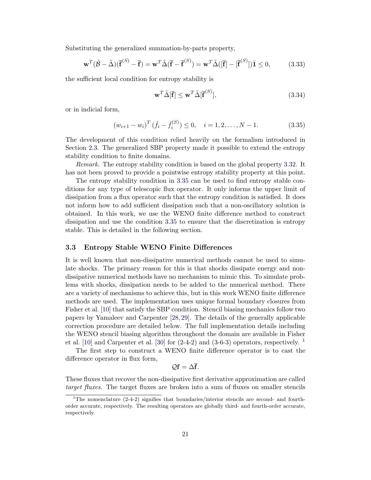Substituting the generalized summation-by-parts property,

$$
\mathbf{w}^T(\tilde{\mathcal{B}} - \tilde{\Delta})(\overline{\mathbf{f}}^{(S)} - \overline{\mathbf{f}}) = \mathbf{w}^T \tilde{\Delta}(\overline{\mathbf{f}} - \overline{\mathbf{f}}^{(S)}) = \mathbf{w}^T \tilde{\Delta}([\overline{\mathbf{f}}] - [\overline{\mathbf{f}}^{(S)}]) \overline{\mathbf{1}} \le 0,
$$
 (3.33)

the sufficient local condition for entropy stability is

$$
\mathbf{w}^T \tilde{\Delta}[\mathbf{\bar{f}}] \le \mathbf{w}^T \tilde{\Delta}[\mathbf{\bar{f}}^{(S)}],\tag{3.34}
$$

or in indicial form,

<span id="page-24-1"></span>
$$
(w_{i+1} - w_i)^T \left(\bar{f}_i - \bar{f}_i^{(S)}\right) \le 0, \quad i = 1, 2, \dots, N - 1. \tag{3.35}
$$

The development of this condition relied heavily on the formalism introduced in Section [2.3.](#page-10-0) The generalized SBP property made it possible to extend the entropy stability condition to finite domains.

Remark. The entropy stability condition is based on the global property [3.32.](#page-23-2) It has not been proved to provide a pointwise entropy stability property at this point.

The entropy stability condition in [3.35](#page-24-1) can be used to find entropy stable conditions for any type of telescopic flux operator. It only informs the upper limit of dissipation from a flux operator such that the entropy condition is satisfied. It does not inform how to add sufficient dissipation such that a non-oscillatory solution is obtained. In this work, we use the WENO finite difference method to construct dissipation and use the condition [3.35](#page-24-1) to ensure that the discretization is entropy stable. This is detailed in the following section.

## <span id="page-24-0"></span>3.3 Entropy Stable WENO Finite Differences

It is well known that non-dissipative numerical methods cannot be used to simulate shocks. The primary reason for this is that shocks dissipate energy and nondissipative numerical methods have no mechanism to mimic this. To simulate problems with shocks, dissipation needs to be added to the numerical method. There are a variety of mechanisms to achieve this, but in this work WENO finite difference methods are used. The implementation uses unique formal boundary closures from Fisher et al. [\[10\]](#page-44-4) that satisfy the SBP condition. Stencil biasing mechanics follow two papers by Yamaleev and Carpenter [\[28,](#page-45-6) [29\]](#page-45-7). The details of the generally applicable correction procedure are detailed below. The full implementation details including the WENO stencil biasing algorithm throughout the domain are available in Fisher et al. [\[10\]](#page-44-4) and Carpenter et al. [\[30\]](#page-45-8) for  $(2-4-2)$  and  $(3-6-3)$  operators, respectively. <sup>[1](#page-24-2)</sup>

The first step to construct a WENO finite difference operator is to cast the difference operator in flux form,

$$
Q\mathbf{f}=\Delta\overline{\mathbf{f}}.
$$

These fluxes that recover the non-dissipative first derivative approximation are called target fluxes. The target fluxes are broken into a sum of fluxes on smaller stencils

<span id="page-24-2"></span><sup>&</sup>lt;sup>1</sup>The nomenclature  $(2-4-2)$  signifies that boundaries/interior stencils are second- and fourthorder accurate, respectively. The resulting operators are globally third- and fourth-order accurate, respectively.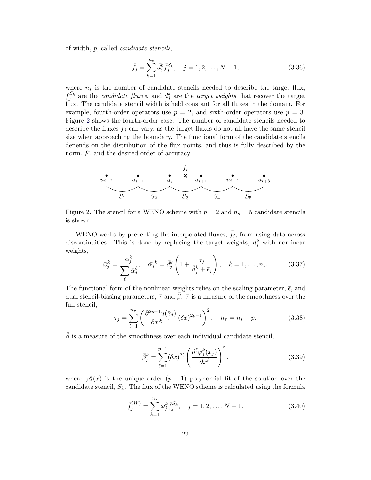of width, p, called candidate stencils,

$$
\bar{f}_j = \sum_{k=1}^{n_s} \bar{d}_j^k \bar{f}_j^{S_k}, \quad j = 1, 2, \dots, N - 1,
$$
\n(3.36)

where  $n_s$  is the number of candidate stencils needed to describe the target flux,  $\bar{f}_j^{S_k}$  are the *candidate fluxes*, and  $\bar{d}_j^k$  are the *target weights* that recover the target flux. The candidate stencil width is held constant for all fluxes in the domain. For example, fourth-order operators use  $p = 2$ , and sixth-order operators use  $p = 3$ . Figure [2](#page-25-0) shows the fourth-order case. The number of candidate stencils needed to describe the fluxes  $f_j$  can vary, as the target fluxes do not all have the same stencil size when approaching the boundary. The functional form of the candidate stencils depends on the distribution of the flux points, and thus is fully described by the norm, P, and the desired order of accuracy.



<span id="page-25-0"></span>Figure 2. The stencil for a WENO scheme with  $p = 2$  and  $n_s = 5$  candidate stencils is shown.

WENO works by preventing the interpolated fluxes,  $\bar{f}_j$ , from using data across discontinuities. This is done by replacing the target weights,  $\bar{d}_j^k$  with nonlinear weights,

$$
\bar{\omega}_j^k = \frac{\bar{\alpha}_j^k}{\sum_{\ell} \bar{\alpha}_j^{\ell}}, \quad \bar{\alpha}_j^k = \bar{d}_j^k \left( 1 + \frac{\bar{\tau}_j}{\bar{\beta}_j^k + \bar{\epsilon}_j} \right), \quad k = 1, \dots, n_s. \tag{3.37}
$$

The functional form of the nonlinear weights relies on the scaling parameter,  $\bar{\epsilon}$ , and dual stencil-biasing parameters,  $\bar{\tau}$  and  $\bar{\beta}$ .  $\bar{\tau}$  is a measure of the smoothness over the full stencil,

$$
\bar{\tau}_j = \sum_{i=1}^{n_{\tau}} \left( \frac{\partial^{2p-1} u(\bar{x}_j)}{\partial x^{2p-1}} (\delta x)^{2p-1} \right)^2, \quad n_{\tau} = n_s - p. \tag{3.38}
$$

 $\bar{\beta}$  is a measure of the smoothness over each individual candidate stencil,

$$
\bar{\beta}_j^k = \sum_{\ell=1}^{p-1} (\delta x)^{2\ell} \left( \frac{\partial^\ell \varphi_j^k(\bar{x}_j)}{\partial x^\ell} \right)^2, \tag{3.39}
$$

where  $\varphi_j^k(x)$  is the unique order  $(p-1)$  polynomial fit of the solution over the candidate stencil,  $S_k$ . The flux of the WENO scheme is calculated using the formula

$$
\bar{f}_j^{(W)} = \sum_{k=1}^{n_s} \bar{\omega}_j^k \bar{f}_j^{S_k}, \quad j = 1, 2, \dots, N - 1.
$$
 (3.40)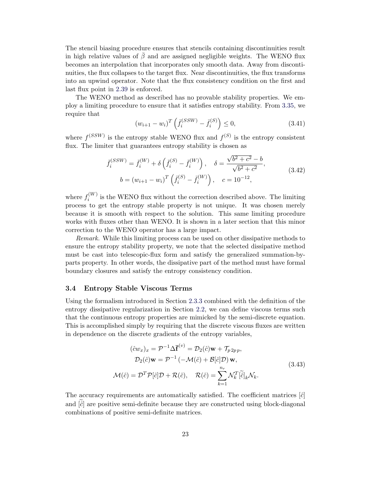The stencil biasing procedure ensures that stencils containing discontinuities result in high relative values of  $\bar{\beta}$  and are assigned negligible weights. The WENO flux becomes an interpolation that incorporates only smooth data. Away from discontinuities, the flux collapses to the target flux. Near discontinuities, the flux transforms into an upwind operator. Note that the flux consistency condition on the first and last flux point in [2.39](#page-14-1) is enforced.

The WENO method as described has no provable stability properties. We employ a limiting procedure to ensure that it satisfies entropy stability. From [3.35,](#page-24-1) we require that

$$
(w_{i+1} - w_i)^T \left( \bar{f}_i^{(SSW)} - \bar{f}_i^{(S)} \right) \le 0,
$$
\n(3.41)

where  $f^{(SSW)}$  is the entropy stable WENO flux and  $f^{(S)}$  is the entropy consistent flux. The limiter that guarantees entropy stability is chosen as

<span id="page-26-1"></span>
$$
\bar{f}_i^{(SSW)} = \bar{f}_i^{(W)} + \delta \left( \bar{f}_i^{(S)} - \bar{f}_i^{(W)} \right), \quad \delta = \frac{\sqrt{b^2 + c^2} - b}{\sqrt{b^2 + c^2}},
$$
\n
$$
b = (w_{i+1} - w_i)^T \left( \bar{f}_i^{(S)} - \bar{f}_i^{(W)} \right), \quad c = 10^{-12},
$$
\n(3.42)

where  $f_i^{(W)}$  $i^{(W)}$  is the WENO flux without the correction described above. The limiting process to get the entropy stable property is not unique. It was chosen merely because it is smooth with respect to the solution. This same limiting procedure works with fluxes other than WENO. It is shown in a later section that this minor correction to the WENO operator has a large impact.

Remark. While this limiting process can be used on other dissipative methods to ensure the entropy stability property, we note that the selected dissipative method must be cast into telescopic-flux form and satisfy the generalized summation-byparts property. In other words, the dissipative part of the method must have formal boundary closures and satisfy the entropy consistency condition.

#### <span id="page-26-0"></span>3.4 Entropy Stable Viscous Terms

Using the formalism introduced in Section [2.3.3](#page-12-1) combined with the definition of the entropy dissipative regularization in Section [2.2,](#page-8-0) we can define viscous terms such that the continuous entropy properties are mimicked by the semi-discrete equation. This is accomplished simply by requiring that the discrete viscous fluxes are written in dependence on the discrete gradients of the entropy variables,

<span id="page-26-2"></span>
$$
(\hat{c}w_x)_x = \mathcal{P}^{-1}\Delta \overline{\mathbf{f}}^{(v)} = \mathcal{D}_2(\hat{c})\mathbf{w} + \mathcal{T}_{p2pp},
$$
  
\n
$$
\mathcal{D}_2(\hat{c})\mathbf{w} = \mathcal{P}^{-1}(-\mathcal{M}(\hat{c}) + \mathcal{B}[\hat{c}]\mathcal{D})\mathbf{w},
$$
  
\n
$$
\mathcal{M}(\hat{c}) = \mathcal{D}^T \mathcal{P}[\hat{c}]\mathcal{D} + \mathcal{R}(\hat{c}), \quad \mathcal{R}(\hat{c}) = \sum_{k=1}^{n_r} \mathcal{N}_k^T[\tilde{\hat{c}}]_k \mathcal{N}_k.
$$
\n(3.43)

The accuracy requirements are automatically satisfied. The coefficient matrices  $[\hat{c}]$ and  $[\hat{c}]$  are positive semi-definite because they are constructed using block-diagonal combinations of positive semi-definite matrices.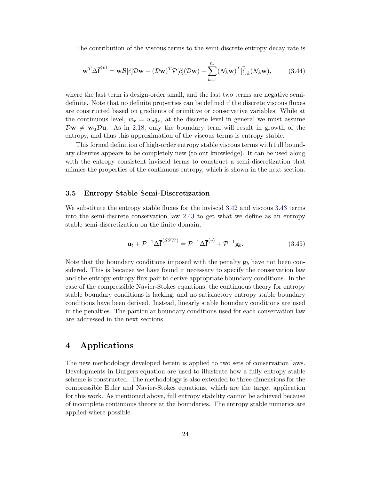The contribution of the viscous terms to the semi-discrete entropy decay rate is

$$
\mathbf{w}^T \Delta \overline{\mathbf{f}}^{(v)} = \mathbf{w} \mathcal{B}[\hat{c}] \mathcal{D} \mathbf{w} - (\mathcal{D} \mathbf{w})^T \mathcal{P}[\hat{c}] (\mathcal{D} \mathbf{w}) - \sum_{k=1}^{n_r} (\mathcal{N}_k \mathbf{w})^T [\tilde{\hat{c}}]_k (\mathcal{N}_k \mathbf{w}), \tag{3.44}
$$

where the last term is design-order small, and the last two terms are negative semidefinite. Note that no definite properties can be defined if the discrete viscous fluxes are constructed based on gradients of primitive or conservative variables. While at the continuous level,  $w_x = w_q q_x$ , at the discrete level in general we must assume  $\mathcal{D}w \neq w_{u}\mathcal{D}u$ . As in [2.18,](#page-9-1) only the boundary term will result in growth of the entropy, and thus this approximation of the viscous terms is entropy stable.

This formal definition of high-order entropy stable viscous terms with full boundary closures appears to be completely new (to our knowledge). It can be used along with the entropy consistent inviscid terms to construct a semi-discretization that mimics the properties of the continuous entropy, which is shown in the next section.

### <span id="page-27-0"></span>3.5 Entropy Stable Semi-Discretization

We substitute the entropy stable fluxes for the inviscid [3.42](#page-26-1) and viscous [3.43](#page-26-2) terms into the semi-discrete conservation law [2.43](#page-15-2) to get what we define as an entropy stable semi-discretization on the finite domain,

<span id="page-27-2"></span>
$$
\mathbf{u}_t + \mathcal{P}^{-1} \Delta \overline{\mathbf{f}}^{(SSW)} = \mathcal{P}^{-1} \Delta \overline{\mathbf{f}}^{(v)} + \mathcal{P}^{-1} \mathbf{g}_b.
$$
 (3.45)

Note that the boundary conditions imposed with the penalty  $g_b$  have not been considered. This is because we have found it necessary to specify the conservation law and the entropy-entropy flux pair to derive appropriate boundary conditions. In the case of the compressible Navier-Stokes equations, the continuous theory for entropy stable boundary conditions is lacking, and no satisfactory entropy stable boundary conditions have been derived. Instead, linearly stable boundary conditions are used in the penalties. The particular boundary conditions used for each conservation law are addressed in the next sections.

# <span id="page-27-1"></span>4 Applications

The new methodology developed herein is applied to two sets of conservation laws. Developments in Burgers equation are used to illustrate how a fully entropy stable scheme is constructed. The methodology is also extended to three dimensions for the compressible Euler and Navier-Stokes equations, which are the target application for this work. As mentioned above, full entropy stability cannot be achieved because of incomplete continuous theory at the boundaries. The entropy stable numerics are applied where possible.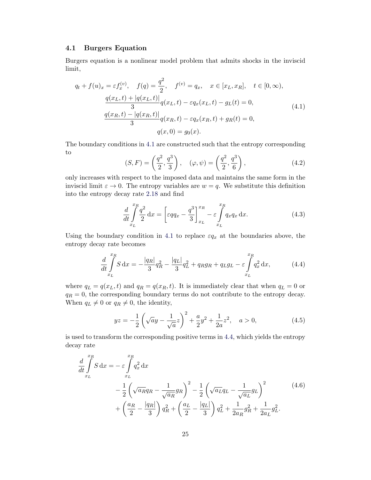## <span id="page-28-0"></span>4.1 Burgers Equation

Burgers equation is a nonlinear model problem that admits shocks in the inviscid limit,

<span id="page-28-1"></span>
$$
q_t + f(u)_x = \varepsilon f_x^{(v)}, \quad f(q) = \frac{q^2}{2}, \quad f^{(v)} = q_x, \quad x \in [x_L, x_R], \quad t \in [0, \infty),
$$

$$
\frac{q(x_L, t) + |q(x_L, t)|}{3} q(x_L, t) - \varepsilon q_x(x_L, t) - g_L(t) = 0,
$$

$$
\frac{q(x_R, t) - |q(x_R, t)|}{3} q(x_R, t) - \varepsilon q_x(x_R, t) + g_R(t) = 0,
$$

$$
q(x, 0) = g_0(x).
$$
(4.1)

The boundary conditions in [4.1](#page-28-1) are constructed such that the entropy corresponding to

$$
(S, F) = \left(\frac{q^2}{2}, \frac{q^3}{3}\right), \quad (\varphi, \psi) = \left(\frac{q^2}{2}, \frac{q^3}{6}\right), \tag{4.2}
$$

only increases with respect to the imposed data and maintains the same form in the inviscid limit  $\varepsilon \to 0$ . The entropy variables are  $w = q$ . We substitute this definition into the entropy decay rate [2.18](#page-9-1) and find

$$
\frac{d}{dt} \int_{x_L}^{x_R} \frac{q^2}{2} dx = \left[ \varepsilon q q_x - \frac{q^3}{3} \right]_{x_L}^{x_R} - \varepsilon \int_{x_L}^{x_R} q_x dx.
$$
\n(4.3)

Using the boundary condition in [4.1](#page-28-1) to replace  $\varepsilon q_x$  at the boundaries above, the entropy decay rate becomes

<span id="page-28-2"></span>
$$
\frac{d}{dt} \int_{x_L}^{x_R} S \, dx = -\frac{|q_R|}{3} q_R^2 - \frac{|q_L|}{3} q_L^2 + q_R g_R + q_L g_L - \varepsilon \int_{x_L}^{x_R} q_x^2 \, dx,\tag{4.4}
$$

where  $q_L = q(x_L, t)$  and  $q_R = q(x_R, t)$ . It is immediately clear that when  $q_L = 0$  or  $q_R = 0$ , the corresponding boundary terms do not contribute to the entropy decay. When  $q_L \neq 0$  or  $q_R \neq 0$ , the identity,

<span id="page-28-4"></span>
$$
yz = -\frac{1}{2} \left( \sqrt{a}y - \frac{1}{\sqrt{a}}z \right)^2 + \frac{a}{2}y^2 + \frac{1}{2a}z^2, \quad a > 0,
$$
 (4.5)

is used to transform the corresponding positive terms in [4.4,](#page-28-2) which yields the entropy decay rate

<span id="page-28-3"></span>
$$
\frac{d}{dt} \int_{x_L}^{x_R} S \, dx = -\varepsilon \int_{x_L}^{x_R} q_x^2 \, dx \n- \frac{1}{2} \left( \sqrt{a_R} q_R - \frac{1}{\sqrt{a_R}} g_R \right)^2 - \frac{1}{2} \left( \sqrt{a_L} q_L - \frac{1}{\sqrt{a_L}} g_L \right)^2 \n+ \left( \frac{a_R}{2} - \frac{|q_R|}{3} \right) q_R^2 + \left( \frac{a_L}{2} - \frac{|q_L|}{3} \right) q_L^2 + \frac{1}{2a_R} g_R^2 + \frac{1}{2a_L} g_L^2.
$$
\n(4.6)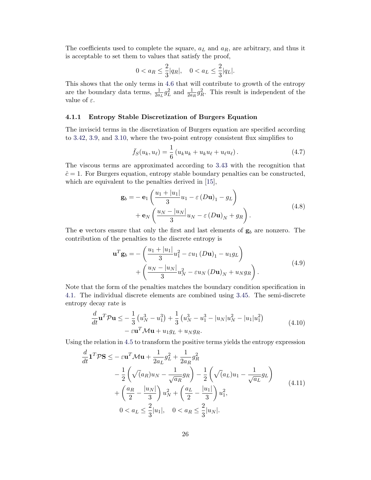The coefficients used to complete the square,  $a<sub>L</sub>$  and  $a<sub>R</sub>$ , are arbitrary, and thus it is acceptable to set them to values that satisfy the proof,

$$
0 < a_R \le \frac{2}{3}|q_R|, \quad 0 < a_L \le \frac{2}{3}|q_L|.
$$

This shows that the only terms in [4.6](#page-28-3) that will contribute to growth of the entropy are the boundary data terms,  $\frac{1}{2a_L}g_L^2$  and  $\frac{1}{2a_R}g_R^2$ . This result is independent of the value of  $\varepsilon$ .

#### <span id="page-29-0"></span>4.1.1 Entropy Stable Discretization of Burgers Equation

The inviscid terms in the discretization of Burgers equation are specified according to [3.42,](#page-26-1) [3.9,](#page-18-3) and [3.10,](#page-18-2) where the two-point entropy consistent flux simplifies to

$$
\bar{f}_S(u_k, u_\ell) = \frac{1}{6} (u_k u_k + u_k u_\ell + u_\ell u_\ell).
$$
 (4.7)

The viscous terms are approximated according to [3.43](#page-26-2) with the recognition that  $\hat{c} = 1$ . For Burgers equation, entropy stable boundary penalties can be constructed, which are equivalent to the penalties derived in [\[15\]](#page-44-9),

$$
\mathbf{g}_b = -\mathbf{e}_1 \left( \frac{u_1 + |u_1|}{3} u_1 - \varepsilon \left( D \mathbf{u} \right)_1 - g_L \right) + \mathbf{e}_N \left( \frac{u_N - |u_N|}{3} u_N - \varepsilon \left( D \mathbf{u} \right)_N + g_R \right).
$$
(4.8)

The e vectors ensure that only the first and last elements of  $g_b$  are nonzero. The contribution of the penalties to the discrete entropy is

$$
\mathbf{u}^{T}\mathbf{g}_{b} = -\left(\frac{u_{1} + |u_{1}|}{3}u_{1}^{2} - \varepsilon u_{1}(D\mathbf{u})_{1} - u_{1}g_{L}\right) + \left(\frac{u_{N} - |u_{N}|}{3}u_{N}^{2} - \varepsilon u_{N}(D\mathbf{u})_{N} + u_{N}g_{R}\right).
$$
\n(4.9)

Note that the form of the penalties matches the boundary condition specification in [4.1.](#page-28-1) The individual discrete elements are combined using [3.45.](#page-27-2) The semi-discrete entropy decay rate is

$$
\frac{d}{dt}\mathbf{u}^T \mathcal{P} \mathbf{u} \le -\frac{1}{3} \left( u_N^3 - u_1^3 \right) + \frac{1}{3} \left( u_N^3 - u_1^3 - |u_N| u_N^2 - |u_1| u_1^2 \right) \n- \varepsilon \mathbf{u}^T \mathcal{M} \mathbf{u} + u_1 g_L + u_N g_R.
$$
\n(4.10)

Using the relation in [4.5](#page-28-4) to transform the positive terms yields the entropy expression

$$
\frac{d}{dt}\mathbf{1}^T \mathcal{P} \mathbf{S} \le -\varepsilon \mathbf{u}^T \mathcal{M} \mathbf{u} + \frac{1}{2a_L} g_L^2 + \frac{1}{2a_R} g_R^2 \n- \frac{1}{2} \left( \sqrt{(a_R) u_N} - \frac{1}{\sqrt{a_R}} g_R \right) - \frac{1}{2} \left( \sqrt{(a_L) u_1} - \frac{1}{\sqrt{a_L}} g_L \right) \n+ \left( \frac{a_R}{2} - \frac{|u_N|}{3} \right) u_N^2 + \left( \frac{a_L}{2} - \frac{|u_1|}{3} \right) u_1^2, \n0 < a_L \le \frac{2}{3} |u_1|, \quad 0 < a_R \le \frac{2}{3} |u_N|.
$$
\n(4.11)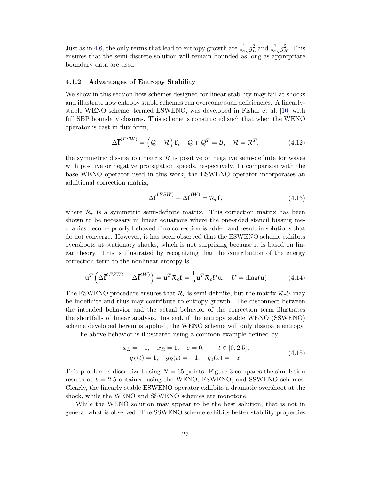Just as in [4.6,](#page-28-3) the only terms that lead to entropy growth are  $\frac{1}{2a_L}g_L^2$  and  $\frac{1}{2a_R}g_R^2$ . This ensures that the semi-discrete solution will remain bounded as long as appropriate boundary data are used.

#### <span id="page-30-0"></span>4.1.2 Advantages of Entropy Stability

We show in this section how schemes designed for linear stability may fail at shocks and illustrate how entropy stable schemes can overcome such deficiencies. A linearlystable WENO scheme, termed ESWENO, was developed in Fisher et al. [\[10\]](#page-44-4) with full SBP boundary closures. This scheme is constructed such that when the WENO operator is cast in flux form,

$$
\Delta \overline{\mathbf{f}}^{(ESW)} = (\tilde{\mathcal{Q}} + \tilde{\mathcal{R}}) \mathbf{f}, \quad \tilde{\mathcal{Q}} + \tilde{\mathcal{Q}}^T = \mathcal{B}, \quad \mathcal{R} = \mathcal{R}^T,
$$
\n(4.12)

the symmetric dissipation matrix  $\mathcal R$  is positive or negative semi-definite for waves with positive or negative propagation speeds, respectively. In comparison with the base WENO operator used in this work, the ESWENO operator incorporates an additional correction matrix,

$$
\Delta \overline{\mathbf{f}}^{(ESW)} - \Delta \overline{\mathbf{f}}^{(W)} = \mathcal{R}_c \mathbf{f},\tag{4.13}
$$

where  $\mathcal{R}_c$  is a symmetric semi-definite matrix. This correction matrix has been shown to be necessary in linear equations where the one-sided stencil biasing mechanics become poorly behaved if no correction is added and result in solutions that do not converge. However, it has been observed that the ESWENO scheme exhibits overshoots at stationary shocks, which is not surprising because it is based on linear theory. This is illustrated by recognizing that the contribution of the energy correction term to the nonlinear entropy is

$$
\mathbf{u}^T \left( \Delta \overline{\mathbf{f}}^{(ESW)} - \Delta \overline{\mathbf{f}}^{(W)} \right) = \mathbf{u}^T \mathcal{R}_c \mathbf{f} = \frac{1}{2} \mathbf{u}^T \mathcal{R}_c U \mathbf{u}, \quad U = \text{diag}(\mathbf{u}). \tag{4.14}
$$

The ESWENO procedure ensures that  $\mathcal{R}_c$  is semi-definite, but the matrix  $\mathcal{R}_c U$  may be indefinite and thus may contribute to entropy growth. The disconnect between the intended behavior and the actual behavior of the correction term illustrates the shortfalls of linear analysis. Instead, if the entropy stable WENO (SSWENO) scheme developed herein is applied, the WENO scheme will only dissipate entropy.

The above behavior is illustrated using a common example defined by

$$
x_L = -1, \quad x_R = 1, \quad \varepsilon = 0, \qquad t \in [0, 2.5],
$$
  
\n
$$
g_L(t) = 1, \quad g_R(t) = -1, \quad g_0(x) = -x.
$$
\n(4.15)

This problem is discretized using  $N = 65$  points. Figure [3](#page-31-1) compares the simulation results at  $t = 2.5$  obtained using the WENO, ESWENO, and SSWENO schemes. Clearly, the linearly stable ESWENO operator exhibits a dramatic overshoot at the shock, while the WENO and SSWENO schemes are monotone.

While the WENO solution may appear to be the best solution, that is not in general what is observed. The SSWENO scheme exhibits better stability properties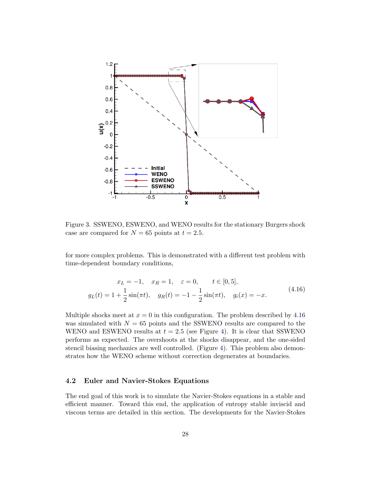

<span id="page-31-1"></span>Figure 3. SSWENO, ESWENO, and WENO results for the stationary Burgers shock case are compared for  $N = 65$  points at  $t = 2.5$ .

for more complex problems. This is demonstrated with a different test problem with time-dependent boundary conditions,

<span id="page-31-2"></span>
$$
x_L = -1, \quad x_R = 1, \quad \varepsilon = 0, \qquad t \in [0, 5],
$$
  

$$
g_L(t) = 1 + \frac{1}{2}\sin(\pi t), \quad g_R(t) = -1 - \frac{1}{2}\sin(\pi t), \quad g_i(x) = -x.
$$
 (4.16)

Multiple shocks meet at  $x = 0$  in this configuration. The problem described by [4.16](#page-31-2) was simulated with  $N = 65$  points and the SSWENO results are compared to the WENO and ESWENO results at  $t = 2.5$  (see Figure [4\)](#page-32-0). It is clear that SSWENO performs as expected. The overshoots at the shocks disappear, and the one-sided stencil biasing mechanics are well controlled. (Figure [4\)](#page-32-0). This problem also demonstrates how the WENO scheme without correction degenerates at boundaries.

#### <span id="page-31-0"></span>4.2 Euler and Navier-Stokes Equations

The end goal of this work is to simulate the Navier-Stokes equations in a stable and efficient manner. Toward this end, the application of entropy stable inviscid and viscous terms are detailed in this section. The developments for the Navier-Stokes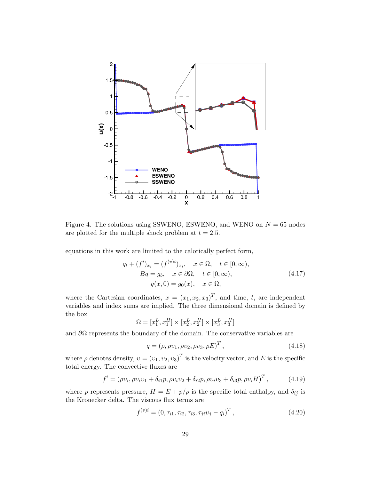

<span id="page-32-0"></span>Figure 4. The solutions using SSWENO, ESWENO, and WENO on  $N = 65$  nodes are plotted for the multiple shock problem at  $t = 2.5$ .

equations in this work are limited to the calorically perfect form,

<span id="page-32-1"></span>
$$
q_t + (f^i)_{x_i} = (f^{(v)i})_{x_i}, \quad x \in \Omega, \quad t \in [0, \infty), Bq = g_b, \quad x \in \partial\Omega, \quad t \in [0, \infty), q(x, 0) = g_0(x), \quad x \in \Omega,
$$
 (4.17)

where the Cartesian coordinates,  $x = (x_1, x_2, x_3)^T$ , and time, t, are independent variables and index sums are implied. The three dimensional domain is defined by the box

$$
\Omega = [x_1^L, x_1^H] \times [x_2^L, x_2^H] \times [x_3^L, x_3^H]
$$

and  $\partial\Omega$  represents the boundary of the domain. The conservative variables are

$$
q = (\rho, \rho v_1, \rho v_2, \rho v_3, \rho E)^T, \qquad (4.18)
$$

where  $\rho$  denotes density,  $v = (v_1, v_2, v_3)^T$  is the velocity vector, and E is the specific total energy. The convective fluxes are

$$
f^{i} = (\rho v_{i}, \rho v_{i} v_{1} + \delta_{i1} p, \rho v_{i} v_{2} + \delta_{i2} p, \rho v_{i} v_{3} + \delta_{i3} p, \rho v_{i} H)^{T}, \qquad (4.19)
$$

where p represents pressure,  $H = E + p/\rho$  is the specific total enthalpy, and  $\delta_{ij}$  is the Kronecker delta. The viscous flux terms are

$$
f^{(v)i} = (0, \tau_{i1}, \tau_{i2}, \tau_{i3}, \tau_{ji} \nu_j - q_i)^T, \qquad (4.20)
$$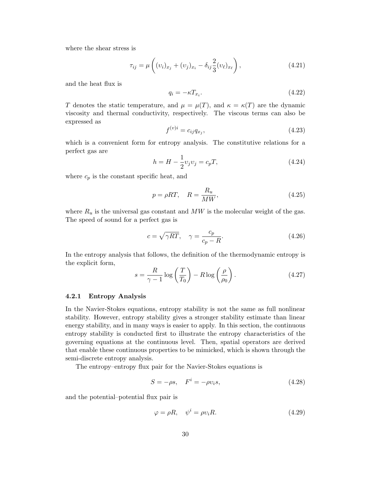where the shear stress is

$$
\tau_{ij} = \mu \left( (v_i)_{x_j} + (v_j)_{x_i} - \delta_{ij} \frac{2}{3} (v_\ell)_{x_\ell} \right), \tag{4.21}
$$

and the heat flux is

$$
q_i = -\kappa T_{x_i}.\tag{4.22}
$$

T denotes the static temperature, and  $\mu = \mu(T)$ , and  $\kappa = \kappa(T)$  are the dynamic viscosity and thermal conductivity, respectively. The viscous terms can also be expressed as

$$
f^{(v)i} = c_{ij}q_{x_j},\tag{4.23}
$$

which is a convenient form for entropy analysis. The constitutive relations for a perfect gas are

$$
h = H - \frac{1}{2}v_j v_j = c_p T,
$$
\n(4.24)

where  $c_p$  is the constant specific heat, and

$$
p = \rho RT, \quad R = \frac{R_u}{MW},\tag{4.25}
$$

where  $R_u$  is the universal gas constant and  $MW$  is the molecular weight of the gas. The speed of sound for a perfect gas is

$$
c = \sqrt{\gamma RT}, \quad \gamma = \frac{c_p}{c_p - R}.
$$
\n(4.26)

In the entropy analysis that follows, the definition of the thermodynamic entropy is the explicit form,

$$
s = \frac{R}{\gamma - 1} \log \left( \frac{T}{T_0} \right) - R \log \left( \frac{\rho}{\rho_0} \right). \tag{4.27}
$$

#### <span id="page-33-0"></span>4.2.1 Entropy Analysis

In the Navier-Stokes equations, entropy stability is not the same as full nonlinear stability. However, entropy stability gives a stronger stability estimate than linear energy stability, and in many ways is easier to apply. In this section, the continuous entropy stability is conducted first to illustrate the entropy characteristics of the governing equations at the continuous level. Then, spatial operators are derived that enable these continuous properties to be mimicked, which is shown through the semi-discrete entropy analysis.

The entropy–entropy flux pair for the Navier-Stokes equations is

<span id="page-33-1"></span>
$$
S = -\rho s, \quad F^i = -\rho v_i s,\tag{4.28}
$$

and the potential–potential flux pair is

$$
\varphi = \rho R, \quad \psi^i = \rho v_i R. \tag{4.29}
$$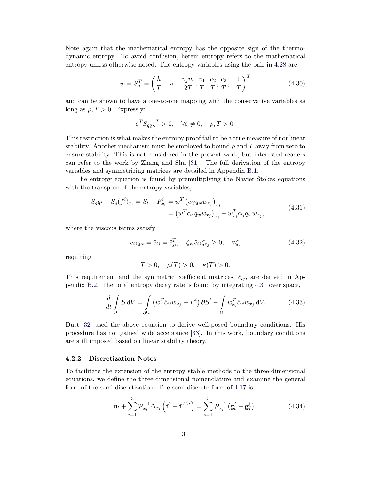Note again that the mathematical entropy has the opposite sign of the thermodynamic entropy. To avoid confusion, herein entropy refers to the mathematical entropy unless otherwise noted. The entropy variables using the pair in [4.28](#page-33-1) are

$$
w = S_q^T = \left(\frac{h}{T} - s - \frac{v_j v_j}{2T}, \frac{v_1}{T}, \frac{v_2}{T}, \frac{v_3}{T}, -\frac{1}{T}\right)^T
$$
(4.30)

and can be shown to have a one-to-one mapping with the conservative variables as long as  $\rho, T > 0$ . Expressly:

$$
\zeta^T S_{qq} \zeta^T > 0, \quad \forall \zeta \neq 0, \quad \rho, T > 0.
$$

This restriction is what makes the entropy proof fail to be a true measure of nonlinear stability. Another mechanism must be employed to bound  $\rho$  and T away from zero to ensure stability. This is not considered in the present work, but interested readers can refer to the work by Zhang and Shu [\[31\]](#page-45-9). The full derivation of the entropy variables and symmetrizing matrices are detailed in Appendix [B.1.](#page-55-1)

The entropy equation is found by premultiplying the Navier-Stokes equations with the transpose of the entropy variables,

<span id="page-34-1"></span>
$$
S_q q_t + S_q(f^i)_{x_i} = S_t + F^i_{x_i} = w^T (c_{ij} q_w w_{x_j})_{x_i}
$$
  
=  $(w^T c_{ij} q_w w_{x_j})_{x_i} - w^T_{x_i} c_{ij} q_w w_{x_j},$  (4.31)

where the viscous terms satisfy

$$
c_{ij}q_w = \hat{c}_{ij} = \hat{c}_{ji}^T, \quad \zeta_{x_i}\hat{c}_{ij}\zeta_{x_j} \ge 0, \quad \forall \zeta,
$$
\n(4.32)

requiring

$$
T > 0, \quad \mu(T) > 0, \quad \kappa(T) > 0.
$$

This requirement and the symmetric coefficient matrices,  $\hat{c}_{ij}$ , are derived in Appendix [B.2.](#page-56-0) The total entropy decay rate is found by integrating [4.31](#page-34-1) over space,

<span id="page-34-2"></span>
$$
\frac{d}{dt} \int_{\Omega} S dV = \int_{\partial \Omega} \left( w^T \hat{c}_{ij} w_{x_j} - F^i \right) \partial S^i - \int_{\Omega} w_{x_i}^T \hat{c}_{ij} w_{x_j} dV. \tag{4.33}
$$

Dutt [\[32\]](#page-46-0) used the above equation to derive well-posed boundary conditions. His procedure has not gained wide acceptance [\[33\]](#page-46-1). In this work, boundary conditions are still imposed based on linear stability theory.

#### <span id="page-34-0"></span>4.2.2 Discretization Notes

To facilitate the extension of the entropy stable methods to the three-dimensional equations, we define the three-dimensional nomenclature and examine the general form of the semi-discretization. The semi-discrete form of [4.17](#page-32-1) is

$$
\mathbf{u}_{t} + \sum_{i=1}^{3} \mathcal{P}_{x_{i}}^{-1} \Delta_{x_{i}} \left( \overline{\mathbf{f}}^{i} - \overline{\mathbf{f}}^{(v)i} \right) = \sum_{i=1}^{3} \mathcal{P}_{x_{i}}^{-1} \left( \mathbf{g}_{b}^{i} + \mathbf{g}_{I}^{i} \right).
$$
 (4.34)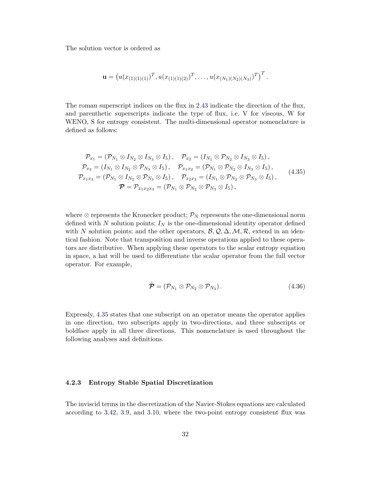The solution vector is ordered as

$$
\mathbf{u} = (u(x_{(1)(1)(1)})^T, u(x_{(1)(1)(2)})^T, \dots, u(x_{(N_1)(N_2)(N_3)})^T)^T.
$$

The roman superscript indices on the flux in [2.43](#page-15-2) indicate the direction of the flux, and parenthetic superscripts indicate the type of flux, i.e. V for viscous, W for WENO, S for entropy consistent. The multi-dimensional operator nomenclature is defined as follows:

<span id="page-35-1"></span>
$$
\mathcal{P}_{x_1} = (\mathcal{P}_{N_1} \otimes I_{N_2} \otimes I_{N_3} \otimes I_5), \quad \mathcal{P}_{x_2} = (I_{N_1} \otimes \mathcal{P}_{N_2} \otimes I_{N_3} \otimes I_5), \n\mathcal{P}_{x_3} = (I_{N_1} \otimes I_{N_2} \otimes \mathcal{P}_{N_3} \otimes I_5), \quad \mathcal{P}_{x_1x_2} = (\mathcal{P}_{N_1} \otimes \mathcal{P}_{N_2} \otimes I_{N_3} \otimes I_5), \n\mathcal{P}_{x_1x_3} = (\mathcal{P}_{N_1} \otimes I_{N_2} \otimes \mathcal{P}_{N_3} \otimes I_5), \quad \mathcal{P}_{x_2x_3} = (I_{N_1} \otimes \mathcal{P}_{N_2} \otimes \mathcal{P}_{N_3} \otimes I_5), \n\mathcal{P} = \mathcal{P}_{x_1x_2x_3} = (\mathcal{P}_{N_1} \otimes \mathcal{P}_{N_2} \otimes \mathcal{P}_{N_3} \otimes I_5),
$$
\n(4.35)

where ⊗ represents the Kronecker product;  $\mathcal{P}_N$  represents the one-dimensional norm defined with N solution points;  $I_N$  is the one-dimensional identity operator defined with N solution points; and the other operators,  $\mathcal{B}, \mathcal{Q}, \Delta, \mathcal{M}, \mathcal{R}$ , extend in an identical fashion. Note that transposition and inverse operations applied to these operators are distributive. When applying these operators to the scalar entropy equation in space, a hat will be used to differentiate the scalar operator from the full vector operator. For example,

$$
\hat{\mathcal{P}} = (\mathcal{P}_{N_1} \otimes \mathcal{P}_{N_2} \otimes \mathcal{P}_{N_3}). \tag{4.36}
$$

Expressly, [4.35](#page-35-1) states that one subscript on an operator means the operator applies in one direction, two subscripts apply in two-directions, and three subscripts or boldface apply in all three directions. This nomenclature is used throughout the following analyses and definitions.

### <span id="page-35-0"></span>4.2.3 Entropy Stable Spatial Discretization

The inviscid terms in the discretization of the Navier-Stokes equations are calculated according to [3.42,](#page-26-1) [3.9,](#page-18-3) and [3.10,](#page-18-2) where the two-point entropy consistent flux was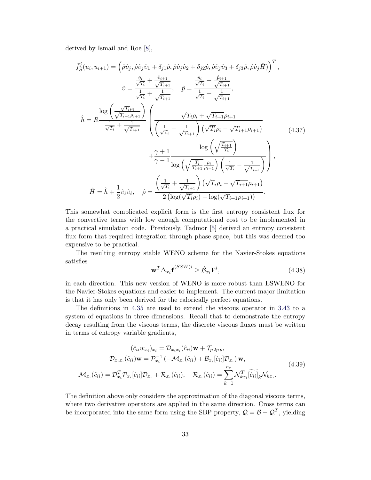derived by Ismail and Roe [\[8\]](#page-44-2),

$$
\bar{f}_{S}^{j}(u_{i}, u_{i+1}) = (\hat{\rho}\hat{v}_{j}, \hat{\rho}\hat{v}_{j}\hat{v}_{1} + \delta_{j1}\hat{p}, \hat{\rho}\hat{v}_{j}\hat{v}_{2} + \delta_{j2}\hat{p}, \hat{\rho}\hat{v}_{j}\hat{v}_{3} + \delta_{j3}\hat{p}, \hat{\rho}\hat{v}_{j}\hat{H}) )^{T},
$$
\n
$$
\hat{v} = \frac{\frac{\hat{v}_{i}}{\sqrt{T_{i}}} + \frac{\hat{v}_{i+1}}{\sqrt{T_{i+1}}}}{\frac{1}{\sqrt{T_{i}}} + \frac{1}{\sqrt{T_{i+1}}}}, \quad \hat{p} = \frac{\frac{\hat{p}_{i}}{\sqrt{T_{i}}} + \frac{\hat{p}_{i+1}}{\sqrt{T_{i+1}}}}{\frac{1}{\sqrt{T_{i}}} + \frac{1}{\sqrt{T_{i+1}}}} ,
$$
\n
$$
\hat{h} = R - \frac{\log\left(\frac{\sqrt{T_{i}}\rho_{i}}{\sqrt{T_{i+1}}\rho_{i+1}}\right)}{\frac{1}{\sqrt{T_{i}}} + \frac{1}{\sqrt{T_{i+1}}}} \left(\frac{\sqrt{T_{i}}\rho_{i} + \sqrt{T_{i+1}}\rho_{i+1}}{\frac{1}{\sqrt{T_{i}}} + \frac{1}{\sqrt{T_{i+1}}}}\right) \left(\sqrt{T_{i}}\rho_{i} - \sqrt{T_{i+1}}\rho_{i+1}\right)} + \frac{\gamma + 1}{\gamma - 1} \frac{\log\left(\sqrt{\frac{T_{i}}{T_{i}}} + \frac{\rho_{i}}{\sqrt{T_{i}}} \right)}{\log\left(\sqrt{\frac{T_{i}}{T_{i}}} + \frac{\rho_{i}}{\sqrt{T_{i}}} \right) \left(\frac{1}{\sqrt{T_{i}}} - \frac{1}{\sqrt{T_{i+1}}} \right)} \right),
$$
\n
$$
\hat{H} = \hat{h} + \frac{1}{2} \hat{v}_{\ell} \hat{v}_{\ell}, \quad \hat{\rho} = \frac{\left(\frac{1}{\sqrt{T_{i}}} + \frac{1}{\sqrt{T_{i+1}}} \right) \left(\sqrt{T_{i}}\rho_{i} - \sqrt{T_{i+1}}\rho_{i+1}\right)}{2 \left(\log(\sqrt{T_{i}}\rho_{i}) - \log(\sqrt{T_{i+1}}\rho_{i+1})\right)}.
$$
\n(4.37)

This somewhat complicated explicit form is the first entropy consistent flux for the convective terms with low enough computational cost to be implemented in a practical simulation code. Previously, Tadmor [\[5\]](#page-43-5) derived an entropy consistent flux form that required integration through phase space, but this was deemed too expensive to be practical.

The resulting entropy stable WENO scheme for the Navier-Stokes equations satisfies

$$
\mathbf{w}^T \Delta_{x_i} \overline{\mathbf{f}}^{(SSW)i} \ge \hat{\mathcal{B}}_{x_i} \mathbf{F}^i,\tag{4.38}
$$

in each direction. This new version of WENO is more robust than ESWENO for the Navier-Stokes equations and easier to implement. The current major limitation is that it has only been derived for the calorically perfect equations.

The definitions in [4.35](#page-35-1) are used to extend the viscous operator in [3.43](#page-26-2) to a system of equations in three dimensions. Recall that to demonstrate the entropy decay resulting from the viscous terms, the discrete viscous fluxes must be written in terms of entropy variable gradients,

$$
(\hat{c}_{ii}w_{x_i})_{x_i} = \mathcal{D}_{x_ix_i}(\hat{c}_{ii})\mathbf{w} + \mathcal{T}_{p2pp},
$$
  

$$
\mathcal{D}_{x_ix_i}(\hat{c}_{ii})\mathbf{w} = \mathcal{P}_{x_i}^{-1}(-\mathcal{M}_{x_i}(\hat{c}_{ii}) + \mathcal{B}_{x_i}[\hat{c}_{ii}]\mathcal{D}_{x_i})\mathbf{w},
$$
  

$$
\mathcal{M}_{x_i}(\hat{c}_{ii}) = \mathcal{D}_{x_i}^T \mathcal{P}_{x_i}[\hat{c}_{ii}]\mathcal{D}_{x_i} + \mathcal{R}_{x_i}(\hat{c}_{ii}), \quad \mathcal{R}_{x_i}(\hat{c}_{ii}) = \sum_{k=1}^{n_r} \mathcal{N}_{kx_i}^T[\widetilde{c}_{ii}]_k \mathcal{N}_{kx_i}.
$$
  
(4.39)

The definition above only considers the approximation of the diagonal viscous terms, where two derivative operators are applied in the same direction. Cross terms can be incorporated into the same form using the SBP property,  $\mathcal{Q} = \mathcal{B} - \mathcal{Q}^T$ , yielding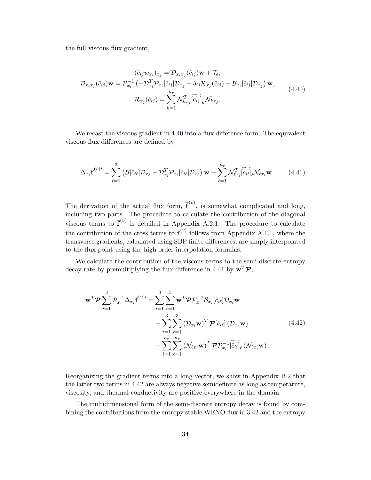the full viscous flux gradient,

<span id="page-37-0"></span>
$$
(\hat{c}_{ij}w_{x_i})_{x_j} = \mathcal{D}_{x_ix_j}(\hat{c}_{ij})\mathbf{w} + \mathcal{T}_e,
$$
  

$$
\mathcal{D}_{x_ix_j}(\hat{c}_{ij})\mathbf{w} = \mathcal{P}_{x_i}^{-1} \left( -\mathcal{D}_{x_i}^T \mathcal{P}_{x_i}[\hat{c}_{ij}]\mathcal{D}_{x_j} - \delta_{ij}\mathcal{R}_{x_j}(\hat{c}_{ij}) + \mathcal{B}_{x_i}[\hat{c}_{ij}]\mathcal{D}_{x_j}\right)\mathbf{w},
$$
  

$$
\mathcal{R}_{x_j}(\hat{c}_{ij}) = \sum_{k=1}^{n_r} \mathcal{N}_{kx_j}^T[\hat{c}_{ij}]_k \mathcal{N}_{kx_j}.
$$
 (4.40)

We recast the viscous gradient in [4.40](#page-37-0) into a flux difference form. The equivalent viscous flux differences are defined by

<span id="page-37-1"></span>
$$
\Delta_{x_i} \overline{\mathbf{f}}^{(v)i} = \sum_{\ell=1}^3 \left( \mathcal{B}[\hat{c}_{i\ell}] \mathcal{D}_{x_\ell} - \mathcal{D}_{x_i}^T \mathcal{P}_{x_i}[\hat{c}_{i\ell}] \mathcal{D}_{x_\ell} \right) \mathbf{w} - \sum_{\ell=1}^{n_r} \mathcal{N}_{\ell x_i}^T [\widetilde{\hat{c}_{i i}}]_\ell \mathcal{N}_{\ell x_i} \mathbf{w}.
$$
(4.41)

The derivation of the actual flux form,  $\bar{f}^{(v)}$ , is somewhat complicated and long, including two parts. The procedure to calculate the contribution of the diagonal viscous terms to  $\bar{\mathbf{f}}^{(v)}$  is detailed in Appendix [A.2.1.](#page-51-0) The procedure to calculate the contribution of the cross terms to  $\bar{\mathbf{f}}^{(v)}$  follows from Appendix [A.1.1,](#page-48-0) where the transverse gradients, calculated using SBP finite differences, are simply interpolated to the flux point using the high-order interpolation formulas.

We calculate the contribution of the viscous terms to the semi-discrete entropy decay rate by premultiplying the flux difference in [4.41](#page-37-1) by  $\mathbf{w}^T \mathcal{P}$ ,

<span id="page-37-2"></span>
$$
\mathbf{w}^T \boldsymbol{\mathcal{P}} \sum_{i=1}^3 \mathcal{P}_{x_i}^{-1} \Delta_{x_i} \overline{\mathbf{f}}^{(v)i} = \sum_{i=1}^3 \sum_{\ell=1}^3 \mathbf{w}^T \boldsymbol{\mathcal{P}} \mathcal{P}_{x_i}^{-1} \mathcal{B}_{x_i} [\hat{c}_{i\ell}] \mathcal{D}_{x_\ell} \mathbf{w}
$$

$$
- \sum_{i=1}^3 \sum_{\ell=1}^3 (\mathcal{D}_{x_i} \mathbf{w})^T \boldsymbol{\mathcal{P}} [\hat{c}_{i\ell}] (\mathcal{D}_{x_\ell} \mathbf{w})
$$

$$
- \sum_{i=1}^{n_r} \sum_{\ell=1}^{n_r} (\mathcal{N}_{\ell x_i} \mathbf{w})^T \boldsymbol{\mathcal{P}} \mathcal{P}_{x_i}^{-1} [\hat{c}_{i\ell}]_{\ell} (\mathcal{N}_{\ell x_i} \mathbf{w}).
$$
(4.42)

Reorganizing the gradient terms into a long vector, we show in Appendix [B.2](#page-56-0) that the latter two terms in [4.42](#page-37-2) are always negative semidefinite as long as temperature, viscosity, and thermal conductivity are positive everywhere in the domain.

The multidimensional form of the semi-discrete entropy decay is found by combining the contributions from the entropy stable WENO flux in [3.42](#page-26-1) and the entropy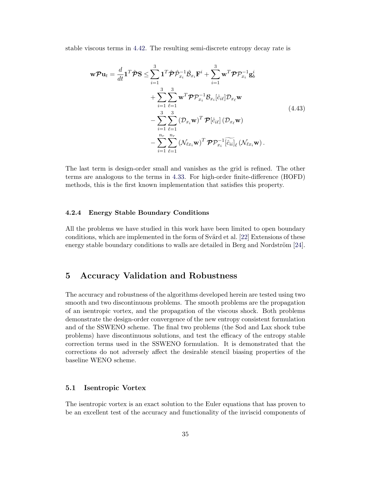stable viscous terms in [4.42.](#page-37-2) The resulting semi-discrete entropy decay rate is

$$
\mathbf{w}\mathcal{P}\mathbf{u}_{t} = \frac{d}{dt}\mathbf{1}^{T}\hat{\mathcal{P}}\mathbf{S} \leq \sum_{i=1}^{3}\mathbf{1}^{T}\hat{\mathcal{P}}\hat{\mathcal{P}}_{x_{i}}^{-1}\hat{\mathcal{B}}_{x_{i}}\mathbf{F}^{i} + \sum_{i=1}^{3}\mathbf{w}^{T}\mathcal{P}\mathcal{P}_{x_{i}}^{-1}\mathbf{g}_{b}^{i} + \sum_{i=1}^{3}\sum_{\ell=1}^{3}\mathbf{w}^{T}\mathcal{P}\mathcal{P}_{x_{i}}^{-1}\mathcal{B}_{x_{i}}[\hat{c}_{i\ell}]\mathcal{D}_{x_{\ell}}\mathbf{w} - \sum_{i=1}^{3}\sum_{\ell=1}^{3}(\mathcal{D}_{x_{i}}\mathbf{w})^{T}\mathcal{P}[\hat{c}_{i\ell}](\mathcal{D}_{x_{\ell}}\mathbf{w}) - \sum_{i=1}^{n_{r}}\sum_{\ell=1}^{n_{r}}(\mathcal{N}_{\ell x_{i}}\mathbf{w})^{T}\mathcal{P}\mathcal{P}_{x_{i}}^{-1}[\widetilde{\hat{c}_{i i}}]_{\ell}(\mathcal{N}_{\ell x_{i}}\mathbf{w}).
$$
\n(4.43)

The last term is design-order small and vanishes as the grid is refined. The other terms are analogous to the terms in [4.33.](#page-34-2) For high-order finite-difference (HOFD) methods, this is the first known implementation that satisfies this property.

#### <span id="page-38-0"></span>4.2.4 Energy Stable Boundary Conditions

All the problems we have studied in this work have been limited to open boundary conditions, which are implemented in the form of Svärd et al. [\[22\]](#page-45-10) Extensions of these energy stable boundary conditions to walls are detailed in Berg and Nordström  $[24]$ .

# <span id="page-38-1"></span>5 Accuracy Validation and Robustness

The accuracy and robustness of the algorithms developed herein are tested using two smooth and two discontinuous problems. The smooth problems are the propagation of an isentropic vortex, and the propagation of the viscous shock. Both problems demonstrate the design-order convergence of the new entropy consistent formulation and of the SSWENO scheme. The final two problems (the Sod and Lax shock tube problems) have discontinuous solutions, and test the efficacy of the entropy stable correction terms used in the SSWENO formulation. It is demonstrated that the corrections do not adversely affect the desirable stencil biasing properties of the baseline WENO scheme.

## <span id="page-38-2"></span>5.1 Isentropic Vortex

The isentropic vortex is an exact solution to the Euler equations that has proven to be an excellent test of the accuracy and functionality of the inviscid components of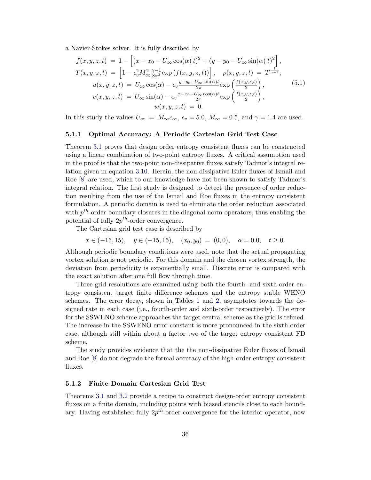a Navier-Stokes solver. It is fully described by

$$
f(x, y, z, t) = 1 - \left[ (x - x_0 - U_\infty \cos(\alpha) t)^2 + (y - y_0 - U_\infty \sin(\alpha) t)^2 \right],
$$
  
\n
$$
T(x, y, z, t) = \left[ 1 - \epsilon_v^2 M_\infty^2 \frac{\gamma - 1}{8\pi^2} \exp(f(x, y, z, t)) \right], \quad \rho(x, y, z, t) = T^{\frac{1}{\gamma - 1}},
$$
  
\n
$$
u(x, y, z, t) = U_\infty \cos(\alpha) - \epsilon_v \frac{y - y_0 - U_\infty \sin(\alpha) t}{2\pi} \exp\left(\frac{f(x, y, z, t)}{2}\right),
$$
  
\n
$$
v(x, y, z, t) = U_\infty \sin(\alpha) - \epsilon_v \frac{x - x_0 - U_\infty \cos(\alpha) t}{2\pi} \exp\left(\frac{f(x, y, z, t)}{2}\right),
$$
  
\n
$$
w(x, y, z, t) = 0.
$$
\n(5.1)

In this study the values  $U_{\infty} = M_{\infty} c_{\infty}$ ,  $\epsilon_v = 5.0$ ,  $M_{\infty} = 0.5$ , and  $\gamma = 1.4$  are used.

#### <span id="page-39-0"></span>5.1.1 Optimal Accuracy: A Periodic Cartesian Grid Test Case

Theorem [3.1](#page-18-4) proves that design order entropy consistent fluxes can be constructed using a linear combination of two-point entropy fluxes. A critical assumption used in the proof is that the two-point non-dissipative fluxes satisfy Tadmor's integral relation given in equation [3.10.](#page-18-2) Herein, the non-dissipative Euler fluxes of Ismail and Roe [\[8\]](#page-44-2) are used, which to our knowledge have not been shown to satisfy Tadmor's integral relation. The first study is designed to detect the presence of order reduction resulting from the use of the Ismail and Roe fluxes in the entropy consistent formulation. A periodic domain is used to eliminate the order reduction associated with  $p^{th}$ -order boundary closures in the diagonal norm operators, thus enabling the potential of fully  $2p^{th}$ -order convergence.

The Cartesian grid test case is described by

$$
x \in (-15, 15), y \in (-15, 15), (x_0, y_0) = (0, 0), \alpha = 0.0, t \ge 0.
$$

Although periodic boundary conditions were used, note that the actual propagating vortex solution is not periodic. For this domain and the chosen vortex strength, the deviation from periodicity is exponentially small. Discrete error is compared with the exact solution after one full flow through time.

Three grid resolutions are examined using both the fourth- and sixth-order entropy consistent target finite difference schemes and the entropy stable WENO schemes. The error decay, shown in Tables [1](#page-40-1) and [2,](#page-40-2) asymptotes towards the designed rate in each case (i.e., fourth-order and sixth-order respectively). The error for the SSWENO scheme approaches the target central scheme as the grid is refined. The increase in the SSWENO error constant is more pronounced in the sixth-order case, although still within about a factor two of the target entropy consistent FD scheme.

The study provides evidence that the the non-dissipative Euler fluxes of Ismail and Roe [\[8\]](#page-44-2) do not degrade the formal accuracy of the high-order entropy consistent fluxes.

#### <span id="page-39-1"></span>5.1.2 Finite Domain Cartesian Grid Test

Theorems [3.1](#page-18-4) and [3.2](#page-21-6) provide a recipe to construct design-order entropy consistent fluxes on a finite domain, including points with biased stencils close to each boundary. Having established fully  $2p^{th}$ -order convergence for the interior operator, now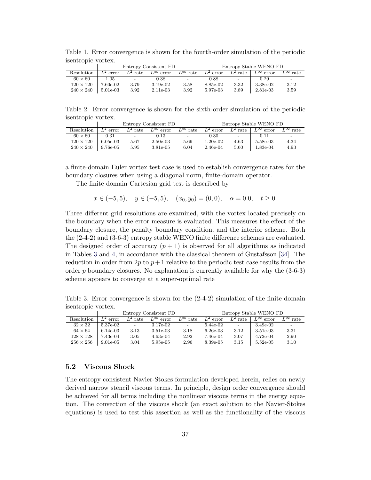<span id="page-40-1"></span>

|                     | Table 1. Error convergence is shown for the fourth-order simulation of the periodic |  |  |  |  |  |  |
|---------------------|-------------------------------------------------------------------------------------|--|--|--|--|--|--|
| is entropic vortex. |                                                                                     |  |  |  |  |  |  |

|                  | Entropy Consistent FD |                    |                    |                          | Entropy Stable WENO FD |                          |                    |                   |  |
|------------------|-----------------------|--------------------|--------------------|--------------------------|------------------------|--------------------------|--------------------|-------------------|--|
| Resolution       | $L^2$ error           | $L^2$ rate $\perp$ | $L^{\infty}$ error | $L^{\infty}$ rate        | $L^2$ error            | $L^2$ rate $\perp$       | $L^{\infty}$ error | $L^{\infty}$ rate |  |
| $60 \times 60$   | $1.05\,$              | $\sim$             | 0.38               | $\overline{\phantom{a}}$ | 0.88                   | $\overline{\phantom{a}}$ | 0.29               |                   |  |
| $120 \times 120$ | 7.60e-02              | 3.79               | $3.19e-02$         | 3.58                     | 8.85e-02               | 3.32                     | 3.38e-02           | 3.12              |  |
| $240 \times 240$ | $5.01e-03$            | 3.92               | $2.11e-03$         | 3.92                     | 5.97e-03               | 3.89                     | $2.81e-03$         | 3.59              |  |

<span id="page-40-2"></span>Table 2. Error convergence is shown for the sixth-order simulation of the periodic isentropic vortex.

|                  | Entropy Consistent FD |            |                    | Entropy Stable WENO FD   |             |            |                    |                          |
|------------------|-----------------------|------------|--------------------|--------------------------|-------------|------------|--------------------|--------------------------|
| Resolution       | $L^2$ error           | $L^2$ rate | $L^{\infty}$ error | $L^{\infty}$ rate        | $L^2$ error | $L^2$ rate | $L^{\infty}$ error | $L^{\infty}$ rate        |
| $60 \times 60$   | 0.31                  | $\sim$     | 0.13               | $\overline{\phantom{a}}$ | 0.30        | -          | 0.11               | $\overline{\phantom{a}}$ |
| $120 \times 120$ | $6.05e-03$            | 5.67       | $2.50e-03$         | 5.69                     | $1.20e-02$  | 4.63       | 5.58e-03           | 4.34                     |
| $240 \times 240$ | 9.76e-05              | 5.95       | 3.81e-05           | 6.04                     | 2.46e-04    | 5.60       | 1.83e-04           | 4.93                     |

a finite-domain Euler vortex test case is used to establish convergence rates for the boundary closures when using a diagonal norm, finite-domain operator.

The finite domain Cartesian grid test is described by

$$
x \in (-5, 5), y \in (-5, 5), (x_0, y_0) = (0, 0), \alpha = 0.0, t \ge 0.
$$

Three different grid resolutions are examined, with the vortex located precisely on the boundary when the error measure is evaluated. This measures the effect of the boundary closure, the penalty boundary condition, and the interior scheme. Both the (2-4-2) and (3-6-3) entropy stable WENO finite difference schemes are evaluated. The designed order of accuracy  $(p + 1)$  is observed for all algorithms as indicated in Tables [3](#page-40-3) and [4,](#page-41-1) in accordance with the classical theorem of Gustafsson [\[34\]](#page-46-2). The reduction in order from  $2p$  to  $p+1$  relative to the periodic test case results from the order  $p$  boundary closures. No explanation is currently available for why the  $(3-6-3)$ scheme appears to converge at a super-optimal rate

<span id="page-40-3"></span>Table 3. Error convergence is shown for the (2-4-2) simulation of the finite domain isentropic vortex.

|                  |             | Entropy Consistent FD    |                       |                          | Entropy Stable WENO FD |                          |                    |                   |
|------------------|-------------|--------------------------|-----------------------|--------------------------|------------------------|--------------------------|--------------------|-------------------|
| Resolution       | error       | $L^2$ rate               | $L^{\infty}$<br>error | $L^{\infty}$ rate        | $L^2$ error            | $L^2$ rate               | $L^{\infty}$ error | $L^{\infty}$ rate |
| $32 \times 32$   | 5.37e-02    | $\overline{\phantom{a}}$ | $3.17e-02$            | $\overline{\phantom{a}}$ | 5.44e-02               | $\overline{\phantom{a}}$ | 3.49e-02           |                   |
| $64 \times 64$   | $6.14e-03$  | 3.13                     | $3.51e-03$            | 3.18                     | $6.26e-03$             | 3.12                     | $3.51e-03$         | 3.31              |
| $128 \times 128$ | 7.43e-04    | 3.05                     | $4.63e-04$            | 2.92                     | 7.46e-04               | 3.07                     | $4.72e-04$         | 2.90              |
| $256 \times 256$ | $9.01e-0.5$ | 3.04                     | 5.95e-05              | 2.96                     | 8.39e-05               | 3.15                     | $5.52e-0.5$        | 3.10              |

## <span id="page-40-0"></span>5.2 Viscous Shock

The entropy consistent Navier-Stokes formulation developed herein, relies on newly derived narrow stencil viscous terms. In principle, design order convergence should be achieved for all terms including the nonlinear viscous terms in the energy equation. The convection of the viscous shock (an exact solution to the Navier-Stokes equations) is used to test this assertion as well as the functionality of the viscous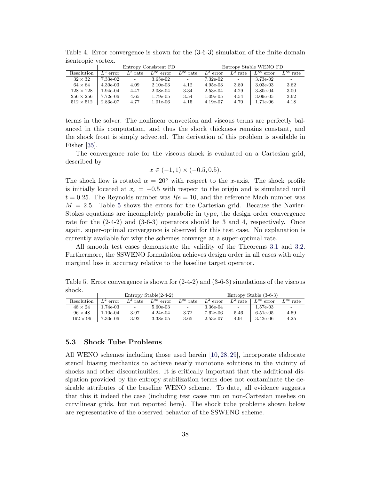|                  |                |            | Entropy Consistent FD |                          |             |                          | Entropy Stable WENO FD |                   |  |
|------------------|----------------|------------|-----------------------|--------------------------|-------------|--------------------------|------------------------|-------------------|--|
| Resolution       | $L^2$<br>error | $L^2$ rate | $L^{\infty}$ error    | $L^{\infty}$<br>rate     | $L^2$ error | $L^2$ rate               | $L^{\infty}$<br>error  | $L^{\infty}$ rate |  |
| $32 \times 32$   | 7.33e-02       |            | 3.65e-02              | $\overline{\phantom{a}}$ | 7.32e-02    | $\overline{\phantom{a}}$ | 3.73e-02               |                   |  |
| $64 \times 64$   | $4.30e-03$     | 4.09       | $2.10e-03$            | 4.12                     | $4.95e-03$  | 3.89                     | $3.03e-03$             | 3.62              |  |
| $128 \times 128$ | 1.94e-04       | 4.47       | $2.08e-04$            | 3.34                     | $2.53e-04$  | 4.29                     | 3.80e-04               | 3.00              |  |
| $256 \times 256$ | $7.72e-06$     | 4.65       | $1.79e-05$            | 3.54                     | $1.09e-05$  | 4.54                     | $3.09e-0.5$            | 3.62              |  |
| $512 \times 512$ | 2.83e-07       | 4.77       | $1.01e-06$            | 4.15                     | $4.19e-07$  | 4.70                     | 1.71e-06               | 4.18              |  |
|                  |                |            |                       |                          |             |                          |                        |                   |  |

<span id="page-41-1"></span>Table 4. Error convergence is shown for the (3-6-3) simulation of the finite domain isentropic vortex.

terms in the solver. The nonlinear convection and viscous terms are perfectly balanced in this computation, and thus the shock thickness remains constant, and the shock front is simply advected. The derivation of this problem is available in Fisher [\[35\]](#page-46-3).

The convergence rate for the viscous shock is evaluated on a Cartesian grid, described by

$$
x \in (-1, 1) \times (-0.5, 0.5).
$$

The shock flow is rotated  $\alpha = 20^{\circ}$  with respect to the x-axis. The shock profile is initially located at  $x_s = -0.5$  with respect to the origin and is simulated until  $t = 0.25$ . The Reynolds number was  $Re = 10$ , and the reference Mach number was  $M = 2.5$  $M = 2.5$ . Table 5 shows the errors for the Cartesian grid. Because the Navier-Stokes equations are incompletely parabolic in type, the design order convergence rate for the (2-4-2) and (3-6-3) operators should be 3 and 4, respectively. Once again, super-optimal convergence is observed for this test case. No explanation is currently available for why the schemes converge at a super-optimal rate.

All smooth test cases demonstrate the validity of the Theorems [3.1](#page-18-4) and [3.2.](#page-21-6) Furthermore, the SSWENO formulation achieves design order in all cases with only marginal loss in accuracy relative to the baseline target operator.

<span id="page-41-2"></span>Table 5. Error convergence is shown for (2-4-2) and (3-6-3) simulations of the viscous shock.

|                 | Entropy Stable $(2-4-2)$ |                    |                    |                          | Entropy Stable (3-6-3) |                          |                    |                   |
|-----------------|--------------------------|--------------------|--------------------|--------------------------|------------------------|--------------------------|--------------------|-------------------|
| Resolution      | $L^2$ error              | $L^2$ rate $\perp$ | $L^{\infty}$ error | $L^{\infty}$ rate        | $L^2$ error            | $L^2$ rate               | $L^{\infty}$ error | $L^{\infty}$ rate |
| $48 \times 24$  | $1.74e-03$               | $\sim$             | 5.60e-03           | $\overline{\phantom{a}}$ | 3.36e-04               | $\overline{\phantom{a}}$ | $1.57e-03$         |                   |
| $96 \times 48$  | 1.10e-04                 | 3.97               | $4.24e-04$         | 3.72                     | 7.62e-06               | 5.46                     | $6.51e-0.5$        | 4.59              |
| $192 \times 96$ | 7.30e-06                 | 3.92               | 3.38e-05           | 3.65                     | $2.53e-07$             | 4.91                     | $3.42e-06$         | 4.25              |

#### <span id="page-41-0"></span>5.3 Shock Tube Problems

All WENO schemes including those used herein [\[10,](#page-44-4) [28,](#page-45-6) [29\]](#page-45-7), incorporate elaborate stencil biasing mechanics to achieve nearly monotone solutions in the vicinity of shocks and other discontinuities. It is critically important that the additional dissipation provided by the entropy stabilization terms does not contaminate the desirable attributes of the baseline WENO scheme. To date, all evidence suggests that this it indeed the case (including test cases run on non-Cartesian meshes on curvilinear grids, but not reported here). The shock tube problems shown below are representative of the observed behavior of the SSWENO scheme.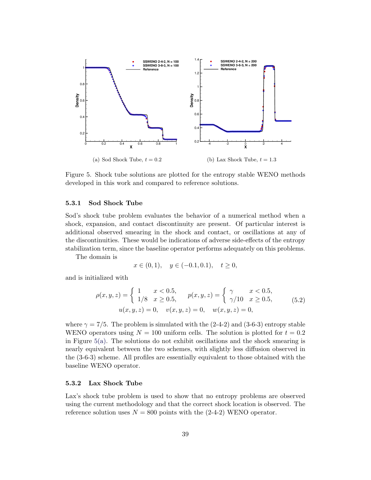<span id="page-42-2"></span>

<span id="page-42-3"></span>Figure 5. Shock tube solutions are plotted for the entropy stable WENO methods developed in this work and compared to reference solutions.

#### <span id="page-42-0"></span>5.3.1 Sod Shock Tube

Sod's shock tube problem evaluates the behavior of a numerical method when a shock, expansion, and contact discontinuity are present. Of particular interest is additional observed smearing in the shock and contact, or oscillations at any of the discontinuities. These would be indications of adverse side-effects of the entropy stabilization term, since the baseline operator performs adequately on this problems.

The domain is

$$
x \in (0, 1), \quad y \in (-0.1, 0.1), \quad t \ge 0,
$$

and is initialized with

$$
\rho(x, y, z) = \begin{cases}\n1 & x < 0.5, \\
1/8 & x \ge 0.5,\n\end{cases} \quad p(x, y, z) = \begin{cases}\n\gamma & x < 0.5, \\
\gamma/10 & x \ge 0.5,\n\end{cases} \quad (5.2)
$$
\n
$$
u(x, y, z) = 0, \quad v(x, y, z) = 0, \quad w(x, y, z) = 0,
$$

where  $\gamma = 7/5$ . The problem is simulated with the (2-4-2) and (3-6-3) entropy stable WENO operators using  $N = 100$  uniform cells. The solution is plotted for  $t = 0.2$ in Figure  $5(a)$ . The solutions do not exhibit oscillations and the shock smearing is nearly equivalent between the two schemes, with slightly less diffusion observed in the (3-6-3) scheme. All profiles are essentially equivalent to those obtained with the baseline WENO operator.

#### <span id="page-42-1"></span>5.3.2 Lax Shock Tube

Lax's shock tube problem is used to show that no entropy problems are observed using the current methodology and that the correct shock location is observed. The reference solution uses  $N = 800$  points with the (2-4-2) WENO operator.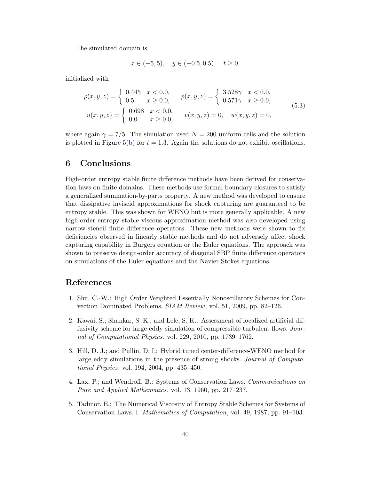The simulated domain is

$$
x \in (-5, 5), \quad y \in (-0.5, 0.5), \quad t \ge 0,
$$

initialized with

$$
\rho(x, y, z) = \begin{cases}\n0.445 & x < 0.0, \\
0.5 & x \ge 0.0,\n\end{cases} \quad p(x, y, z) = \begin{cases}\n3.528\gamma & x < 0.0, \\
0.571\gamma & x \ge 0.0,\n\end{cases}
$$
\n
$$
u(x, y, z) = \begin{cases}\n0.698 & x < 0.0, \\
0.0 & x \ge 0.0,\n\end{cases} \quad v(x, y, z) = 0, \quad w(x, y, z) = 0,
$$
\n(5.3)

where again  $\gamma = 7/5$ . The simulation used  $N = 200$  uniform cells and the solution is plotted in Figure [5\(b\)](#page-42-3) for  $t = 1.3$ . Again the solutions do not exhibit oscillations.

# <span id="page-43-0"></span>6 Conclusions

High-order entropy stable finite difference methods have been derived for conservation laws on finite domains. These methods use formal boundary closures to satisfy a generalized summation-by-parts property. A new method was developed to ensure that dissipative inviscid approximations for shock capturing are guaranteed to be entropy stable. This was shown for WENO but is more generally applicable. A new high-order entropy stable viscous approximation method was also developed using narrow-stencil finite difference operators. These new methods were shown to fix deficiencies observed in linearly stable methods and do not adversely affect shock capturing capability in Burgers equation or the Euler equations. The approach was shown to preserve design-order accuracy of diagonal SBP finite difference operators on simulations of the Euler equations and the Navier-Stokes equations.

# References

- <span id="page-43-1"></span>1. Shu, C.-W.: High Order Weighted Essentially Nonoscillatory Schemes for Convection Dominated Problems. SIAM Review, vol. 51, 2009, pp. 82–126.
- <span id="page-43-2"></span>2. Kawai, S.; Shankar, S. K.; and Lele, S. K.: Assessment of localized artificial diffusivity scheme for large-eddy simulation of compressible turbulent flows. Journal of Computational Physics, vol. 229, 2010, pp. 1739–1762.
- <span id="page-43-3"></span>3. Hill, D. J.; and Pullin, D. I.: Hybrid tuned center-difference-WENO method for large eddy simulations in the presence of strong shocks. Journal of Computational Physics, vol. 194, 2004, pp. 435–450.
- <span id="page-43-4"></span>4. Lax, P.; and Wendroff, B.: Systems of Conservation Laws. Communications on Pure and Applied Mathematics, vol. 13, 1960, pp. 217–237.
- <span id="page-43-5"></span>5. Tadmor, E.: The Numerical Viscosity of Entropy Stable Schemes for Systems of Conservation Laws. I. Mathematics of Computation, vol. 49, 1987, pp. 91–103.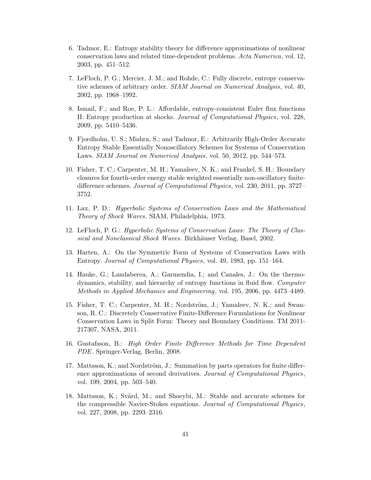- <span id="page-44-0"></span>6. Tadmor, E.: Entropy stability theory for difference approximations of nonlinear conservation laws and related time-dependent problems. Acta Numerica, vol. 12, 2003, pp. 451–512.
- <span id="page-44-1"></span>7. LeFloch, P. G.; Mercier, J. M.; and Rohde, C.: Fully discrete, entropy conservative schemes of arbitrary order. SIAM Journal on Numerical Analysis, vol. 40, 2002, pp. 1968–1992.
- <span id="page-44-2"></span>8. Ismail, F.; and Roe, P. L.: Affordable, entropy-consistent Euler flux functions II: Entropy production at shocks. Journal of Computational Physics, vol. 228, 2009, pp. 5410–5436.
- <span id="page-44-3"></span>9. Fjordholm, U. S.; Mishra, S.; and Tadmor, E.: Arbitrarily High-Order Accurate Entropy Stable Essentially Nonoscillatory Schemes for Systems of Conservation Laws. SIAM Journal on Numerical Analysis, vol. 50, 2012, pp. 544–573.
- <span id="page-44-4"></span>10. Fisher, T. C.; Carpenter, M. H.; Yamaleev, N. K.; and Frankel, S. H.: Boundary closures for fourth-order energy stable weighted essentially non-oscillatory finitedifference schemes. Journal of Computational Physics, vol. 230, 2011, pp. 3727– 3752.
- <span id="page-44-5"></span>11. Lax, P. D.: Hyperbolic Systems of Conservation Laws and the Mathematical Theory of Shock Waves. SIAM, Philadelphia, 1973.
- <span id="page-44-6"></span>12. LeFloch, P. G.: Hyperbolic Systems of Conservation Laws: The Theory of Classical and Nonclassical Shock Waves. Birkhäuser Verlag, Basel, 2002.
- <span id="page-44-7"></span>13. Harten, A.: On the Symmetric Form of Systems of Conservation Laws with Entropy. Journal of Computational Physics, vol. 49, 1983, pp. 151–164.
- <span id="page-44-8"></span>14. Hauke, G.; Landaberea, A.; Garmendia, I.; and Canales, J.: On the thermodynamics, stability, and hierarchy of entropy functions in fluid flow. Computer Methods in Applied Mechanics and Engineering, vol. 195, 2006, pp. 4473–4489.
- <span id="page-44-9"></span>15. Fisher, T. C.; Carpenter, M. H.; Nordström, J.; Yamaleev, N. K.; and Swanson, R. C.: Discretely Conservative Finite-Difference Formulations for Nonlinear Conservation Laws in Split Form: Theory and Boundary Conditions. TM 2011- 217307, NASA, 2011.
- <span id="page-44-10"></span>16. Gustafsson, B.: High Order Finite Difference Methods for Time Dependent PDE. Springer-Verlag, Berlin, 2008.
- <span id="page-44-11"></span>17. Mattsson, K.; and Nordström, J.: Summation by parts operators for finite difference approximations of second derivatives. Journal of Computational Physics, vol. 199, 2004, pp. 503–540.
- 18. Mattsson, K.; Svärd, M.; and Shoeybi, M.: Stable and accurate schemes for the compressible Navier-Stokes equations. Journal of Computational Physics, vol. 227, 2008, pp. 2293–2316.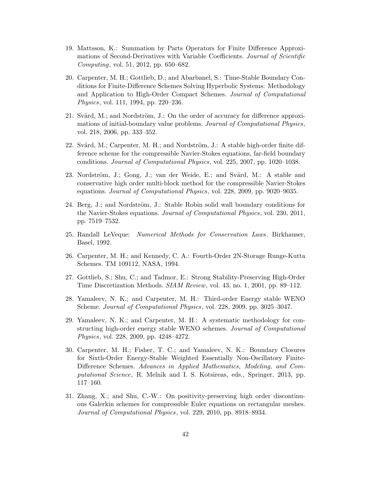- <span id="page-45-0"></span>19. Mattsson, K.: Summation by Parts Operators for Finite Difference Approximations of Second-Derivatives with Variable Coefficients. Journal of Scientific Computing, vol. 51, 2012, pp. 650–682.
- <span id="page-45-1"></span>20. Carpenter, M. H.; Gottlieb, D.; and Abarbanel, S.: Time-Stable Boundary Conditions for Finite-Difference Schemes Solving Hyperbolic Systems: Methodology and Application to High-Order Compact Schemes. Journal of Computational Physics, vol. 111, 1994, pp. 220–236.
- 21. Svärd, M.; and Nordström, J.: On the order of accuracy for difference approximations of initial-boundary value problems. Journal of Computational Physics, vol. 218, 2006, pp. 333–352.
- <span id="page-45-10"></span>22. Svärd, M.; Carpenter, M. H.; and Nordström, J.: A stable high-order finite difference scheme for the compressible Navier-Stokes equations, far-field boundary conditions. Journal of Computational Physics, vol. 225, 2007, pp. 1020–1038.
- 23. Nordström, J.; Gong, J.; van der Weide, E.; and Svärd, M.: A stable and conservative high order multi-block method for the compressible Navier-Stokes equations. Journal of Computational Physics, vol. 228, 2009, pp. 9020–9035.
- <span id="page-45-2"></span>24. Berg, J.; and Nordström, J.: Stable Robin solid wall boundary conditions for the Navier-Stokes equations. Journal of Computational Physics, vol. 230, 2011, pp. 7519–7532.
- <span id="page-45-3"></span>25. Randall LeVeque: Numerical Methods for Conservation Laws. Birkhauser, Basel, 1992.
- <span id="page-45-4"></span>26. Carpenter, M. H.; and Kennedy, C. A.: Fourth-Order 2N-Storage Runge-Kutta Schemes. TM 109112, NASA, 1994.
- <span id="page-45-5"></span>27. Gottlieb, S.; Shu, C.; and Tadmor, E.: Strong Stability-Preserving High-Order Time Discretization Methods. SIAM Review, vol. 43, no. 1, 2001, pp. 89–112.
- <span id="page-45-6"></span>28. Yamaleev, N. K.; and Carpenter, M. H.: Third-order Energy stable WENO Scheme. Journal of Computational Physics, vol. 228, 2009, pp. 3025–3047.
- <span id="page-45-7"></span>29. Yamaleev, N. K.; and Carpenter, M. H.: A systematic methodology for constructing high-order energy stable WENO schemes. Journal of Computational Physics, vol. 228, 2009, pp. 4248–4272.
- <span id="page-45-8"></span>30. Carpenter, M. H.; Fisher, T. C.; and Yamaleev, N. K.: Boundary Closures for Sixth-Order Energy-Stable Weighted Essentially Non-Oscillatory Finite-Difference Schemes. Advances in Applied Mathematics, Modeling, and Computational Science, R. Melnik and I. S. Kotsireas, eds., Springer, 2013, pp. 117–160.
- <span id="page-45-9"></span>31. Zhang, X.; and Shu, C.-W.: On positivity-preserving high order discontinuous Galerkin schemes for compressible Euler equations on rectangular meshes. Journal of Computational Physics, vol. 229, 2010, pp. 8918–8934.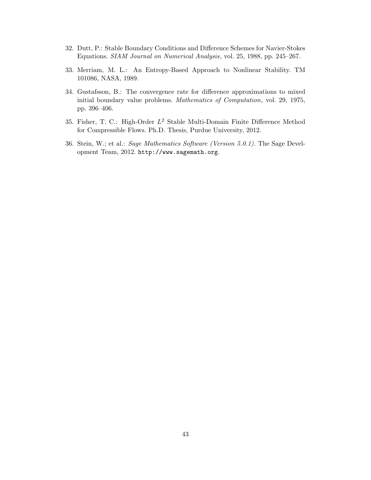- <span id="page-46-0"></span>32. Dutt, P.: Stable Boundary Conditions and Difference Schemes for Navier-Stokes Equations. SIAM Journal on Numerical Analysis, vol. 25, 1988, pp. 245–267.
- <span id="page-46-1"></span>33. Merriam, M. L.: An Entropy-Based Approach to Nonlinear Stability. TM 101086, NASA, 1989.
- <span id="page-46-2"></span>34. Gustafsson, B.: The convergence rate for difference approximations to mixed initial boundary value problems. Mathematics of Computation, vol. 29, 1975, pp. 396–406.
- <span id="page-46-3"></span>35. Fisher, T. C.: High-Order  $L^2$  Stable Multi-Domain Finite Difference Method for Compressible Flows. Ph.D. Thesis, Purdue University, 2012.
- <span id="page-46-4"></span>36. Stein, W.; et al.: Sage Mathematics Software (Version 5.0.1). The Sage Development Team, 2012. http://www.sagemath.org.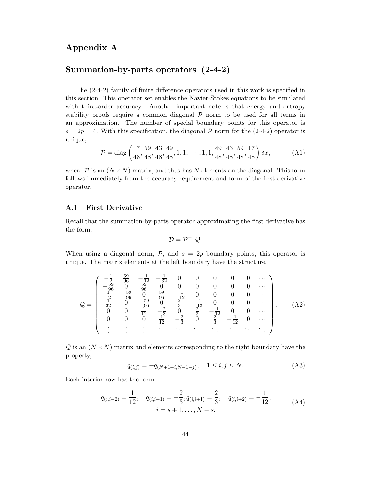# <span id="page-47-0"></span>Appendix A

# Summation-by-parts operators–(2-4-2)

The (2-4-2) family of finite difference operators used in this work is specified in this section. This operator set enables the Navier-Stokes equations to be simulated with third-order accuracy. Another important note is that energy and entropy stability proofs require a common diagonal  $P$  norm to be used for all terms in an approximation. The number of special boundary points for this operator is  $s = 2p = 4$ . With this specification, the diagonal P norm for the (2-4-2) operator is unique,

$$
\mathcal{P} = \text{diag}\left(\frac{17}{48}, \frac{59}{48}, \frac{43}{48}, \frac{49}{48}, 1, 1, \dots, 1, 1, \frac{49}{48}, \frac{43}{48}, \frac{59}{48}, \frac{17}{48}\right)\delta x,\tag{A1}
$$

where  $P$  is an  $(N \times N)$  matrix, and thus has N elements on the diagonal. This form follows immediately from the accuracy requirement and form of the first derivative operator.

## <span id="page-47-1"></span>A.1 First Derivative

Recall that the summation-by-parts operator approximating the first derivative has the form,

$$
\mathcal{D}=\mathcal{P}^{-1}\mathcal{Q}.
$$

When using a diagonal norm,  $P$ , and  $s = 2p$  boundary points, this operator is unique. The matrix elements at the left boundary have the structure,

$$
Q = \begin{pmatrix} -\frac{1}{2} & \frac{59}{96} & -\frac{1}{12} & -\frac{1}{32} & 0 & 0 & 0 & 0 & 0 & \cdots \\ -\frac{59}{96} & 0 & \frac{59}{96} & 0 & 0 & 0 & 0 & 0 & 0 & \cdots \\ \frac{1}{12} & -\frac{59}{96} & 0 & \frac{59}{96} & -\frac{1}{12} & 0 & 0 & 0 & 0 & \cdots \\ \frac{1}{32} & 0 & -\frac{59}{96} & 0 & \frac{2}{3} & -\frac{1}{12} & 0 & 0 & 0 & \cdots \\ 0 & 0 & \frac{1}{12} & -\frac{2}{3} & 0 & \frac{2}{3} & -\frac{1}{12} & 0 & 0 & \cdots \\ 0 & 0 & 0 & \frac{1}{12} & -\frac{2}{3} & 0 & \frac{2}{3} & -\frac{1}{12} & 0 & \cdots \\ \vdots & \vdots & \vdots & \vdots & \ddots & \vdots & \ddots & \ddots & \ddots & \ddots \end{pmatrix} . (A2)
$$

 $\mathcal Q$  is an  $(N \times N)$  matrix and elements corresponding to the right boundary have the property,

$$
q_{(i,j)} = -q_{(N+1-i,N+1-j)}, \quad 1 \le i, j \le N. \tag{A3}
$$

Each interior row has the form

$$
q_{(i,i-2)} = \frac{1}{12}, \quad q_{(i,i-1)} = -\frac{2}{3}, q_{(i,i+1)} = \frac{2}{3}, \quad q_{(i,i+2)} = -\frac{1}{12},
$$
  
\n
$$
i = s+1, \dots, N-s.
$$
 (A4)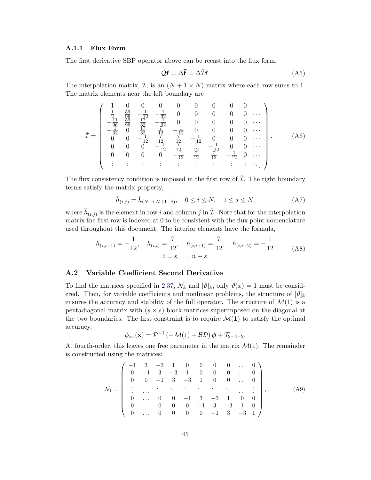#### <span id="page-48-0"></span>A.1.1 Flux Form

The first derivative SBP operator above can be recast into the flux form,

$$
Qf = \Delta \overline{f} = \Delta \overline{\mathcal{I}}f. \tag{A5}
$$

The interpolation matrix,  $\overline{\mathcal{I}}$ , is an  $(N + 1 \times N)$  matrix where each row sums to 1. The matrix elements near the left boundary are

$$
\bar{\mathcal{I}} = \begin{pmatrix}\n1 & 0 & 0 & 0 & 0 & 0 & 0 & 0 & 0 \\
\frac{1}{2} & \frac{59}{96} & -\frac{1}{12} & -\frac{1}{32} & 0 & 0 & 0 & 0 & 0 & \cdots \\
-\frac{11}{96} & \frac{59}{96} & \frac{17}{32} & -\frac{1}{32} & 0 & 0 & 0 & 0 & 0 & \cdots \\
-\frac{1}{32} & 0 & \frac{17}{32} & \frac{7}{12} & -\frac{1}{12} & 0 & 0 & 0 & 0 & \cdots \\
0 & 0 & -\frac{1}{12} & \frac{7}{12} & \frac{7}{12} & -\frac{1}{12} & 0 & 0 & 0 & \cdots \\
0 & 0 & 0 & -\frac{1}{12} & \frac{7}{12} & \frac{7}{12} & -\frac{1}{12} & 0 & 0 & \cdots \\
0 & 0 & 0 & 0 & -\frac{1}{12} & \frac{7}{12} & \frac{7}{12} & -\frac{1}{12} & 0 & \cdots \\
\vdots & \vdots & \vdots & \vdots & \vdots & \vdots & \vdots & \vdots & \vdots\n\end{pmatrix}.
$$
\n(A6)

The flux consistency condition is imposed in the first row of  $\overline{I}$ . The right boundary terms satisfy the matrix property,

$$
\bar{h}_{(i,j)} = \bar{h}_{(N-i,N+1-j)}, \quad 0 \le i \le N, \quad 1 \le j \le N,
$$
\n(A7)

where  $\bar{h}_{(i,j)}$  is the element in row i and column j in  $\bar{\mathcal{I}}$ . Note that for the interpolation matrix the first row is indexed at 0 to be consistent with the flux point nomenclature used throughout this document. The interior elements have the formula,

$$
\bar{h}_{(i,i-1)} = -\frac{1}{12}, \quad \bar{h}_{(i,i)} = \frac{7}{12}, \quad \bar{h}_{(i,i+1)} = \frac{7}{12}, \quad \bar{h}_{(i,i+2)} = -\frac{1}{12}, \tag{A8}
$$
\n
$$
i = s, \dots, n - s.
$$

## <span id="page-48-1"></span>A.2 Variable Coefficient Second Derivative

To find the matrices specified in [2.37,](#page-13-1)  $\mathcal{N}_k$  and  $[\tilde{\vartheta}]_k$ , only  $\vartheta(x) = 1$  must be considered. Then, for variable coefficients and nonlinear problems, the structure of  $[\tilde{\vartheta}]_k$ ensures the accuracy and stability of the full operator. The structure of  $\mathcal{M}(1)$  is a pentadiagonal matrix with  $(s \times s)$  block matrices superimposed on the diagonal at the two boundaries. The first constraint is to require  $\mathcal{M}(1)$  to satisfy the optimal accuracy,

$$
\phi_{xx}(\mathbf{x}) = \mathcal{P}^{-1}(-\mathcal{M}(1) + \mathcal{B}\mathcal{D})\,\phi + \mathcal{T}_{2-4-2}.
$$

At fourth-order, this leaves one free parameter in the matrix  $\mathcal{M}(1)$ . The remainder is constructed using the matrices:

$$
\mathcal{N}_1 = \left( \begin{array}{ccccccccc} -1 & 3 & -3 & 1 & 0 & 0 & 0 & 0 & \dots & 0 \\ 0 & -1 & 3 & -3 & 1 & 0 & 0 & 0 & \dots & 0 \\ 0 & 0 & -1 & 3 & -3 & 1 & 0 & 0 & \dots & 0 \\ \vdots & \dots & \ddots & \ddots & \ddots & \ddots & \ddots & \ddots & \ddots & \vdots \\ 0 & \dots & 0 & 0 & -1 & 3 & -3 & 1 & 0 & 0 \\ 0 & \dots & 0 & 0 & 0 & -1 & 3 & -3 & 1 & 0 \\ 0 & \dots & 0 & 0 & 0 & 0 & -1 & 3 & -3 & 1 \end{array} \right), \quad (A9)
$$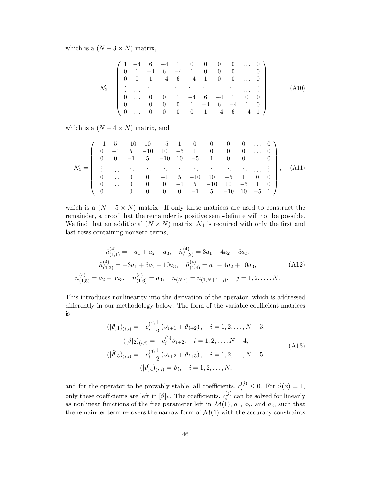which is a  $(N - 3 \times N)$  matrix,

$$
\mathcal{N}_2 = \left( \begin{array}{cccccccccc} 1 & -4 & 6 & -4 & 1 & 0 & 0 & 0 & 0 & \dots & 0 \\ 0 & 1 & -4 & 6 & -4 & 1 & 0 & 0 & 0 & \dots & 0 \\ 0 & 0 & 1 & -4 & 6 & -4 & 1 & 0 & 0 & \dots & 0 \\ \vdots & \vdots & \vdots & \ddots & \ddots & \ddots & \ddots & \ddots & \ddots & \ddots & \vdots \\ 0 & \dots & 0 & 0 & 1 & -4 & 6 & -4 & 1 & 0 \\ 0 & \dots & 0 & 0 & 0 & 1 & -4 & 6 & -4 & 1 \\ 0 & \dots & 0 & 0 & 0 & 0 & 1 & -4 & 6 & -4 & 1 \end{array} \right), \quad (A10)
$$

which is a  $(N - 4 \times N)$  matrix, and

$$
\mathcal{N}_3 = \left( \begin{array}{rrrrrrrrrrrrr} -1 & 5 & -10 & 10 & -5 & 1 & 0 & 0 & 0 & 0 & \dots & 0 \\ 0 & -1 & 5 & -10 & 10 & -5 & 1 & 0 & 0 & 0 & \dots & 0 \\ 0 & 0 & -1 & 5 & -10 & 10 & -5 & 1 & 0 & 0 & \dots & 0 \\ \vdots & \vdots & \vdots & \ddots & \vdots & \ddots & \vdots & \ddots & \ddots & \vdots & \ddots & \vdots & \vdots \\ 0 & \dots & 0 & 0 & -1 & 5 & -10 & 10 & -5 & 1 & 0 & 0 \\ 0 & \dots & 0 & 0 & 0 & -1 & 5 & -10 & 10 & -5 & 1 & 0 \\ 0 & \dots & 0 & 0 & 0 & 0 & -1 & 5 & -10 & 10 & -5 & 1 \end{array} \right), (A11)
$$

which is a  $(N - 5 \times N)$  matrix. If only these matrices are used to construct the remainder, a proof that the remainder is positive semi-definite will not be possible. We find that an additional  $(N \times N)$  matrix,  $\mathcal{N}_4$  is required with only the first and last rows containing nonzero terms,

$$
\tilde{n}_{(1,1)}^{(4)} = -a_1 + a_2 - a_3, \quad \tilde{n}_{(1,2)}^{(4)} = 3a_1 - 4a_2 + 5a_3,
$$
\n
$$
\tilde{n}_{(1,3)}^{(4)} = -3a_1 + 6a_2 - 10a_3, \quad \tilde{n}_{(1,4)}^{(4)} = a_1 - 4a_2 + 10a_3,
$$
\n
$$
\tilde{n}_{(1,5)}^{(4)} = a_2 - 5a_3, \quad \tilde{n}_{(1,6)}^{(4)} = a_3, \quad \tilde{n}_{(N,j)} = \tilde{n}_{(1,N+1-j)}, \quad j = 1, 2, \dots, N.
$$
\n(A12)

This introduces nonlinearity into the derivation of the operator, which is addressed differently in our methodology below. The form of the variable coefficient matrices is

<span id="page-49-0"></span>
$$
([\tilde{\vartheta}]_1)_{(i,i)} = -c_i^{(1)} \frac{1}{2} (\vartheta_{i+1} + \vartheta_{i+2}), \quad i = 1, 2, ..., N-3,
$$
  

$$
([\tilde{\vartheta}]_2)_{(i,i)} = -c_i^{(2)} \vartheta_{i+2}, \quad i = 1, 2, ..., N-4,
$$
  

$$
([\tilde{\vartheta}]_3)_{(i,i)} = -c_i^{(3)} \frac{1}{2} (\vartheta_{i+2} + \vartheta_{i+3}), \quad i = 1, 2, ..., N-5,
$$
  

$$
([\tilde{\vartheta}]_4)_{(i,i)} = \vartheta_i, \quad i = 1, 2, ..., N,
$$
 (A13)

and for the operator to be provably stable, all coefficients,  $c_i^{(j)} \leq 0$ . For  $\vartheta(x) = 1$ , only these coefficients are left in  $[\tilde{\vartheta}]_k$ . The coefficients,  $c_i^{(j)}$  $i^{(j)}$  can be solved for linearly as nonlinear functions of the free parameter left in  $\mathcal{M}(1)$ ,  $a_1$ ,  $a_2$ , and  $a_3$ , such that the remainder term recovers the narrow form of  $\mathcal{M}(1)$  with the accuracy constraints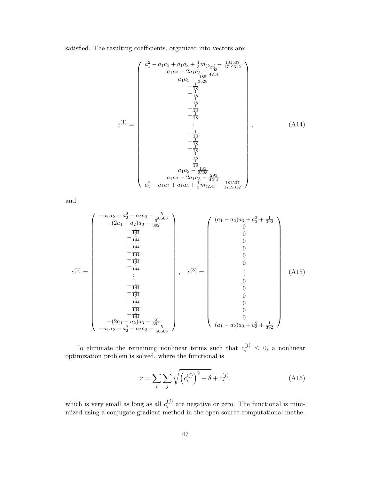satisfied. The resulting coefficients, organized into vectors are:

$$
c^{(1)} = \begin{pmatrix} a_1^2 - a_1 a_2 + a_1 a_3 + \frac{1}{3} m_{(2,4)} - \frac{181507}{1719312} \\ a_1 a_2 - 2a_1 a_3 - \frac{293}{4214} \\ a_1 a_3 - \frac{185}{3528} \\ -\frac{1}{18} \\ -\frac{1}{18} \\ -\frac{1}{18} \\ -\frac{1}{18} \\ -\frac{1}{18} \\ -\frac{1}{18} \\ -\frac{1}{18} \\ -\frac{1}{18} \\ -\frac{1}{18} \\ -\frac{1}{18} \\ -\frac{1}{18} \\ -\frac{1}{18} \\ a_1 a_3 - \frac{185}{3528} \\ a_1 a_2 - 2a_1 a_3 - \frac{293}{4214} \\ a_1^2 - a_1 a_2 + a_1 a_3 + \frac{1}{3} m_{(2,4)} - \frac{181507}{1719312} \end{pmatrix}
$$
\n(A14)

and

$$
c^{(2)} = \begin{pmatrix} -a_1a_2 + a_2^2 - a_2a_3 - \frac{5}{50568} \\ -(2a_1 - a_2)a_3 - \frac{1}{392} \\ -\frac{1}{144} \\ -\frac{1}{144} \\ -\frac{14}{144} \\ -\frac{14}{144} \\ -\frac{1}{144} \\ -\frac{1}{144} \\ -\frac{1}{144} \\ -\frac{1}{144} \\ -\frac{1}{144} \\ -\frac{1}{144} \\ -\frac{14}{144} \\ -\frac{14}{144} \\ 0 \\ -\frac{14}{144} \\ 0 \\ -\frac{14}{144} \\ 0 \\ -\frac{14}{144} \\ 0 \\ -a_1a_2 + a_2^2 - a_2a_3 - \frac{5}{392} \\ -a_1a_2 + a_2^2 - a_2a_3 - \frac{5}{50568} \end{pmatrix} (A15)
$$

To eliminate the remaining nonlinear terms such that  $c_i^{(j)} \leq 0$ , a nonlinear optimization problem is solved, where the functional is

$$
r = \sum_{i} \sum_{j} \sqrt{(c_i^{(j)})^2 + \delta} + c_i^{(j)},
$$
 (A16)

which is very small as long as all  $c_i^{(j)}$  $i_j^{(j)}$  are negative or zero. The functional is minimized using a conjugate gradient method in the open-source computational mathe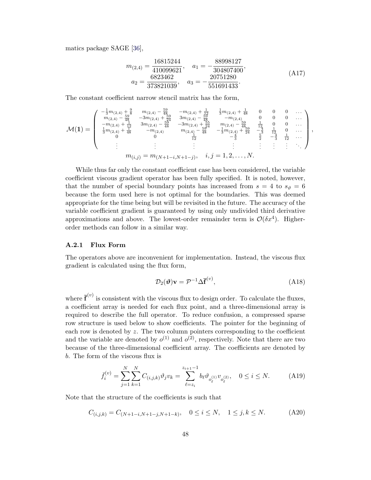matics package SAGE [\[36\]](#page-46-4),

$$
m_{(2,4)} = \frac{16815244}{410099621}, \quad a_1 = -\frac{88998127}{304807400},
$$
  
\n
$$
a_2 = \frac{6823462}{373821039}, \quad a_3 = -\frac{20751280}{551691433}.
$$
 (A17)

The constant coefficient narrow stencil matrix has the form,

$$
\mathcal{M}(\mathbf{1}) = \begin{pmatrix} -\frac{1}{3}m_{(2,4)} + \frac{9}{8} & m_{(2,4)} - \frac{59}{48} & -m_{(2,4)} + \frac{1}{12} & \frac{1}{3}m_{(2,4)} + \frac{1}{48} & 0 & 0 & 0 & \cdots \\ m_{(2,4)} - \frac{59}{48} & -3m_{(2,4)} + \frac{59}{24} & 3m_{(2,4)} - \frac{59}{48} & -m_{(2,4)} & 0 & 0 & 0 & \cdots \\ -m_{(2,4)} + \frac{1}{12} & 3m_{(2,4)} - \frac{59}{48} & -3m_{(2,4)} + \frac{59}{24} & m_{(2,4)} - \frac{59}{48} & \frac{1}{12} & 0 & 0 & \cdots \\ \frac{1}{3}m_{(2,4)} + \frac{1}{48} & -m_{(2,4)} & m_{(2,4)} - \frac{59}{48} & -\frac{1}{3}m_{(2,4)} + \frac{59}{24} & -\frac{1}{3} & \frac{1}{2} & 0 & \cdots \\ 0 & 0 & 0 & \frac{1}{12} & -\frac{4}{3} & -\frac{1}{3}m_{(2,4)} + \frac{59}{24} & -\frac{1}{3} & \frac{1}{2} & 0 & \cdots \\ \vdots & \vdots & \vdots & \vdots & \vdots & \vdots & \vdots & \vdots & \ddots \end{pmatrix},
$$
  
\n
$$
m_{(i,j)} = m_{(N+1-i,N+1-j)}, \quad i, j = 1, 2, \ldots, N.
$$

While thus far only the constant coefficient case has been considered, the variable coefficient viscous gradient operator has been fully specified. It is noted, however, that the number of special boundary points has increased from  $s = 4$  to  $s_{\theta} = 6$ because the form used here is not optimal for the boundaries. This was deemed appropriate for the time being but will be revisited in the future. The accuracy of the variable coefficient gradient is guaranteed by using only undivided third derivative approximations and above. The lowest-order remainder term is  $\mathcal{O}(\delta x^4)$ . Higherorder methods can follow in a similar way.

#### <span id="page-51-0"></span>A.2.1 Flux Form

The operators above are inconvenient for implementation. Instead, the viscous flux gradient is calculated using the flux form,

$$
\mathcal{D}_2(\boldsymbol{\vartheta})\mathbf{v} = \mathcal{P}^{-1}\Delta\overline{\mathbf{f}}^{(v)},\tag{A18}
$$

where  $\bar{\mathbf{f}}^{(v)}$  is consistent with the viscous flux to design order. To calculate the fluxes, a coefficient array is needed for each flux point, and a three-dimensional array is required to describe the full operator. To reduce confusion, a compressed sparse row structure is used below to show coefficients. The pointer for the beginning of each row is denoted by  $z$ . The two column pointers corresponding to the coefficient and the variable are denoted by  $o^{(1)}$  and  $o^{(2)}$ , respectively. Note that there are two because of the three-dimensional coefficient array. The coefficients are denoted by b. The form of the viscous flux is

$$
\bar{f}_i^{(v)} = \sum_{j=1}^N \sum_{k=1}^N C_{(i,j,k)} \vartheta_j v_k = \sum_{\ell=z_i}^{z_{i+1}-1} b_\ell \vartheta_{o_\ell^{(1)}} v_{o_\ell^{(2)}}, \quad 0 \le i \le N. \tag{A19}
$$

Note that the structure of the coefficients is such that

$$
C_{(i,j,k)} = C_{(N+1-i,N+1-j,N+1-k)}, \quad 0 \le i \le N, \quad 1 \le j,k \le N. \tag{A20}
$$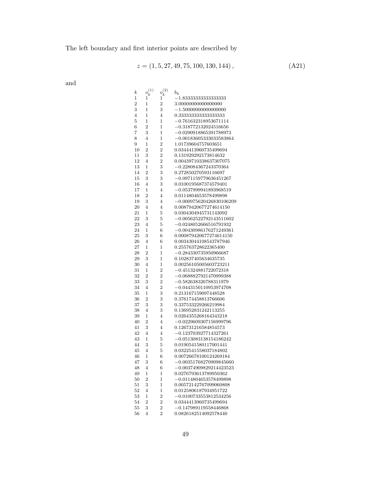The left boundary and first interior points are described by

$$
z = (1, 5, 27, 49, 75, 100, 130, 144), \tag{A21}
$$

and

| $_{k}$         | $o_k^{(1)}$    | $o_k^{(2)}$    | $b_k$                      |
|----------------|----------------|----------------|----------------------------|
| 1              | 1              | 1              | $-1.8333333333333333$      |
| $\overline{2}$ | 1              | $\overline{2}$ | 3.00000000000000000        |
| 3              | 1              | 3              | $-1.50000000000000000$     |
| 4              | 1              | 4              | 0.333333333333333333       |
| 5              | 1              | 1              | $-0.761632318953671114$    |
| 6              | 2              | 1              | -0.318772132024516656      |
| 7              | 3              | 1              | -0.0290918865391788973     |
| 8              | 4              | 1              | $-0.00183605333033583864$  |
| 9              | $\mathbf 1$    | $\overline{2}$ | 1.01739604757603651        |
| 10             | $\overline{2}$ | $\overline{2}$ | 0.0344413960735499694      |
| 11             | 3              | 2              | 0.131929292173814632       |
| 12             | 4              | $\overline{2}$ | 0.00439710338637307075     |
| 13             | 1              | 3              | $-0.228084367243370364$    |
| 14             | $\overline{2}$ | 3              | 0.272850270593116697       |
| 15             | 3              | 3              | $-0.0971159779636451267$   |
| 16             | 4              | 3              | 0.0100195687374579401      |
| 17             | 1              | 4              | $-0.0537999941893968519$   |
| 18             | 2              | 4              | 0.0114804653578499898      |
| 19             | 3              | 4              | $-0.000975620426830106209$ |
| 20             | 4              | 4              | 0.00879420677274614150     |
| 21             | $\overline{1}$ | 5              | 0.0304304945731143092      |
| 22             | 3              | 5              | $-0.00562522792143511602$  |
| 23             | 4              | 5              | -0.0248052666516791932     |
| 24             | 1              | 6              | $-0.00430986176271249361$  |
| 25             | 3              | 6              | 0.000879420677274614150    |
| 26             | 4              | 6              | 0.00343044108543787946     |
| 27             | 1              | 1              | 0.255763728622365400       |
| 28             | $\overline{2}$ | 1              | $-0.284330735950966687$    |
| 29             | 3              | 1              | 0.102837405634635735       |
| 30             | 4              | 1              | 0.00256105005603723211     |
| 31             | 1              | $\overline{2}$ | $-0.451324881722072318$    |
| 32             | 2              | 2              | $-0.0688827921470999388$   |
| 33             | 3              | 2              | $-0.582638326788311979$    |
| 34             | 4              | $\overline{2}$ | $-0.0443150110953974708$   |
| 35             | $\mathbf 1$    | 3              | 0.213167159097448528       |
| 36             | $\overline{2}$ | 3              | 0.376174458813766606       |
| 37             | 3              | 3              | 0.337533229266219984       |
| 38             | 4              | 3              | 0.136952831242113255       |
| 39             | 1              | 4              | 0.0264355268164343218      |
| 40             | 2              | 4              | $-0.0229609307156999796$   |
| 41             | 3              | 4              | 0.126731216584854573       |
| 42             | 4              | 4              | $-0.123703927714327261$    |
| 43             | 1              | 5              | $-0.0513083138154186242$   |
| 44             | 3              | 5              | 0.0190541580117001441      |
| 45             | 4              | 5              | 0.0322541558037184802      |
| 46             | 1              | 6              | 0.00726678100124269184     |
| 47             | 3              | 6              | $-0.00351768270909845660$  |
| 48             | $\overline{4}$ | 6              | $-0.00374909829214423523$  |
| 49             | 1              | 1              | 0.0276793613789950362      |
| 50             | $\overline{2}$ | $\mathbf 1$    | $-0.0114804653578499898$   |
| 51             | 3              | $\mathbf 1$    | 0.00572142767099060808     |
| 52             | 4              | $\mathbf 1$    | 0.0125806187934951722      |
| 53             | 1              | $\overline{2}$ | $-0.0100733553812534256$   |
| 54             | $\overline{2}$ | $\overline{2}$ | 0.0344413960735499694      |
| 55             | 3              | $\overline{2}$ | $-0.147989119558446868$    |
| 56             | 4              | $\overline{2}$ | 0.0826182514092578440      |
|                |                |                |                            |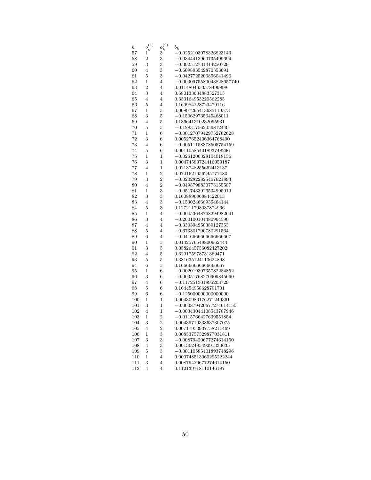| $_{k}$   | (1)<br>$o_k^{\scriptscriptstyle \vee}$ | (2)<br>$o_k$            | $b_k$                                                 |
|----------|----------------------------------------|-------------------------|-------------------------------------------------------|
| 57       | 1                                      | 3                       | $-0.0252103078326823143$                              |
| 58       | 2                                      | 3                       | $-0.0344413960735499694$                              |
| 59       | 3                                      | 3                       | $-0.392512731414250729$                               |
| 60       | 4                                      | 3                       | $-0.609893549870353691$                               |
| 61       | 5                                      | 3                       | -0.0427725206856041496                                |
| 62       | 1                                      | 4                       | $-0.0000975580043828657740$                           |
| 63       | 2                                      | 4                       | 0.0114804653578499898                                 |
| 64       | 3                                      | 4                       | 0.680133634883527315                                  |
| 65       | 4                                      | 4                       | 0.333164953220562285                                  |
| 66       | 5                                      | 4                       | 0.169984228723479116                                  |
| 67       | 1                                      | 5                       | 0.00897265413685119573                                |
| 68       | 3                                      | 5                       | $-0.150629735645468011$                               |
| 69       | 4                                      | 5                       | 0.186641310232095931                                  |
| 70       | 5                                      | 5                       | $-0.128317562056812449$                               |
| 71       | 1                                      | 6                       | $-0.00127079429752762628$                             |
| 72       | 3                                      | 6                       | 0.00527652406364768490                                |
| 73       | 4                                      | 6                       | $-0.00511158378505754159$                             |
| 74       | 5                                      | 6                       | 0.00110585401893748296                                |
| 75       | 1                                      | 1                       | $-0.0261206328104018156$                              |
| 76       | 3                                      | 1                       | 0.00474580724416050187                                |
| 77       | 4                                      | 1                       | 0.0213748255662413137                                 |
| 78       | 1                                      | $\overline{2}$          | 0.0701621656245777480                                 |
| 79       | 3                                      | 2                       | $-0.0202822825467621893$                              |
| 80       | 4                                      | $\overline{2}$          | -0.0498798830778155587                                |
| 81       | 1                                      | 3                       | $-0.0517433926534995019$                              |
| 82       | 3                                      | 3                       | 0.160889686884422013                                  |
| 83       | 4                                      | 3                       | $-0.153024668935464144$                               |
| 84       | 5                                      | 3                       | 0.127211708037874966                                  |
| 85       | 1                                      | 4                       | $-0.00453648768294982641$                             |
| 86       | 3                                      | 4                       | $-0.200100104480964590$                               |
| 87       | 4                                      | 4                       | -0.330394950389127353                                 |
| 88       | 5                                      |                         | $-0.673301790780291564$                               |
| 89       | 6                                      | 4<br>4                  | $-0.041666666666666667$                               |
| 90       | 1                                      | 5                       | 0.0142576548800962444                                 |
|          |                                        |                         |                                                       |
| 91       | 3                                      | 5                       | 0.0582645756082427202                                 |
| 92       | 4                                      | 5                       | 0.629175978731369471                                  |
| 93       | 5                                      | 5                       | 0.381635124113624898                                  |
| 94       | 6                                      | 5                       | 0.16666666666666667                                   |
| 95       | 1                                      | 6                       | $-0.00201930735782284852$                             |
| 96       | 3<br>4                                 | 6                       | $-0.00351768270909845660$                             |
| 97<br>98 | 5                                      | 6                       | -0.117251301895203729<br>0.164454958628791701         |
| 99       | 6                                      | 6<br>6                  |                                                       |
|          |                                        |                         | $-0.125000000000000000$                               |
| 100      | 1                                      | 1                       | 0.00430986176271249361                                |
| 101      | 3<br>4                                 | 1                       | -0.000879420677274614150<br>$-0.00343044108543787946$ |
| 102      |                                        | 1                       |                                                       |
| 103      | T                                      | $\mathbf{z}$            | –0.0115766427639551854                                |
| 104      | 3                                      | $\overline{\mathbf{c}}$ | 0.00439710338637307075<br>0.00717953937758211469      |
| 105      | 4                                      | $\overline{\mathbf{2}}$ |                                                       |
| 106      | $\mathbf 1$                            | 3                       | 0.00853757529877031811                                |
| 107      | 3                                      | 3                       | $-0.00879420677274614150$                             |
| 108      | 4                                      | 3                       | 0.00136248549291330635                                |
| 109      | 5                                      | 3                       | $-0.00110585401893748296$<br>0.000748513060295222244  |
| 110      | 1                                      | $\overline{4}$          |                                                       |
| 111      | 3                                      | $\overline{4}$          | 0.00879420677274614150                                |
| 112      | 4                                      | $\overline{4}$          | 0.112139718110146187                                  |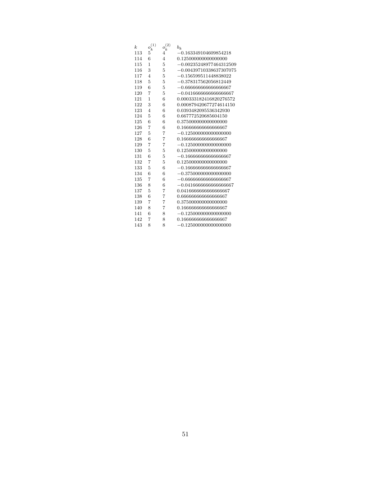| k.  | $o_{\cdot}^{(1)}$<br>k | $o_k^{(2)}$ | $b_k\,$                   |
|-----|------------------------|-------------|---------------------------|
| 113 | 5                      | 4           | $-0.163349104609854218$   |
| 114 | 6                      | 4           | 0.125000000000000000      |
| 115 | 1                      | 5           | $-0.00235248977464312509$ |
| 116 | 3                      | 5           | $-0.00439710338637307075$ |
| 117 | $\overline{4}$         | 5           | $-0.156599511448838022$   |
| 118 | 5                      | 5           | $-0.378317562056812449$   |
| 119 | 6                      | 5           | $-0.6666666666666667$     |
| 120 | 7                      | 5           | $-0.041666666666666667$   |
| 121 | 1                      | 6           | 0.000333182416820276572   |
| 122 | 3                      | 6           | 0.000879420677274614150   |
| 123 | $\overline{4}$         | 6           | 0.0393482095536342930     |
| 124 | 5                      | 6           | 0.667772520685604150      |
| 125 | 6                      | 6           | 0.375000000000000000      |
| 126 | 7                      | 6           | 0.16666666666666667       |
| 127 | 5                      | 7           | $-0.125000000000000000$   |
| 128 | 6                      | 7           | 0.16666666666666667       |
| 129 | 7                      | 7           | $-0.125000000000000000$   |
| 130 | 5                      | 5           | 0.125000000000000000      |
| 131 | 6                      | 5           | $-0.16666666666666667$    |
| 132 | 7                      | 5           | 0.125000000000000000      |
| 133 | 5                      | 6           | $-0.16666666666666667$    |
| 134 | 6                      | 6           | $-0.375000000000000000$   |
| 135 | 7                      | 6           | $-0.6666666666666667$     |
| 136 | 8                      | 6           | $-0.041666666666666667$   |
| 137 | 5                      | 7           | 0.041666666666666667      |
| 138 | 6                      | 7           | 0.66666666666666667       |
| 139 | 7                      | 7           | 0.375000000000000000      |
| 140 | 8                      | 7           | 0.16666666666666667       |
| 141 | 6                      | 8           | $-0.125000000000000000$   |
| 142 | 7                      | 8           | 0.16666666666666667       |
| 143 | 8                      | 8           | $-0.125000000000000000$   |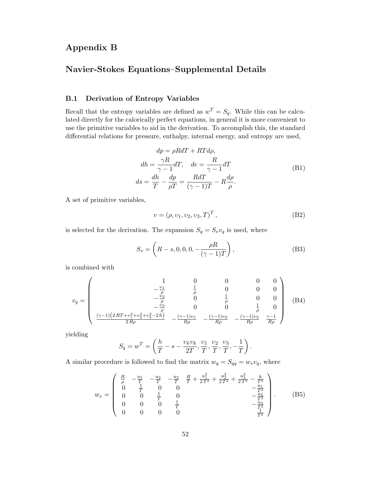# <span id="page-55-0"></span>Appendix B

# Navier-Stokes Equations–Supplemental Details

## <span id="page-55-1"></span>B.1 Derivation of Entropy Variables

Recall that the entropy variables are defined as  $w^T = S_q$ . While this can be calculated directly for the calorically perfect equations, in general it is more convenient to use the primitive variables to aid in the derivation. To accomplish this, the standard differential relations for pressure, enthalpy, internal energy, and entropy are used,

$$
dp = \rho R dT + RT d\rho,
$$
  
\n
$$
dh = \frac{\gamma R}{\gamma - 1} dT, \quad de = \frac{R}{\gamma - 1} dT
$$
  
\n
$$
ds = \frac{dh}{T} - \frac{dp}{\rho T} = \frac{R dT}{(\gamma - 1)T} - R \frac{d\rho}{\rho}.
$$
\n(B1)

A set of primitive variables,

$$
v = (\rho, v_1, v_2, v_3, T)^T, \tag{B2}
$$

is selected for the derivation. The expansion  $S_q = S_v v_q$  is used, where

$$
S_v = \left(R - s, 0, 0, 0, -\frac{\rho R}{(\gamma - 1)T}\right),\tag{B3}
$$

is combined with

$$
v_q = \begin{pmatrix} 1 & 0 & 0 & 0 & 0 \\ -\frac{\upsilon_1}{\rho} & \frac{1}{\rho} & 0 & 0 & 0 \\ -\frac{\upsilon_2}{\rho} & 0 & \frac{1}{\rho} & 0 & 0 \\ -\frac{\upsilon_3}{\rho} & 0 & 0 & \frac{1}{\rho} & 0 \\ \frac{(\gamma - 1)(2RT + \upsilon_1^2 + \upsilon_2^2 + \upsilon_3^2 - 2h)}{2R\rho} & -\frac{(\gamma - 1)\upsilon_1}{R\rho} & -\frac{(\gamma - 1)\upsilon_2}{R\rho} & -\frac{(\gamma - 1)\upsilon_3}{R\rho} & \frac{\gamma - 1}{R\rho} \end{pmatrix} (B4)
$$

yielding

$$
S_q = w^T = \left(\frac{h}{T} - s - \frac{v_k v_k}{2T}, \frac{v_1}{T}, \frac{v_2}{T}, \frac{v_3}{T}, -\frac{1}{T}\right).
$$

A similar procedure is followed to find the matrix  $w_q = S_{qq} = w_v v_q$ , where

$$
w_v = \begin{pmatrix} \frac{R}{\rho} & -\frac{u_1}{T} & -\frac{u_2}{T} & -\frac{u_3}{T} & \frac{R}{T} + \frac{u_1^2}{2T^2} + \frac{u_2^2}{2T^2} + \frac{u_3^2}{2T^2} - \frac{h}{T^2} \\ 0 & \frac{1}{T} & 0 & 0 & -\frac{u_1}{T^2} \\ 0 & 0 & \frac{1}{T} & 0 & -\frac{u_2}{T^2} \\ 0 & 0 & 0 & \frac{1}{T} & -\frac{u_3}{T^2} \\ 0 & 0 & 0 & 0 & \frac{1}{T^2} \end{pmatrix} . \tag{B5}
$$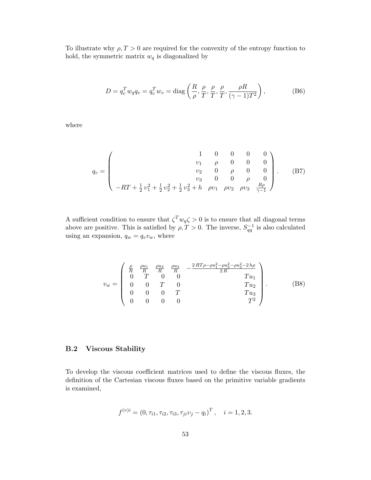To illustrate why  $\rho, T > 0$  are required for the convexity of the entropy function to hold, the symmetric matrix  $w_q$  is diagonalized by

$$
D = q_v^T w_q q_v = q_v^T w_v = \text{diag}\left(\frac{R}{\rho}, \frac{\rho}{T}, \frac{\rho}{T}, \frac{\rho}{T}, \frac{\rho R}{(\gamma - 1)T^2}\right),\tag{B6}
$$

where

$$
q_v = \begin{pmatrix} 1 & 0 & 0 & 0 & 0 \\ v_1 & \rho & 0 & 0 & 0 \\ v_2 & 0 & \rho & 0 & 0 \\ v_3 & 0 & 0 & \rho & 0 \\ -RT + \frac{1}{2}v_1^2 + \frac{1}{2}v_2^2 + \frac{1}{2}v_3^2 + h & \rho v_1 & \rho v_2 & \rho v_3 & \frac{R\rho}{\gamma - 1} \end{pmatrix} .
$$
 (B7)

A sufficient condition to ensure that  $\zeta^T w_q \zeta > 0$  is to ensure that all diagonal terms above are positive. This is satisfied by  $\rho, T > 0$ . The inverse,  $S_{qq}^{-1}$  is also calculated using an expansion,  $q_w = q_v v_w$ , where

$$
v_w = \begin{pmatrix} \frac{\rho}{R} & \frac{\rho u_1}{R} & \frac{\rho u_2}{R} & \frac{\rho u_3}{R} & -\frac{2RT\rho - \rho u_1^2 - \rho u_2^2 - \rho u_3^2 - 2h\rho}{2R} \\ 0 & T & 0 & 0 & Tu_1 \\ 0 & 0 & T & 0 & Tu_2 \\ 0 & 0 & 0 & T & Tu_3 \\ 0 & 0 & 0 & 0 & T^2 \end{pmatrix} .
$$
 (B8)

## <span id="page-56-0"></span>B.2 Viscous Stability

To develop the viscous coefficient matrices used to define the viscous fluxes, the definition of the Cartesian viscous fluxes based on the primitive variable gradients is examined,

$$
f^{(v)i} = (0, \tau_{i1}, \tau_{i2}, \tau_{i3}, \tau_{ji} v_j - q_i)^T, \quad i = 1, 2, 3.
$$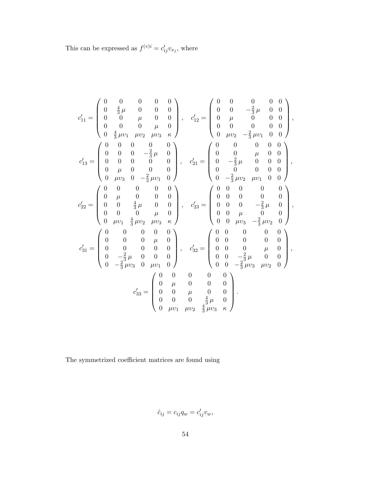This can be expressed as  $f^{(v)i} = c'_{ij}v_{x_j}$ , where

$$
c'_{11} = \begin{pmatrix} 0 & 0 & 0 & 0 & 0 \\ 0 & \frac{4}{3}\mu & 0 & 0 & 0 \\ 0 & 0 & \mu & 0 & 0 \\ 0 & \frac{4}{3}\mu v_1 & \mu v_2 & \mu v_3 & \kappa \end{pmatrix}, \quad c'_{12} = \begin{pmatrix} 0 & 0 & 0 & 0 & 0 & 0 \\ 0 & 0 & -\frac{2}{3}\mu & 0 & 0 \\ 0 & \mu & 0 & 0 & 0 \\ 0 & 0 & 0 & 0 & 0 \\ 0 & 0 & 0 & 0 & 0 \\ 0 & \mu v_2 & -\frac{2}{3}\mu v_1 & 0 & 0 \end{pmatrix},
$$
  
\n
$$
c'_{13} = \begin{pmatrix} 0 & 0 & 0 & 0 & 0 \\ 0 & 0 & 0 & -\frac{2}{3}\mu & 0 \\ 0 & 0 & 0 & 0 & 0 \\ 0 & \mu v_3 & 0 & -\frac{2}{3}\mu v_1 & 0 \end{pmatrix}, \quad c'_{21} = \begin{pmatrix} 0 & 0 & 0 & 0 & 0 \\ 0 & 0 & \mu & 0 & 0 \\ 0 & -\frac{2}{3}\mu & 0 & 0 & 0 \\ 0 & 0 & 0 & 0 & 0 \\ 0 & 0 & 0 & 0 & 0 \\ 0 & 0 & 0 & 0 & 0 \\ 0 & 0 & 0 & \mu & 0 \\ 0 & 0 & 0 & \mu & 0 \\ 0 & 0 & 0 & 0 & 0 \\ 0 & 0 & 0 & 0 & 0 \\ 0 & 0 & 0 & 0 & 0 \end{pmatrix}, \quad c'_{23} = \begin{pmatrix} 0 & 0 & 0 & 0 & 0 \\ 0 & 0 & 0 & 0 & 0 \\ 0 & 0 & 0 & 0 & 0 \\ 0 & 0 & 0 & 0 & 0 \\ 0 & 0 & 0 & 0 & 0 \\ 0 & 0 & 0 & 0 & 0 \\ 0 & 0 & 0 & 0 & 0 \\ 0 & 0 & 0 & 0 & 0 \\ 0 & 0 & -\frac{2}{3}\mu v_3 & 0 & \mu v_1 & 0 \end{pmatrix},
$$
  
\n
$$
c'_{31} = \begin{pmatrix} 0 & 0 & 0 & 0 & 0 & 0 \\ 0 & 0 & 0 &
$$

The symmetrized coefficient matrices are found using

$$
\hat{c}_{ij} = c_{ij} q_w = c'_{ij} v_w,
$$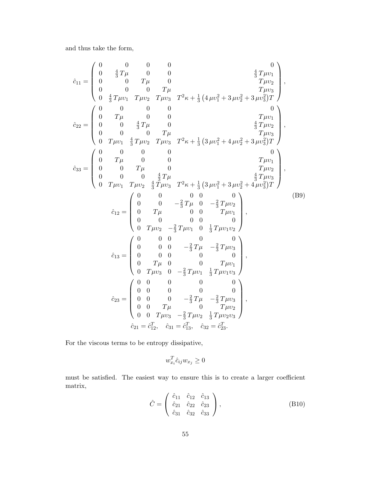and thus take the form,

$$
\hat{c}_{11} = \begin{pmatrix}\n0 & 0 & 0 & 0 & 0 & 0 \\
0 & \frac{4}{3}T\mu & 0 & 0 & \frac{4}{3}T\mu v_1 \\
0 & 0 & T\mu & 0 & T\mu v_2 \\
0 & \frac{4}{3}T\mu v_1 & T\mu v_2 & T\mu v_3 & T^2\kappa + \frac{1}{3}\left(4\,\mu v_1^2 + 3\,\mu v_2^2 + 3\,\mu v_3^2\right)T\n\end{pmatrix},
$$
\n
$$
\hat{c}_{22} = \begin{pmatrix}\n0 & 0 & 0 & 0 & 0 & 0 \\
0 & 0 & 0 & 0 & 0 & 0 \\
0 & 0 & \frac{4}{3}T\mu & 0 & \frac{4}{3}T\mu v_2 \\
0 & 0 & \frac{4}{3}T\mu & 0 & \frac{4}{3}T\mu v_3 \\
0 & T\mu v_1 & \frac{4}{3}T\mu v_2 & T\mu v_3 & T^2\kappa + \frac{1}{3}\left(3\,\mu v_1^2 + 4\,\mu v_2^2 + 3\,\mu v_3^2\right)T\n\end{pmatrix},
$$
\n
$$
\hat{c}_{33} = \begin{pmatrix}\n0 & 0 & 0 & 0 & 0 & 0 \\
0 & T\mu & 0 & 0 & T\mu v_1 \\
0 & 0 & T\mu & 0 & T\mu v_2 \\
0 & 0 & 0 & \frac{4}{3}T\mu & \frac{4}{3}T\mu v_3 \\
0 & T\mu v_1 & T\mu v_2 & \frac{4}{3}T\mu v_3 & T^2\kappa + \frac{1}{3}\left(3\,\mu v_1^2 + 3\,\mu v_2^2 + 4\,\mu v_3^2\right)T\n\end{pmatrix},
$$
\n
$$
\hat{c}_{12} = \begin{pmatrix}\n0 & 0 & 0 & 0 & 0 \\
0 & 0 & -\frac{2}{3}T\mu & 0 & -\frac{2}{3}T\mu v_2 \\
0 & T\mu & 0 & 0 & 0 & 0 \\
0 & T\mu & 0 & 0 & 0 & 0 \\
0 & T\mu & 0 & 0 & 0 & 0 \\
0 & T\mu & 0 & 0 & 0 & 0 \\
0 & T\mu & 0 & 0 & 0 & 0 \\
0 & T\mu v_3 &
$$

For the viscous terms to be entropy dissipative,

$$
w_{x_i}^T \hat{c}_{ij} w_{x_j} \ge 0
$$

must be satisfied. The easiest way to ensure this is to create a larger coefficient matrix,

$$
\hat{C} = \begin{pmatrix} \hat{c}_{11} & \hat{c}_{12} & \hat{c}_{13} \\ \hat{c}_{21} & \hat{c}_{22} & \hat{c}_{23} \\ \hat{c}_{31} & \hat{c}_{32} & \hat{c}_{33} \end{pmatrix},
$$
(B10)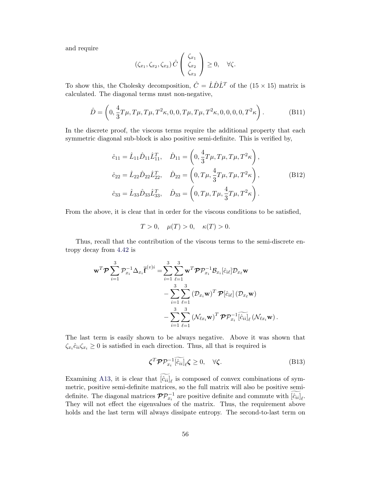and require

$$
(\zeta_{x_1}, \zeta_{x_2}, \zeta_{x_3}) \hat{C} \begin{pmatrix} \zeta_{x_1} \\ \zeta_{x_2} \\ \zeta_{x_3} \end{pmatrix} \geq 0, \quad \forall \zeta.
$$

To show this, the Cholesky decomposition,  $\hat{C} = \hat{L}\hat{D}\hat{L}^T$  of the  $(15 \times 15)$  matrix is calculated. The diagonal terms must non-negative,

$$
\hat{D} = \left(0, \frac{4}{3}T\mu, T\mu, T\mu, T^2\kappa, 0, 0, T\mu, T\mu, T^2\kappa, 0, 0, 0, 0, T^2\kappa\right). \tag{B11}
$$

In the discrete proof, the viscous terms require the additional property that each symmetric diagonal sub-block is also positive semi-definite. This is verified by,

$$
\hat{c}_{11} = \hat{L}_{11}\hat{D}_{11}\hat{L}_{11}^T, \quad \hat{D}_{11} = \left(0, \frac{4}{3}T\mu, T\mu, T\mu, T^2\kappa\right),
$$
  
\n
$$
\hat{c}_{22} = \hat{L}_{22}\hat{D}_{22}\hat{L}_{22}^T, \quad \hat{D}_{22} = \left(0, T\mu, \frac{4}{3}T\mu, T\mu, T^2\kappa\right),
$$
  
\n
$$
\hat{c}_{33} = \hat{L}_{33}\hat{D}_{33}\hat{L}_{33}^T, \quad \hat{D}_{33} = \left(0, T\mu, T\mu, \frac{4}{3}T\mu, T^2\kappa\right).
$$
\n(B12)

From the above, it is clear that in order for the viscous conditions to be satisfied,

$$
T > 0, \quad \mu(T) > 0, \quad \kappa(T) > 0.
$$

Thus, recall that the contribution of the viscous terms to the semi-discrete entropy decay from [4.42](#page-37-2) is

$$
\mathbf{w}^T \mathcal{P} \sum_{i=1}^3 \mathcal{P}_{x_i}^{-1} \Delta_{x_i} \overline{\mathbf{f}}^{(v)i} = \sum_{i=1}^3 \sum_{\ell=1}^3 \mathbf{w}^T \mathcal{P} \mathcal{P}_{x_i}^{-1} \mathcal{B}_{x_i} [\hat{c}_{i\ell}] \mathcal{D}_{x_\ell} \mathbf{w}
$$

$$
- \sum_{i=1}^3 \sum_{\ell=1}^3 (\mathcal{D}_{x_i} \mathbf{w})^T \mathcal{P} [\hat{c}_{i\ell}] (\mathcal{D}_{x_\ell} \mathbf{w})
$$

$$
- \sum_{i=1}^3 \sum_{\ell=1}^3 (\mathcal{N}_{\ell x_i} \mathbf{w})^T \mathcal{P} \mathcal{P}_{x_i}^{-1} [\hat{c}_{ii}]_\ell (\mathcal{N}_{\ell x_i} \mathbf{w}).
$$

The last term is easily shown to be always negative. Above it was shown that  $\zeta_{x_i}\hat{c}_{ii}\zeta_{x_i} \ge 0$  is satisfied in each direction. Thus, all that is required is

$$
\zeta^T \mathcal{P} \mathcal{P}_{x_i}^{-1} [\widetilde{c}_{ii}]_\ell \zeta \ge 0, \quad \forall \zeta.
$$
 (B13)

Examining [A13,](#page-49-0) it is clear that  $[\hat{c}_{ii}]_\ell$  is composed of convex combinations of symmetric, positive semi-definite matrices, so the full matrix will also be positive semidefinite. The diagonal matrices  $\mathcal{PP}_{x_i}^{-1}$  are positive definite and commute with  $[\hat{c}_{ii}]_\ell$ . They will not effect the eigenvalues of the matrix. Thus, the requirement above holds and the last term will always dissipate entropy. The second-to-last term on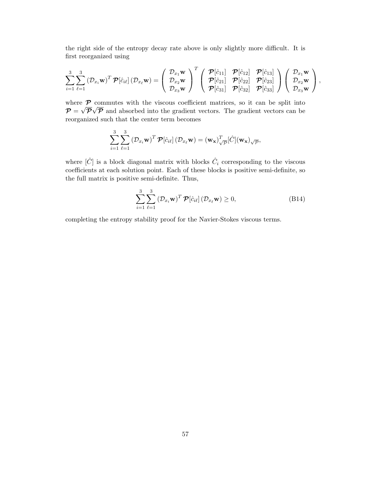the right side of the entropy decay rate above is only slightly more difficult. It is first reorganized using

$$
\sum_{i=1}^3\sum_{\ell=1}^3\left(\mathcal{D}_{x_i}\mathbf{w}\right)^T\boldsymbol{\mathcal{P}}[\hat{c}_{i\ell}]\left(\mathcal{D}_{x_\ell}\mathbf{w}\right)=\left(\begin{array}{c}\mathcal{D}_{x_1}\mathbf{w}\\ \mathcal{D}_{x_2}\mathbf{w}\\ \mathcal{D}_{x_3}\mathbf{w}\end{array}\right)^T\left(\begin{array}{c}\boldsymbol{\mathcal{P}}[\hat{c}_{11}]\boldsymbol{\mathcal{P}}[\hat{c}_{12}]\boldsymbol{\mathcal{P}}[\hat{c}_{13}]\\\boldsymbol{\mathcal{P}}[\hat{c}_{22}]\boldsymbol{\mathcal{P}}[\hat{c}_{23}]\boldsymbol{\mathcal{P}}[\hat{c}_{33}]\end{array}\right)\left(\begin{array}{c}\mathcal{D}_{x_1}\mathbf{w}\\ \mathcal{D}_{x_2}\mathbf{w}\\ \mathcal{D}_{x_3}\mathbf{w}\end{array}\right),
$$

where  $P$  commutes with the viscous coefficient matrices, so it can be split into  $\mathcal{P} = \sqrt{\mathcal{P}} \sqrt{\mathcal{P}}$  and absorbed into the gradient vectors. The gradient vectors can be reorganized such that the center term becomes

$$
\sum_{i=1}^3 \sum_{\ell=1}^3 (\mathcal{D}_{x_i} \mathbf{w})^T \mathcal{P}[\hat{c}_{i\ell}] (\mathcal{D}_{x_\ell} \mathbf{w}) = (\mathbf{w_x})^T_{\sqrt{\mathcal{P}}}[\hat{C}] (\mathbf{w_x})_{\sqrt{\mathcal{P}}},
$$

where  $[\hat{C}]$  is a block diagonal matrix with blocks  $\hat{C}_i$  corresponding to the viscous coefficients at each solution point. Each of these blocks is positive semi-definite, so the full matrix is positive semi-definite. Thus,

$$
\sum_{i=1}^{3} \sum_{\ell=1}^{3} \left( \mathcal{D}_{x_i} \mathbf{w} \right)^T \mathcal{P} [\hat{c}_{i\ell}] \left( \mathcal{D}_{x_\ell} \mathbf{w} \right) \ge 0, \tag{B14}
$$

completing the entropy stability proof for the Navier-Stokes viscous terms.